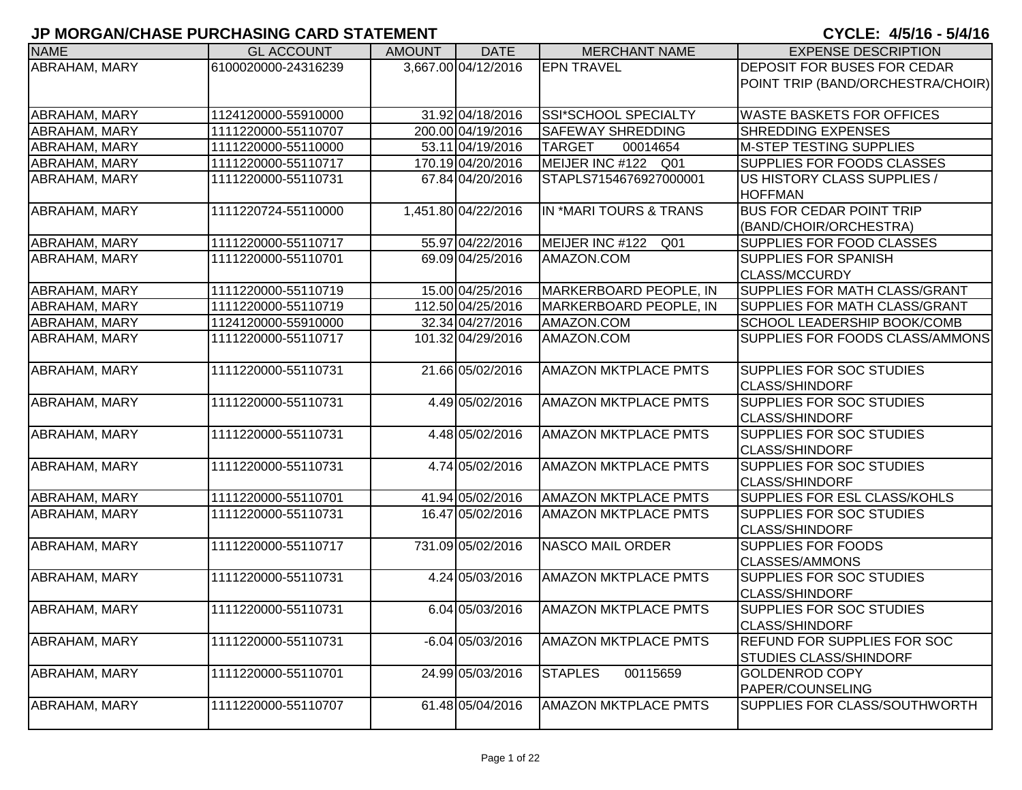| <b>NAME</b>          | <b>GL ACCOUNT</b>   | <b>AMOUNT</b> | <b>DATE</b>         | <b>MERCHANT NAME</b>               | <b>EXPENSE DESCRIPTION</b>                                          |
|----------------------|---------------------|---------------|---------------------|------------------------------------|---------------------------------------------------------------------|
| ABRAHAM, MARY        | 6100020000-24316239 |               | 3,667.00 04/12/2016 | <b>EPN TRAVEL</b>                  | <b>DEPOSIT FOR BUSES FOR CEDAR</b>                                  |
|                      |                     |               |                     |                                    | POINT TRIP (BAND/ORCHESTRA/CHOIR)                                   |
| ABRAHAM, MARY        | 1124120000-55910000 |               | 31.92 04/18/2016    | SSI*SCHOOL SPECIALTY               | <b>WASTE BASKETS FOR OFFICES</b>                                    |
| ABRAHAM, MARY        | 1111220000-55110707 |               | 200.00 04/19/2016   | <b>SAFEWAY SHREDDING</b>           | <b>SHREDDING EXPENSES</b>                                           |
| ABRAHAM, MARY        | 1111220000-55110000 |               | 53.11 04/19/2016    | <b>TARGET</b><br>00014654          | <b>M-STEP TESTING SUPPLIES</b>                                      |
| ABRAHAM, MARY        | 1111220000-55110717 |               | 170.19 04/20/2016   | MEIJER INC #122 Q01                | SUPPLIES FOR FOODS CLASSES                                          |
| <b>ABRAHAM, MARY</b> | 1111220000-55110731 |               | 67.84 04/20/2016    | STAPLS7154676927000001             | US HISTORY CLASS SUPPLIES /<br><b>HOFFMAN</b>                       |
| ABRAHAM, MARY        | 1111220724-55110000 |               | 1,451.80 04/22/2016 | IN *MARI TOURS & TRANS             | <b>BUS FOR CEDAR POINT TRIP</b><br>(BAND/CHOIR/ORCHESTRA)           |
| ABRAHAM, MARY        | 1111220000-55110717 |               | 55.97 04/22/2016    | MEIJER INC #122<br>Q <sub>01</sub> | SUPPLIES FOR FOOD CLASSES                                           |
| ABRAHAM, MARY        | 1111220000-55110701 |               | 69.09 04/25/2016    | AMAZON.COM                         | SUPPLIES FOR SPANISH<br><b>CLASS/MCCURDY</b>                        |
| ABRAHAM, MARY        | 1111220000-55110719 |               | 15.00 04/25/2016    | MARKERBOARD PEOPLE, IN             | <b>SUPPLIES FOR MATH CLASS/GRANT</b>                                |
| <b>ABRAHAM, MARY</b> | 1111220000-55110719 |               | 112.50 04/25/2016   | MARKERBOARD PEOPLE, IN             | <b>SUPPLIES FOR MATH CLASS/GRANT</b>                                |
| ABRAHAM, MARY        | 1124120000-55910000 |               | 32.34 04/27/2016    | AMAZON.COM                         | <b>SCHOOL LEADERSHIP BOOK/COMB</b>                                  |
| <b>ABRAHAM, MARY</b> | 1111220000-55110717 |               | 101.32 04/29/2016   | AMAZON.COM                         | SUPPLIES FOR FOODS CLASS/AMMONS                                     |
| <b>ABRAHAM, MARY</b> | 1111220000-55110731 |               | 21.66 05/02/2016    | <b>AMAZON MKTPLACE PMTS</b>        | <b>SUPPLIES FOR SOC STUDIES</b><br><b>CLASS/SHINDORF</b>            |
| ABRAHAM, MARY        | 1111220000-55110731 |               | 4.49 05/02/2016     | <b>AMAZON MKTPLACE PMTS</b>        | <b>SUPPLIES FOR SOC STUDIES</b><br><b>CLASS/SHINDORF</b>            |
| ABRAHAM, MARY        | 1111220000-55110731 |               | 4.48 05/02/2016     | <b>AMAZON MKTPLACE PMTS</b>        | <b>SUPPLIES FOR SOC STUDIES</b><br><b>CLASS/SHINDORF</b>            |
| <b>ABRAHAM, MARY</b> | 1111220000-55110731 |               | 4.74 05/02/2016     | <b>AMAZON MKTPLACE PMTS</b>        | <b>SUPPLIES FOR SOC STUDIES</b><br><b>CLASS/SHINDORF</b>            |
| ABRAHAM, MARY        | 1111220000-55110701 |               | 41.94 05/02/2016    | <b>AMAZON MKTPLACE PMTS</b>        | SUPPLIES FOR ESL CLASS/KOHLS                                        |
| ABRAHAM, MARY        | 1111220000-55110731 |               | 16.47 05/02/2016    | <b>AMAZON MKTPLACE PMTS</b>        | SUPPLIES FOR SOC STUDIES<br><b>CLASS/SHINDORF</b>                   |
| ABRAHAM, MARY        | 1111220000-55110717 |               | 731.09 05/02/2016   | <b>NASCO MAIL ORDER</b>            | <b>SUPPLIES FOR FOODS</b><br><b>CLASSES/AMMONS</b>                  |
| ABRAHAM, MARY        | 1111220000-55110731 |               | 4.24 05/03/2016     | <b>AMAZON MKTPLACE PMTS</b>        | <b>SUPPLIES FOR SOC STUDIES</b><br><b>CLASS/SHINDORF</b>            |
| ABRAHAM, MARY        | 1111220000-55110731 |               | 6.04 05/03/2016     | <b>AMAZON MKTPLACE PMTS</b>        | <b>SUPPLIES FOR SOC STUDIES</b><br><b>CLASS/SHINDORF</b>            |
| ABRAHAM, MARY        | 1111220000-55110731 |               | $-6.04 05/03/2016$  | <b>AMAZON MKTPLACE PMTS</b>        | <b>REFUND FOR SUPPLIES FOR SOC</b><br><b>STUDIES CLASS/SHINDORF</b> |
| ABRAHAM, MARY        | 1111220000-55110701 |               | 24.99 05/03/2016    | <b>STAPLES</b><br>00115659         | <b>GOLDENROD COPY</b><br>PAPER/COUNSELING                           |
| ABRAHAM, MARY        | 1111220000-55110707 |               | 61.48 05/04/2016    | <b>AMAZON MKTPLACE PMTS</b>        | SUPPLIES FOR CLASS/SOUTHWORTH                                       |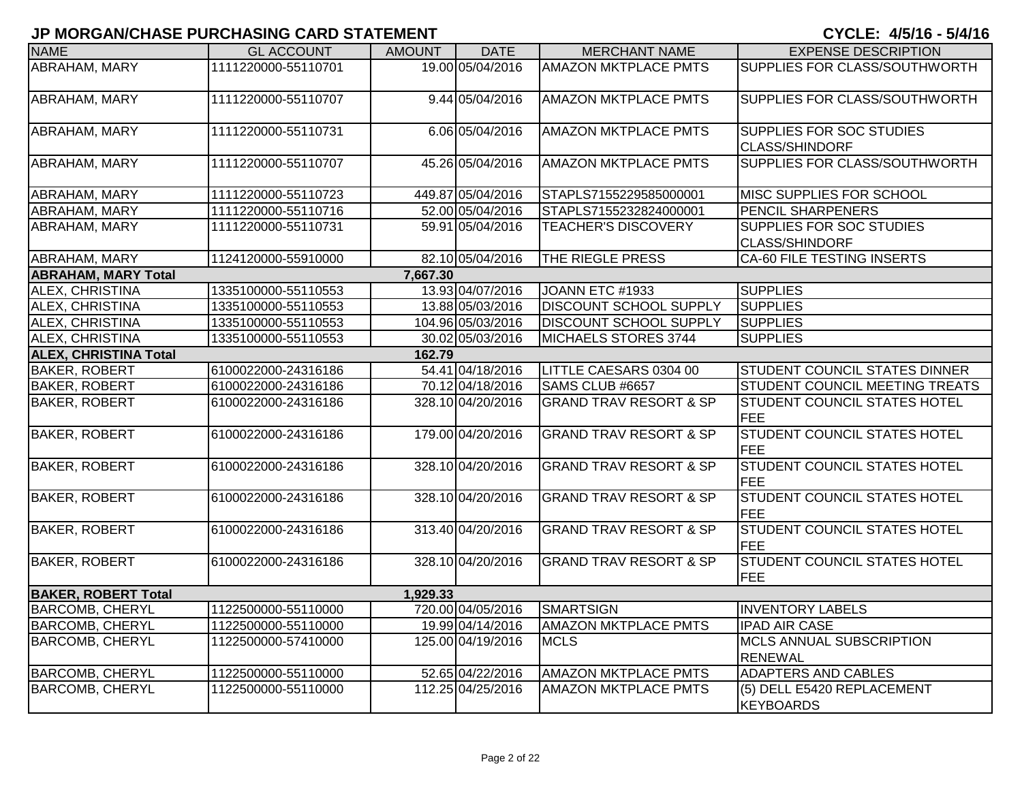| <b>NAME</b>                  | <b>GL ACCOUNT</b>   | <b>AMOUNT</b> | <b>DATE</b>       | <b>MERCHANT NAME</b>              | <b>EXPENSE DESCRIPTION</b>                               |
|------------------------------|---------------------|---------------|-------------------|-----------------------------------|----------------------------------------------------------|
| ABRAHAM, MARY                | 1111220000-55110701 |               | 19.00 05/04/2016  | AMAZON MKTPLACE PMTS              | SUPPLIES FOR CLASS/SOUTHWORTH                            |
| <b>ABRAHAM, MARY</b>         | 1111220000-55110707 |               | 9.44 05/04/2016   | <b>AMAZON MKTPLACE PMTS</b>       | SUPPLIES FOR CLASS/SOUTHWORTH                            |
| ABRAHAM, MARY                | 1111220000-55110731 |               | 6.06 05/04/2016   | <b>AMAZON MKTPLACE PMTS</b>       | <b>SUPPLIES FOR SOC STUDIES</b><br><b>CLASS/SHINDORF</b> |
| ABRAHAM, MARY                | 1111220000-55110707 |               | 45.26 05/04/2016  | <b>AMAZON MKTPLACE PMTS</b>       | SUPPLIES FOR CLASS/SOUTHWORTH                            |
| ABRAHAM, MARY                | 1111220000-55110723 |               | 449.87 05/04/2016 | STAPLS7155229585000001            | MISC SUPPLIES FOR SCHOOL                                 |
| ABRAHAM, MARY                | 1111220000-55110716 |               | 52.00 05/04/2016  | STAPLS7155232824000001            | PENCIL SHARPENERS                                        |
| ABRAHAM, MARY                | 1111220000-55110731 |               | 59.91 05/04/2016  | <b>TEACHER'S DISCOVERY</b>        | SUPPLIES FOR SOC STUDIES<br><b>CLASS/SHINDORF</b>        |
| <b>ABRAHAM, MARY</b>         | 1124120000-55910000 |               | 82.10 05/04/2016  | THE RIEGLE PRESS                  | <b>CA-60 FILE TESTING INSERTS</b>                        |
| <b>ABRAHAM, MARY Total</b>   |                     | 7,667.30      |                   |                                   |                                                          |
| ALEX, CHRISTINA              | 1335100000-55110553 |               | 13.93 04/07/2016  | JOANN ETC #1933                   | <b>SUPPLIES</b>                                          |
| ALEX, CHRISTINA              | 1335100000-55110553 |               | 13.88 05/03/2016  | <b>DISCOUNT SCHOOL SUPPLY</b>     | <b>SUPPLIES</b>                                          |
| ALEX, CHRISTINA              | 1335100000-55110553 |               | 104.96 05/03/2016 | <b>DISCOUNT SCHOOL SUPPLY</b>     | <b>SUPPLIES</b>                                          |
| ALEX, CHRISTINA              | 1335100000-55110553 |               | 30.02 05/03/2016  | MICHAELS STORES 3744              | <b>SUPPLIES</b>                                          |
| <b>ALEX, CHRISTINA Total</b> |                     | 162.79        |                   |                                   |                                                          |
| <b>BAKER, ROBERT</b>         | 6100022000-24316186 |               | 54.41 04/18/2016  | LITTLE CAESARS 0304 00            | <b>STUDENT COUNCIL STATES DINNER</b>                     |
| <b>BAKER, ROBERT</b>         | 6100022000-24316186 |               | 70.12 04/18/2016  | SAMS CLUB #6657                   | <b>STUDENT COUNCIL MEETING TREATS</b>                    |
| <b>BAKER, ROBERT</b>         | 6100022000-24316186 |               | 328.10 04/20/2016 | <b>GRAND TRAV RESORT &amp; SP</b> | <b>STUDENT COUNCIL STATES HOTEL</b><br>FEE               |
| <b>BAKER, ROBERT</b>         | 6100022000-24316186 |               | 179.00 04/20/2016 | <b>GRAND TRAV RESORT &amp; SP</b> | <b>STUDENT COUNCIL STATES HOTEL</b><br><b>FEE</b>        |
| <b>BAKER, ROBERT</b>         | 6100022000-24316186 |               | 328.10 04/20/2016 | <b>GRAND TRAV RESORT &amp; SP</b> | <b>STUDENT COUNCIL STATES HOTEL</b><br>FEE               |
| <b>BAKER, ROBERT</b>         | 6100022000-24316186 |               | 328.10 04/20/2016 | <b>GRAND TRAV RESORT &amp; SP</b> | <b>STUDENT COUNCIL STATES HOTEL</b><br><b>FEE</b>        |
| <b>BAKER, ROBERT</b>         | 6100022000-24316186 |               | 313.40 04/20/2016 | <b>GRAND TRAV RESORT &amp; SP</b> | <b>STUDENT COUNCIL STATES HOTEL</b><br>FEE               |
| <b>BAKER, ROBERT</b>         | 6100022000-24316186 |               | 328.10 04/20/2016 | <b>GRAND TRAV RESORT &amp; SP</b> | <b>STUDENT COUNCIL STATES HOTEL</b><br><b>FEE</b>        |
| <b>BAKER, ROBERT Total</b>   |                     | 1,929.33      |                   |                                   |                                                          |
| <b>BARCOMB, CHERYL</b>       | 1122500000-55110000 |               | 720.00 04/05/2016 | <b>SMARTSIGN</b>                  | <b>INVENTORY LABELS</b>                                  |
| <b>BARCOMB, CHERYL</b>       | 1122500000-55110000 |               | 19.99 04/14/2016  | <b>AMAZON MKTPLACE PMTS</b>       | <b>IPAD AIR CASE</b>                                     |
| <b>BARCOMB, CHERYL</b>       | 1122500000-57410000 |               | 125.00 04/19/2016 | <b>MCLS</b>                       | <b>MCLS ANNUAL SUBSCRIPTION</b><br><b>RENEWAL</b>        |
| <b>BARCOMB, CHERYL</b>       | 1122500000-55110000 |               | 52.65 04/22/2016  | <b>AMAZON MKTPLACE PMTS</b>       | <b>ADAPTERS AND CABLES</b>                               |
| <b>BARCOMB, CHERYL</b>       | 1122500000-55110000 |               | 112.25 04/25/2016 | <b>AMAZON MKTPLACE PMTS</b>       | (5) DELL E5420 REPLACEMENT<br><b>KEYBOARDS</b>           |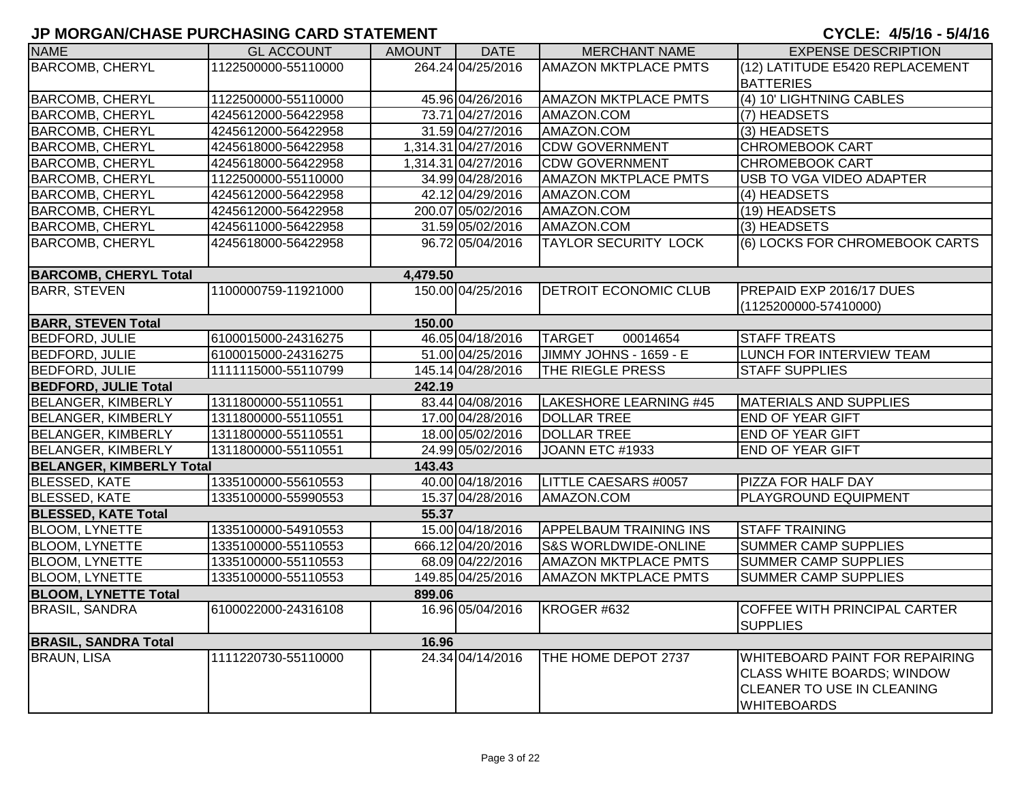| <b>NAME</b>                     | <b>GL ACCOUNT</b>   | <b>AMOUNT</b> | <b>DATE</b>         | <b>MERCHANT NAME</b>            | <b>EXPENSE DESCRIPTION</b>                                                                                              |
|---------------------------------|---------------------|---------------|---------------------|---------------------------------|-------------------------------------------------------------------------------------------------------------------------|
| <b>BARCOMB, CHERYL</b>          | 1122500000-55110000 |               | 264.24 04/25/2016   | <b>AMAZON MKTPLACE PMTS</b>     | (12) LATITUDE E5420 REPLACEMENT                                                                                         |
|                                 |                     |               |                     |                                 | <b>BATTERIES</b>                                                                                                        |
| <b>BARCOMB, CHERYL</b>          | 1122500000-55110000 |               | 45.96 04/26/2016    | <b>AMAZON MKTPLACE PMTS</b>     | (4) 10' LIGHTNING CABLES                                                                                                |
| <b>BARCOMB, CHERYL</b>          | 4245612000-56422958 |               | 73.71 04/27/2016    | AMAZON.COM                      | (7) HEADSETS                                                                                                            |
| <b>BARCOMB, CHERYL</b>          | 4245612000-56422958 |               | 31.59 04/27/2016    | AMAZON.COM                      | (3) HEADSETS                                                                                                            |
| <b>BARCOMB, CHERYL</b>          | 4245618000-56422958 |               | 1,314.31 04/27/2016 | <b>CDW GOVERNMENT</b>           | <b>CHROMEBOOK CART</b>                                                                                                  |
| <b>BARCOMB, CHERYL</b>          | 4245618000-56422958 |               | 1,314.31 04/27/2016 | <b>CDW GOVERNMENT</b>           | <b>CHROMEBOOK CART</b>                                                                                                  |
| <b>BARCOMB, CHERYL</b>          | 1122500000-55110000 |               | 34.99 04/28/2016    | <b>AMAZON MKTPLACE PMTS</b>     | USB TO VGA VIDEO ADAPTER                                                                                                |
| <b>BARCOMB, CHERYL</b>          | 4245612000-56422958 |               | 42.12 04/29/2016    | AMAZON.COM                      | (4) HEADSETS                                                                                                            |
| <b>BARCOMB, CHERYL</b>          | 4245612000-56422958 |               | 200.07 05/02/2016   | AMAZON.COM                      | (19) HEADSETS                                                                                                           |
| <b>BARCOMB, CHERYL</b>          | 4245611000-56422958 |               | 31.59 05/02/2016    | AMAZON.COM                      | (3) HEADSETS                                                                                                            |
| <b>BARCOMB, CHERYL</b>          | 4245618000-56422958 |               | 96.72 05/04/2016    | <b>TAYLOR SECURITY LOCK</b>     | (6) LOCKS FOR CHROMEBOOK CARTS                                                                                          |
|                                 |                     |               |                     |                                 |                                                                                                                         |
| <b>BARCOMB, CHERYL Total</b>    |                     | 4,479.50      |                     |                                 |                                                                                                                         |
| <b>BARR, STEVEN</b>             | 1100000759-11921000 |               | 150.00 04/25/2016   | <b>DETROIT ECONOMIC CLUB</b>    | PREPAID EXP 2016/17 DUES                                                                                                |
|                                 |                     |               |                     |                                 | (1125200000-57410000)                                                                                                   |
| <b>BARR, STEVEN Total</b>       |                     | 150.00        |                     |                                 |                                                                                                                         |
| <b>BEDFORD, JULIE</b>           | 6100015000-24316275 |               | 46.05 04/18/2016    | <b>TARGET</b><br>00014654       | <b>STAFF TREATS</b>                                                                                                     |
| <b>BEDFORD, JULIE</b>           | 6100015000-24316275 |               | 51.00 04/25/2016    | JIMMY JOHNS - 1659 - E          | LUNCH FOR INTERVIEW TEAM                                                                                                |
| <b>BEDFORD, JULIE</b>           | 1111115000-55110799 |               | 145.14 04/28/2016   | <b>THE RIEGLE PRESS</b>         | <b>STAFF SUPPLIES</b>                                                                                                   |
| <b>BEDFORD, JULIE Total</b>     |                     | 242.19        |                     |                                 |                                                                                                                         |
| <b>BELANGER, KIMBERLY</b>       | 1311800000-55110551 |               | 83.44 04/08/2016    | LAKESHORE LEARNING #45          | <b>MATERIALS AND SUPPLIES</b>                                                                                           |
| <b>BELANGER, KIMBERLY</b>       | 1311800000-55110551 |               | 17.00 04/28/2016    | <b>DOLLAR TREE</b>              | <b>END OF YEAR GIFT</b>                                                                                                 |
| <b>BELANGER, KIMBERLY</b>       | 1311800000-55110551 |               | 18.00 05/02/2016    | <b>DOLLAR TREE</b>              | <b>END OF YEAR GIFT</b>                                                                                                 |
| <b>BELANGER, KIMBERLY</b>       | 1311800000-55110551 |               | 24.99 05/02/2016    | JOANN ETC #1933                 | <b>END OF YEAR GIFT</b>                                                                                                 |
| <b>BELANGER, KIMBERLY Total</b> |                     | 143.43        |                     |                                 |                                                                                                                         |
| <b>BLESSED, KATE</b>            | 1335100000-55610553 |               | 40.00 04/18/2016    | <b>LITTLE CAESARS #0057</b>     | PIZZA FOR HALF DAY                                                                                                      |
| <b>BLESSED, KATE</b>            | 1335100000-55990553 |               | 15.37 04/28/2016    | AMAZON.COM                      | PLAYGROUND EQUIPMENT                                                                                                    |
| <b>BLESSED, KATE Total</b>      |                     | 55.37         |                     |                                 |                                                                                                                         |
| <b>BLOOM, LYNETTE</b>           | 1335100000-54910553 |               | 15.00 04/18/2016    | <b>APPELBAUM TRAINING INS</b>   | <b>STAFF TRAINING</b>                                                                                                   |
| <b>BLOOM, LYNETTE</b>           | 1335100000-55110553 |               | 666.12 04/20/2016   | <b>S&amp;S WORLDWIDE-ONLINE</b> | <b>SUMMER CAMP SUPPLIES</b>                                                                                             |
| <b>BLOOM, LYNETTE</b>           | 1335100000-55110553 |               | 68.09 04/22/2016    | <b>AMAZON MKTPLACE PMTS</b>     | SUMMER CAMP SUPPLIES                                                                                                    |
| <b>BLOOM, LYNETTE</b>           | 1335100000-55110553 |               | 149.85 04/25/2016   | <b>AMAZON MKTPLACE PMTS</b>     | <b>SUMMER CAMP SUPPLIES</b>                                                                                             |
| <b>BLOOM, LYNETTE Total</b>     |                     | 899.06        |                     |                                 |                                                                                                                         |
| <b>BRASIL, SANDRA</b>           | 6100022000-24316108 |               | 16.96 05/04/2016    | KROGER #632                     | COFFEE WITH PRINCIPAL CARTER<br><b>SUPPLIES</b>                                                                         |
| <b>BRASIL, SANDRA Total</b>     |                     | 16.96         |                     |                                 |                                                                                                                         |
| <b>BRAUN, LISA</b>              | 1111220730-55110000 |               | 24.34 04/14/2016    | THE HOME DEPOT 2737             | WHITEBOARD PAINT FOR REPAIRING<br><b>CLASS WHITE BOARDS; WINDOW</b><br>CLEANER TO USE IN CLEANING<br><b>WHITEBOARDS</b> |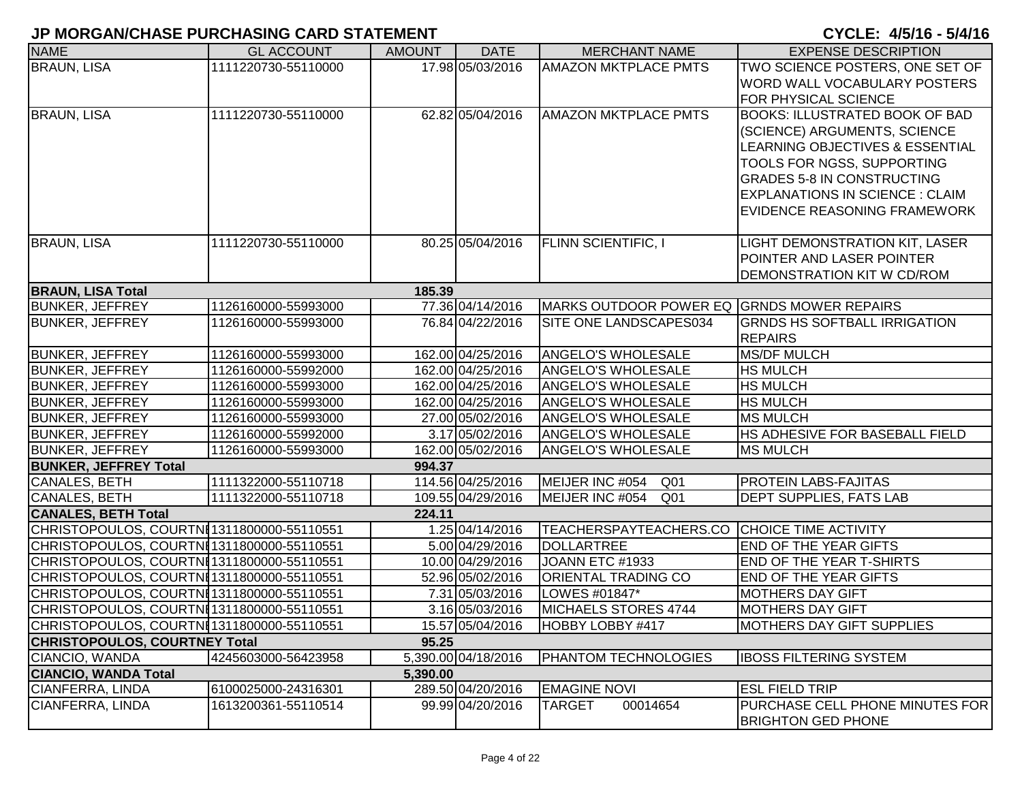| <b>NAME</b>                                | <b>GL ACCOUNT</b>   | <b>AMOUNT</b> | <b>DATE</b>         | <b>MERCHANT NAME</b>                        | <b>EXPENSE DESCRIPTION</b>                                   |
|--------------------------------------------|---------------------|---------------|---------------------|---------------------------------------------|--------------------------------------------------------------|
| <b>BRAUN, LISA</b>                         | 1111220730-55110000 |               | 17.98 05/03/2016    | <b>AMAZON MKTPLACE PMTS</b>                 | TWO SCIENCE POSTERS, ONE SET OF                              |
|                                            |                     |               |                     |                                             | WORD WALL VOCABULARY POSTERS                                 |
|                                            |                     |               |                     |                                             | FOR PHYSICAL SCIENCE                                         |
| <b>BRAUN, LISA</b>                         | 1111220730-55110000 |               | 62.82 05/04/2016    | <b>AMAZON MKTPLACE PMTS</b>                 | <b>BOOKS: ILLUSTRATED BOOK OF BAD</b>                        |
|                                            |                     |               |                     |                                             | (SCIENCE) ARGUMENTS, SCIENCE                                 |
|                                            |                     |               |                     |                                             | LEARNING OBJECTIVES & ESSENTIAL                              |
|                                            |                     |               |                     |                                             | TOOLS FOR NGSS, SUPPORTING                                   |
|                                            |                     |               |                     |                                             | <b>GRADES 5-8 IN CONSTRUCTING</b>                            |
|                                            |                     |               |                     |                                             | <b>EXPLANATIONS IN SCIENCE: CLAIM</b>                        |
|                                            |                     |               |                     |                                             | EVIDENCE REASONING FRAMEWORK                                 |
| <b>BRAUN, LISA</b>                         | 1111220730-55110000 |               | 80.25 05/04/2016    | <b>FLINN SCIENTIFIC, I</b>                  | LIGHT DEMONSTRATION KIT, LASER                               |
|                                            |                     |               |                     |                                             | POINTER AND LASER POINTER                                    |
|                                            |                     |               |                     |                                             | DEMONSTRATION KIT W CD/ROM                                   |
| <b>BRAUN, LISA Total</b>                   |                     | 185.39        |                     |                                             |                                                              |
| <b>BUNKER, JEFFREY</b>                     | 1126160000-55993000 |               | 77.36 04/14/2016    | MARKS OUTDOOR POWER EQ GRNDS MOWER REPAIRS  |                                                              |
| <b>BUNKER, JEFFREY</b>                     | 1126160000-55993000 |               | 76.84 04/22/2016    | SITE ONE LANDSCAPES034                      | <b>GRNDS HS SOFTBALL IRRIGATION</b>                          |
|                                            |                     |               |                     |                                             | <b>REPAIRS</b>                                               |
| <b>BUNKER, JEFFREY</b>                     | 1126160000-55993000 |               | 162.00 04/25/2016   | <b>ANGELO'S WHOLESALE</b>                   | <b>MS/DF MULCH</b>                                           |
| <b>BUNKER, JEFFREY</b>                     | 1126160000-55992000 |               | 162.00 04/25/2016   | <b>ANGELO'S WHOLESALE</b>                   | <b>HS MULCH</b>                                              |
| <b>BUNKER, JEFFREY</b>                     | 1126160000-55993000 |               | 162.00 04/25/2016   | <b>ANGELO'S WHOLESALE</b>                   | <b>HS MULCH</b>                                              |
| <b>BUNKER, JEFFREY</b>                     | 1126160000-55993000 |               | 162.00 04/25/2016   | <b>ANGELO'S WHOLESALE</b>                   | <b>HS MULCH</b>                                              |
| <b>BUNKER, JEFFREY</b>                     | 1126160000-55993000 |               | 27.00 05/02/2016    | <b>ANGELO'S WHOLESALE</b>                   | <b>MS MULCH</b>                                              |
| <b>BUNKER, JEFFREY</b>                     | 1126160000-55992000 |               | 3.17 05/02/2016     | <b>ANGELO'S WHOLESALE</b>                   | HS ADHESIVE FOR BASEBALL FIELD                               |
| <b>BUNKER, JEFFREY</b>                     | 1126160000-55993000 |               | 162.00 05/02/2016   | <b>ANGELO'S WHOLESALE</b>                   | <b>MS MULCH</b>                                              |
| <b>BUNKER, JEFFREY Total</b>               |                     | 994.37        |                     |                                             |                                                              |
| <b>CANALES, BETH</b>                       | 1111322000-55110718 |               | 114.56 04/25/2016   | MEIJER INC #054<br>Q01                      | <b>PROTEIN LABS-FAJITAS</b>                                  |
| <b>CANALES, BETH</b>                       | 1111322000-55110718 |               | 109.55 04/29/2016   | MEIJER INC #054<br>Q <sub>01</sub>          | DEPT SUPPLIES, FATS LAB                                      |
| <b>CANALES, BETH Total</b>                 |                     | 224.11        |                     |                                             |                                                              |
| CHRISTOPOULOS, COURTNI1311800000-55110551  |                     |               | 1.25 04/14/2016     | TEACHERSPAYTEACHERS.CO CHOICE TIME ACTIVITY |                                                              |
| CHRISTOPOULOS, COURTNI1311800000-55110551  |                     |               | 5.00 04/29/2016     | <b>DOLLARTREE</b>                           | <b>END OF THE YEAR GIFTS</b>                                 |
| CHRISTOPOULOS, COURTNI1311800000-55110551  |                     |               | 10.00 04/29/2016    | JOANN ETC #1933                             | <b>END OF THE YEAR T-SHIRTS</b>                              |
| CHRISTOPOULOS, COURTNI1311800000-55110551  |                     |               | 52.96 05/02/2016    | <b>ORIENTAL TRADING CO</b>                  | <b>END OF THE YEAR GIFTS</b>                                 |
| CHRISTOPOULOS, COURTNI1311800000-55110551  |                     |               | 7.31 05/03/2016     | LOWES #01847*                               | <b>MOTHERS DAY GIFT</b>                                      |
| CHRISTOPOULOS, COURTNI1311800000-55110551  |                     |               | 3.16 05/03/2016     | MICHAELS STORES 4744                        | <b>MOTHERS DAY GIFT</b>                                      |
| CHRISTOPOULOS, COURTNI 1311800000-55110551 |                     |               | 15.57 05/04/2016    | HOBBY LOBBY #417                            | <b>MOTHERS DAY GIFT SUPPLIES</b>                             |
| <b>CHRISTOPOULOS, COURTNEY Total</b>       |                     | 95.25         |                     |                                             |                                                              |
| CIANCIO, WANDA                             | 4245603000-56423958 |               | 5,390.00 04/18/2016 | <b>PHANTOM TECHNOLOGIES</b>                 | <b>IBOSS FILTERING SYSTEM</b>                                |
| <b>CIANCIO, WANDA Total</b>                |                     | 5,390.00      |                     |                                             |                                                              |
| <b>CIANFERRA, LINDA</b>                    | 6100025000-24316301 |               | 289.50 04/20/2016   | <b>EMAGINE NOVI</b>                         | <b>ESL FIELD TRIP</b>                                        |
| CIANFERRA, LINDA                           | 1613200361-55110514 |               | 99.99 04/20/2016    | <b>TARGET</b><br>00014654                   | PURCHASE CELL PHONE MINUTES FOR<br><b>BRIGHTON GED PHONE</b> |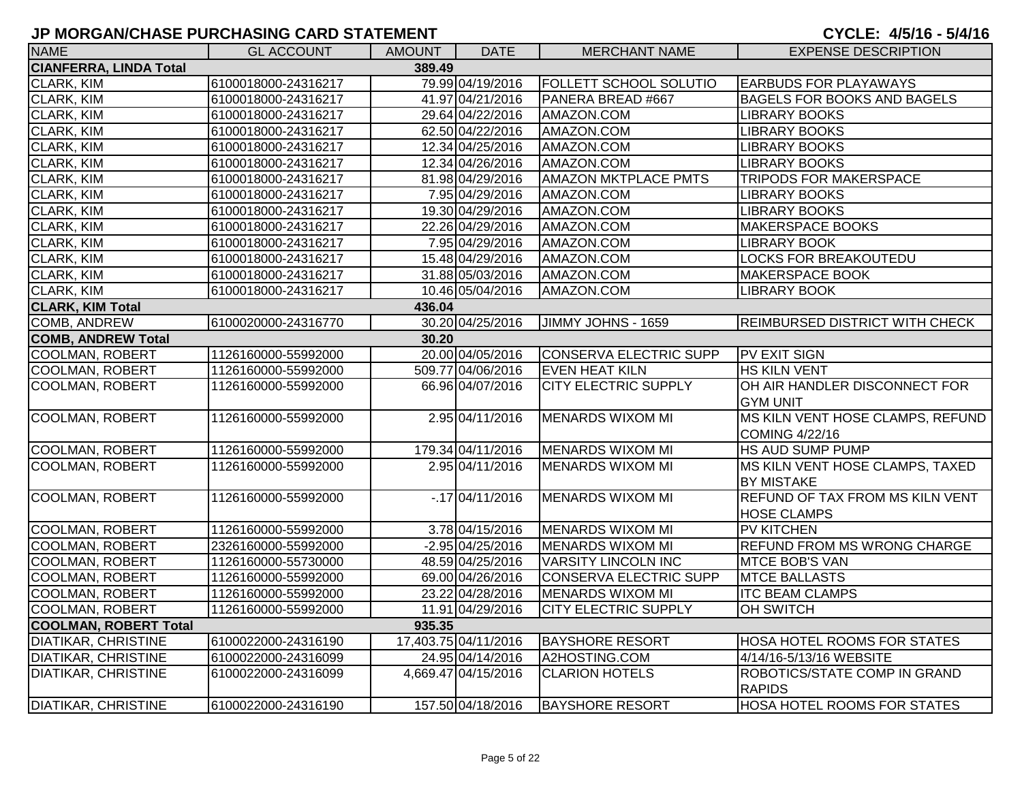| <b>NAME</b>                   | <b>GL ACCOUNT</b>   | AMOUNT | <b>DATE</b>          | <b>MERCHANT NAME</b>          | <b>EXPENSE DESCRIPTION</b>                                |
|-------------------------------|---------------------|--------|----------------------|-------------------------------|-----------------------------------------------------------|
| <b>CIANFERRA, LINDA Total</b> |                     | 389.49 |                      |                               |                                                           |
| <b>CLARK, KIM</b>             | 6100018000-24316217 |        | 79.99 04/19/2016     | FOLLETT SCHOOL SOLUTIO        | <b>EARBUDS FOR PLAYAWAYS</b>                              |
| CLARK, KIM                    | 6100018000-24316217 |        | 41.97 04/21/2016     | PANERA BREAD #667             | <b>BAGELS FOR BOOKS AND BAGELS</b>                        |
| CLARK, KIM                    | 6100018000-24316217 |        | 29.64 04/22/2016     | AMAZON.COM                    | <b>LIBRARY BOOKS</b>                                      |
| CLARK, KIM                    | 6100018000-24316217 |        | 62.50 04/22/2016     | AMAZON.COM                    | <b>LIBRARY BOOKS</b>                                      |
| <b>CLARK, KIM</b>             | 6100018000-24316217 |        | 12.34 04/25/2016     | AMAZON.COM                    | <b>LIBRARY BOOKS</b>                                      |
| CLARK, KIM                    | 6100018000-24316217 |        | 12.34 04/26/2016     | AMAZON.COM                    | <b>LIBRARY BOOKS</b>                                      |
| <b>CLARK, KIM</b>             | 6100018000-24316217 |        | 81.98 04/29/2016     | <b>AMAZON MKTPLACE PMTS</b>   | <b>TRIPODS FOR MAKERSPACE</b>                             |
| CLARK, KIM                    | 6100018000-24316217 |        | 7.95 04/29/2016      | AMAZON.COM                    | <b>LIBRARY BOOKS</b>                                      |
| CLARK, KIM                    | 6100018000-24316217 |        | 19.30 04/29/2016     | AMAZON.COM                    | <b>LIBRARY BOOKS</b>                                      |
| <b>CLARK, KIM</b>             | 6100018000-24316217 |        | 22.26 04/29/2016     | AMAZON.COM                    | <b>MAKERSPACE BOOKS</b>                                   |
| <b>CLARK, KIM</b>             | 6100018000-24316217 |        | 7.95 04/29/2016      | AMAZON.COM                    | <b>LIBRARY BOOK</b>                                       |
| CLARK, KIM                    | 6100018000-24316217 |        | 15.48 04/29/2016     | AMAZON.COM                    | <b>LOCKS FOR BREAKOUTEDU</b>                              |
| CLARK, KIM                    | 6100018000-24316217 |        | 31.88 05/03/2016     | AMAZON.COM                    | <b>MAKERSPACE BOOK</b>                                    |
| CLARK, KIM                    | 6100018000-24316217 |        | 10.46 05/04/2016     | AMAZON.COM                    | <b>LIBRARY BOOK</b>                                       |
| <b>CLARK, KIM Total</b>       |                     | 436.04 |                      |                               |                                                           |
| COMB, ANDREW                  | 6100020000-24316770 |        | 30.20 04/25/2016     | JIMMY JOHNS - 1659            | <b>REIMBURSED DISTRICT WITH CHECK</b>                     |
| <b>COMB, ANDREW Total</b>     |                     | 30.20  |                      |                               |                                                           |
| <b>COOLMAN, ROBERT</b>        | 1126160000-55992000 |        | 20.00 04/05/2016     | <b>CONSERVA ELECTRIC SUPP</b> | PV EXIT SIGN                                              |
| <b>COOLMAN, ROBERT</b>        | 1126160000-55992000 |        | 509.77 04/06/2016    | <b>EVEN HEAT KILN</b>         | <b>HS KILN VENT</b>                                       |
| <b>COOLMAN, ROBERT</b>        | 1126160000-55992000 |        | 66.96 04/07/2016     | <b>CITY ELECTRIC SUPPLY</b>   | OH AIR HANDLER DISCONNECT FOR<br><b>GYM UNIT</b>          |
| <b>COOLMAN, ROBERT</b>        | 1126160000-55992000 |        | 2.95 04/11/2016      | <b>MENARDS WIXOM MI</b>       | MS KILN VENT HOSE CLAMPS, REFUND<br><b>COMING 4/22/16</b> |
| <b>COOLMAN, ROBERT</b>        | 1126160000-55992000 |        | 179.34 04/11/2016    | <b>MENARDS WIXOM MI</b>       | HS AUD SUMP PUMP                                          |
| <b>COOLMAN, ROBERT</b>        | 1126160000-55992000 |        | 2.95 04/11/2016      | <b>MENARDS WIXOM MI</b>       | MS KILN VENT HOSE CLAMPS, TAXED<br><b>BY MISTAKE</b>      |
| <b>COOLMAN, ROBERT</b>        | 1126160000-55992000 |        | $-17$ 04/11/2016     | <b>MENARDS WIXOM MI</b>       | REFUND OF TAX FROM MS KILN VENT<br><b>HOSE CLAMPS</b>     |
| COOLMAN, ROBERT               | 1126160000-55992000 |        | 3.78 04/15/2016      | <b>MENARDS WIXOM MI</b>       | <b>PV KITCHEN</b>                                         |
| <b>COOLMAN, ROBERT</b>        | 2326160000-55992000 |        | $-2.95 04/25/2016$   | <b>MENARDS WIXOM MI</b>       | <b>REFUND FROM MS WRONG CHARGE</b>                        |
| <b>COOLMAN, ROBERT</b>        | 1126160000-55730000 |        | 48.59 04/25/2016     | <b>VARSITY LINCOLN INC</b>    | <b>MTCE BOB'S VAN</b>                                     |
| <b>COOLMAN, ROBERT</b>        | 1126160000-55992000 |        | 69.00 04/26/2016     | <b>CONSERVA ELECTRIC SUPP</b> | <b>MTCE BALLASTS</b>                                      |
| COOLMAN, ROBERT               | 1126160000-55992000 |        | 23.22 04/28/2016     | <b>MENARDS WIXOM MI</b>       | <b>ITC BEAM CLAMPS</b>                                    |
| COOLMAN, ROBERT               | 1126160000-55992000 |        | 11.91 04/29/2016     | <b>CITY ELECTRIC SUPPLY</b>   | OH SWITCH                                                 |
| <b>COOLMAN, ROBERT Total</b>  |                     | 935.35 |                      |                               |                                                           |
| <b>DIATIKAR, CHRISTINE</b>    | 6100022000-24316190 |        | 17,403.75 04/11/2016 | <b>BAYSHORE RESORT</b>        | <b>HOSA HOTEL ROOMS FOR STATES</b>                        |
| <b>DIATIKAR, CHRISTINE</b>    | 6100022000-24316099 |        | 24.95 04/14/2016     | A2HOSTING.COM                 | 4/14/16-5/13/16 WEBSITE                                   |
| <b>DIATIKAR, CHRISTINE</b>    | 6100022000-24316099 |        | 4,669.47 04/15/2016  | <b>CLARION HOTELS</b>         | ROBOTICS/STATE COMP IN GRAND<br><b>RAPIDS</b>             |
| <b>DIATIKAR, CHRISTINE</b>    | 6100022000-24316190 |        | 157.50 04/18/2016    | <b>BAYSHORE RESORT</b>        | <b>HOSA HOTEL ROOMS FOR STATES</b>                        |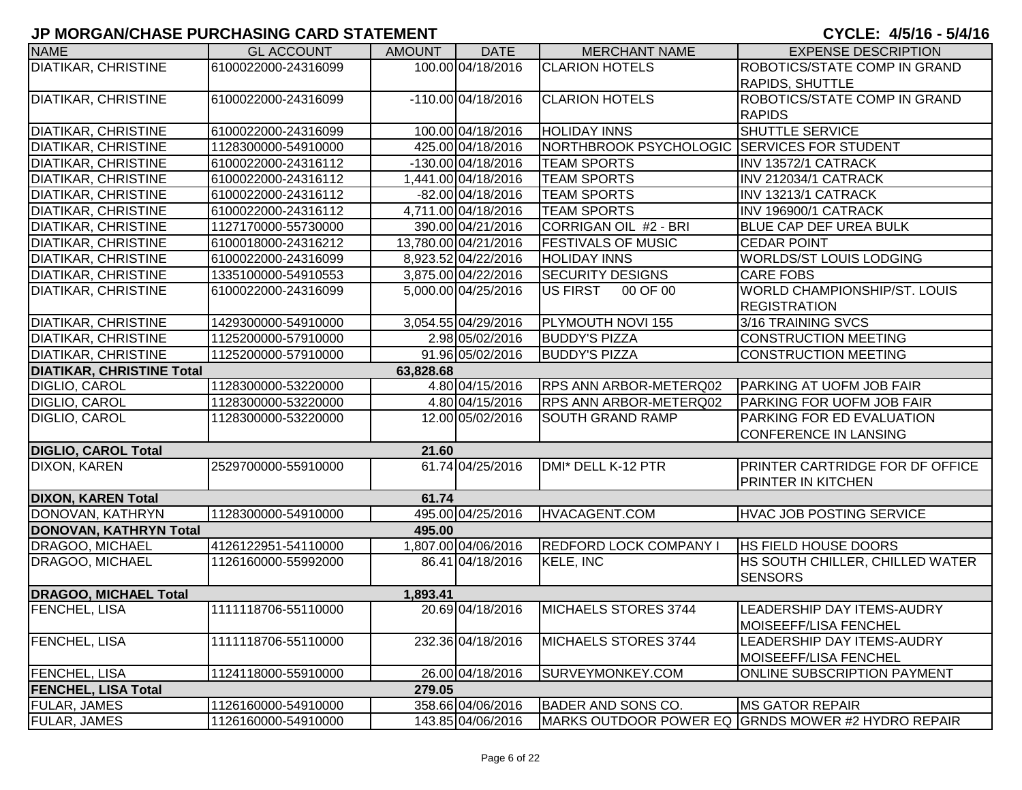| <b>NAME</b>                      | <b>GL ACCOUNT</b>   | <b>AMOUNT</b> | <b>DATE</b>          | <b>MERCHANT NAME</b>                        | <b>EXPENSE DESCRIPTION</b>                         |
|----------------------------------|---------------------|---------------|----------------------|---------------------------------------------|----------------------------------------------------|
| <b>DIATIKAR, CHRISTINE</b>       | 6100022000-24316099 |               | 100.00 04/18/2016    | <b>CLARION HOTELS</b>                       | ROBOTICS/STATE COMP IN GRAND                       |
|                                  |                     |               |                      |                                             | <b>RAPIDS, SHUTTLE</b>                             |
| <b>DIATIKAR, CHRISTINE</b>       | 6100022000-24316099 |               | $-110.00004/18/2016$ | <b>CLARION HOTELS</b>                       | <b>ROBOTICS/STATE COMP IN GRAND</b>                |
|                                  |                     |               |                      |                                             | <b>RAPIDS</b>                                      |
| <b>DIATIKAR, CHRISTINE</b>       | 6100022000-24316099 |               | 100.00 04/18/2016    | <b>HOLIDAY INNS</b>                         | <b>SHUTTLE SERVICE</b>                             |
| <b>DIATIKAR, CHRISTINE</b>       | 1128300000-54910000 |               | 425.00 04/18/2016    | NORTHBROOK PSYCHOLOGIC SERVICES FOR STUDENT |                                                    |
| <b>DIATIKAR, CHRISTINE</b>       | 6100022000-24316112 |               | -130.00 04/18/2016   | <b>TEAM SPORTS</b>                          | INV 13572/1 CATRACK                                |
| <b>DIATIKAR, CHRISTINE</b>       | 6100022000-24316112 |               | 1,441.00 04/18/2016  | <b>TEAM SPORTS</b>                          | INV 212034/1 CATRACK                               |
| <b>DIATIKAR, CHRISTINE</b>       | 6100022000-24316112 |               | -82.00 04/18/2016    | <b>TEAM SPORTS</b>                          | INV 13213/1 CATRACK                                |
| <b>DIATIKAR, CHRISTINE</b>       | 6100022000-24316112 |               | 4,711.00 04/18/2016  | <b>TEAM SPORTS</b>                          | INV 196900/1 CATRACK                               |
| <b>DIATIKAR, CHRISTINE</b>       | 1127170000-55730000 |               | 390.00 04/21/2016    | CORRIGAN OIL #2 - BRI                       | BLUE CAP DEF UREA BULK                             |
| <b>DIATIKAR, CHRISTINE</b>       | 6100018000-24316212 |               | 13,780.00 04/21/2016 | <b>FESTIVALS OF MUSIC</b>                   | <b>CEDAR POINT</b>                                 |
| <b>DIATIKAR, CHRISTINE</b>       | 6100022000-24316099 |               | 8,923.52 04/22/2016  | <b>HOLIDAY INNS</b>                         | <b>WORLDS/ST LOUIS LODGING</b>                     |
| <b>DIATIKAR, CHRISTINE</b>       | 1335100000-54910553 |               | 3,875.00 04/22/2016  | <b>SECURITY DESIGNS</b>                     | <b>CARE FOBS</b>                                   |
| <b>DIATIKAR, CHRISTINE</b>       | 6100022000-24316099 |               | 5,000.00 04/25/2016  | US FIRST<br>00 OF 00                        | WORLD CHAMPIONSHIP/ST. LOUIS                       |
|                                  |                     |               |                      |                                             | <b>REGISTRATION</b>                                |
| <b>DIATIKAR, CHRISTINE</b>       | 1429300000-54910000 |               | 3,054.55 04/29/2016  | PLYMOUTH NOVI 155                           | 3/16 TRAINING SVCS                                 |
| <b>DIATIKAR, CHRISTINE</b>       | 1125200000-57910000 |               | 2.98 05/02/2016      | <b>BUDDY'S PIZZA</b>                        | <b>CONSTRUCTION MEETING</b>                        |
| <b>DIATIKAR, CHRISTINE</b>       | 1125200000-57910000 |               | 91.96 05/02/2016     | <b>BUDDY'S PIZZA</b>                        | <b>CONSTRUCTION MEETING</b>                        |
| <b>DIATIKAR, CHRISTINE Total</b> |                     | 63,828.68     |                      |                                             |                                                    |
| DIGLIO, CAROL                    | 1128300000-53220000 |               | 4.80 04/15/2016      | <b>RPS ANN ARBOR-METERQ02</b>               | <b>PARKING AT UOFM JOB FAIR</b>                    |
| DIGLIO, CAROL                    | 1128300000-53220000 |               | 4.80 04/15/2016      | <b>RPS ANN ARBOR-METERQ02</b>               | <b>PARKING FOR UOFM JOB FAIR</b>                   |
| DIGLIO, CAROL                    | 1128300000-53220000 |               | 12.00 05/02/2016     | <b>SOUTH GRAND RAMP</b>                     | <b>PARKING FOR ED EVALUATION</b>                   |
|                                  |                     |               |                      |                                             | <b>CONFERENCE IN LANSING</b>                       |
| <b>DIGLIO, CAROL Total</b>       |                     | 21.60         |                      |                                             |                                                    |
| DIXON, KAREN                     | 2529700000-55910000 |               | 61.74 04/25/2016     | DMI* DELL K-12 PTR                          | <b>PRINTER CARTRIDGE FOR DF OFFICE</b>             |
|                                  |                     |               |                      |                                             | PRINTER IN KITCHEN                                 |
| <b>DIXON, KAREN Total</b>        |                     | 61.74         |                      |                                             |                                                    |
| DONOVAN, KATHRYN                 | 1128300000-54910000 |               | 495.00 04/25/2016    | HVACAGENT.COM                               | <b>HVAC JOB POSTING SERVICE</b>                    |
| <b>DONOVAN, KATHRYN Total</b>    |                     | 495.00        |                      |                                             |                                                    |
| DRAGOO, MICHAEL                  | 4126122951-54110000 |               | 1,807.00 04/06/2016  | <b>REDFORD LOCK COMPANY I</b>               | <b>HS FIELD HOUSE DOORS</b>                        |
| <b>DRAGOO, MICHAEL</b>           | 1126160000-55992000 |               | 86.41 04/18/2016     | KELE, INC                                   | HS SOUTH CHILLER, CHILLED WATER                    |
|                                  |                     |               |                      |                                             | <b>SENSORS</b>                                     |
| <b>DRAGOO, MICHAEL Total</b>     |                     | 1,893.41      |                      |                                             |                                                    |
| <b>FENCHEL, LISA</b>             | 1111118706-55110000 |               | 20.69 04/18/2016     | MICHAELS STORES 3744                        | <b>LEADERSHIP DAY ITEMS-AUDRY</b>                  |
|                                  |                     |               |                      |                                             | <b>MOISEEFF/LISA FENCHEL</b>                       |
| <b>FENCHEL, LISA</b>             | 1111118706-55110000 |               | 232.36 04/18/2016    | MICHAELS STORES 3744                        | LEADERSHIP DAY ITEMS-AUDRY                         |
|                                  |                     |               |                      |                                             | <b>MOISEEFF/LISA FENCHEL</b>                       |
| FENCHEL, LISA                    | 1124118000-55910000 |               | 26.00 04/18/2016     | SURVEYMONKEY.COM                            | ONLINE SUBSCRIPTION PAYMENT                        |
| <b>FENCHEL, LISA Total</b>       |                     | 279.05        |                      |                                             |                                                    |
| <b>FULAR, JAMES</b>              | 1126160000-54910000 |               | 358.66 04/06/2016    | <b>BADER AND SONS CO.</b>                   | <b>MS GATOR REPAIR</b>                             |
| <b>FULAR, JAMES</b>              | 1126160000-54910000 |               | 143.85 04/06/2016    |                                             | MARKS OUTDOOR POWER EQ GRNDS MOWER #2 HYDRO REPAIR |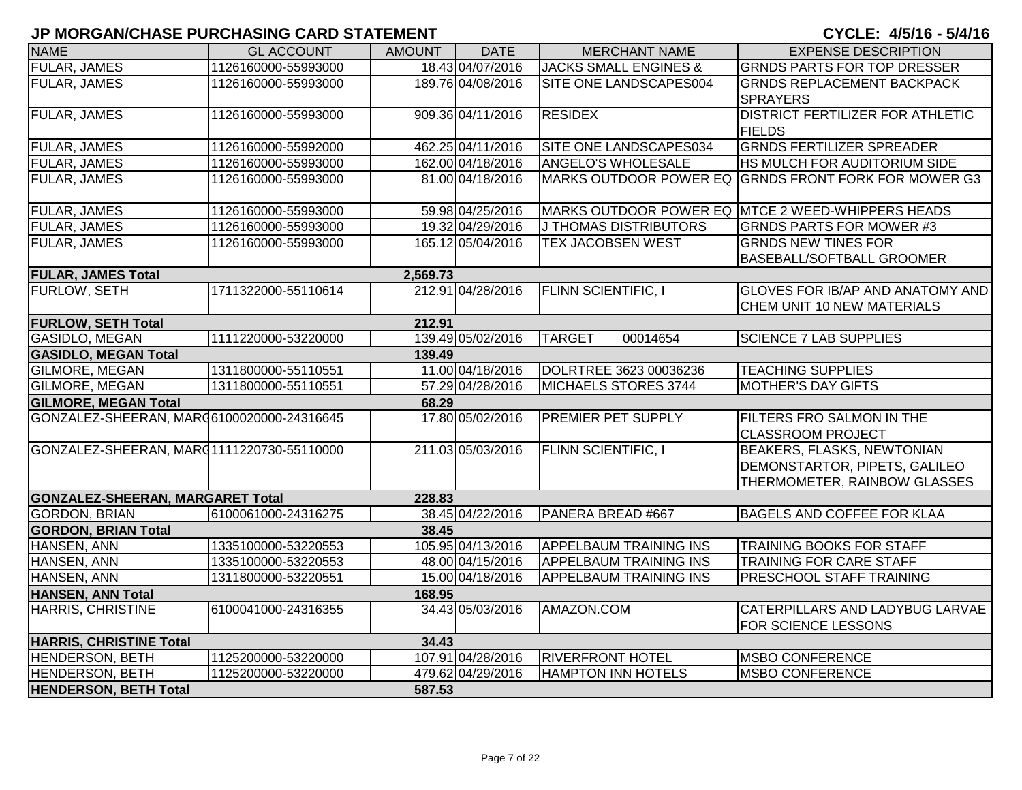| <b>NAME</b>                                | <b>GL ACCOUNT</b>   | <b>AMOUNT</b> | <b>DATE</b>       | <b>MERCHANT NAME</b>             | <b>EXPENSE DESCRIPTION</b>                                                                         |
|--------------------------------------------|---------------------|---------------|-------------------|----------------------------------|----------------------------------------------------------------------------------------------------|
| FULAR, JAMES                               | 1126160000-55993000 |               | 18.43 04/07/2016  | <b>JACKS SMALL ENGINES &amp;</b> | <b>GRNDS PARTS FOR TOP DRESSER</b>                                                                 |
| FULAR, JAMES                               | 1126160000-55993000 |               | 189.76 04/08/2016 | SITE ONE LANDSCAPES004           | <b>GRNDS REPLACEMENT BACKPACK</b><br><b>SPRAYERS</b>                                               |
| <b>FULAR, JAMES</b>                        | 1126160000-55993000 |               | 909.36 04/11/2016 | <b>RESIDEX</b>                   | <b>DISTRICT FERTILIZER FOR ATHLETIC</b><br><b>FIELDS</b>                                           |
| FULAR, JAMES                               | 1126160000-55992000 |               | 462.25 04/11/2016 | SITE ONE LANDSCAPES034           | <b>GRNDS FERTILIZER SPREADER</b>                                                                   |
| FULAR, JAMES                               | 1126160000-55993000 |               | 162.00 04/18/2016 | ANGELO'S WHOLESALE               | HS MULCH FOR AUDITORIUM SIDE                                                                       |
| FULAR, JAMES                               | 1126160000-55993000 |               | 81.00 04/18/2016  |                                  | MARKS OUTDOOR POWER EQ GRNDS FRONT FORK FOR MOWER G3                                               |
| <b>FULAR, JAMES</b>                        | 1126160000-55993000 |               | 59.98 04/25/2016  |                                  | MARKS OUTDOOR POWER EQ MTCE 2 WEED-WHIPPERS HEADS                                                  |
| <b>FULAR, JAMES</b>                        | 1126160000-55993000 |               | 19.32 04/29/2016  | J THOMAS DISTRIBUTORS            | <b>GRNDS PARTS FOR MOWER #3</b>                                                                    |
| FULAR, JAMES                               | 1126160000-55993000 |               | 165.12 05/04/2016 | <b>TEX JACOBSEN WEST</b>         | <b>GRNDS NEW TINES FOR</b><br>BASEBALL/SOFTBALL GROOMER                                            |
| <b>FULAR, JAMES Total</b>                  |                     | 2,569.73      |                   |                                  |                                                                                                    |
| <b>FURLOW, SETH</b>                        | 1711322000-55110614 |               | 212.91 04/28/2016 | <b>FLINN SCIENTIFIC, I</b>       | GLOVES FOR IB/AP AND ANATOMY AND<br>CHEM UNIT 10 NEW MATERIALS                                     |
| <b>FURLOW, SETH Total</b>                  |                     | 212.91        |                   |                                  |                                                                                                    |
| <b>GASIDLO, MEGAN</b>                      | 1111220000-53220000 |               | 139.49 05/02/2016 | <b>TARGET</b><br>00014654        | <b>SCIENCE 7 LAB SUPPLIES</b>                                                                      |
| <b>GASIDLO, MEGAN Total</b>                |                     | 139.49        |                   |                                  |                                                                                                    |
| <b>GILMORE, MEGAN</b>                      | 1311800000-55110551 |               | 11.00 04/18/2016  | DOLRTREE 3623 00036236           | <b>TEACHING SUPPLIES</b>                                                                           |
| GILMORE, MEGAN                             | 1311800000-55110551 |               | 57.29 04/28/2016  | MICHAELS STORES 3744             | <b>MOTHER'S DAY GIFTS</b>                                                                          |
| <b>GILMORE, MEGAN Total</b>                |                     | 68.29         |                   |                                  |                                                                                                    |
| GONZALEZ-SHEERAN, MAR06100020000-24316645  |                     |               | 17.80 05/02/2016  | PREMIER PET SUPPLY               | <b>FILTERS FRO SALMON IN THE</b><br><b>CLASSROOM PROJECT</b>                                       |
| GONZALEZ-SHEERAN, MAR (1111220730-55110000 |                     |               | 211.03 05/03/2016 | <b>FLINN SCIENTIFIC, I</b>       | <b>BEAKERS, FLASKS, NEWTONIAN</b><br>DEMONSTARTOR, PIPETS, GALILEO<br>THERMOMETER, RAINBOW GLASSES |
| <b>GONZALEZ-SHEERAN, MARGARET Total</b>    |                     | 228.83        |                   |                                  |                                                                                                    |
| GORDON, BRIAN                              | 6100061000-24316275 |               | 38.45 04/22/2016  | PANERA BREAD #667                | <b>BAGELS AND COFFEE FOR KLAA</b>                                                                  |
| <b>GORDON, BRIAN Total</b>                 |                     | 38.45         |                   |                                  |                                                                                                    |
| HANSEN, ANN                                | 1335100000-53220553 |               | 105.95 04/13/2016 | <b>APPELBAUM TRAINING INS</b>    | <b>TRAINING BOOKS FOR STAFF</b>                                                                    |
| HANSEN, ANN                                | 1335100000-53220553 |               | 48.00 04/15/2016  | <b>APPELBAUM TRAINING INS</b>    | <b>TRAINING FOR CARE STAFF</b>                                                                     |
| HANSEN, ANN                                | 1311800000-53220551 |               | 15.00 04/18/2016  | <b>APPELBAUM TRAINING INS</b>    | PRESCHOOL STAFF TRAINING                                                                           |
| <b>HANSEN, ANN Total</b>                   |                     | 168.95        |                   |                                  |                                                                                                    |
| HARRIS, CHRISTINE                          | 6100041000-24316355 |               | 34.43 05/03/2016  | AMAZON.COM                       | CATERPILLARS AND LADYBUG LARVAE<br>FOR SCIENCE LESSONS                                             |
| <b>HARRIS, CHRISTINE Total</b>             |                     | 34.43         |                   |                                  |                                                                                                    |
| HENDERSON, BETH                            | 1125200000-53220000 |               | 107.91 04/28/2016 | <b>RIVERFRONT HOTEL</b>          | <b>MSBO CONFERENCE</b>                                                                             |
| HENDERSON, BETH                            | 1125200000-53220000 |               | 479.62 04/29/2016 | <b>HAMPTON INN HOTELS</b>        | <b>MSBO CONFERENCE</b>                                                                             |
| <b>HENDERSON, BETH Total</b>               |                     | 587.53        |                   |                                  |                                                                                                    |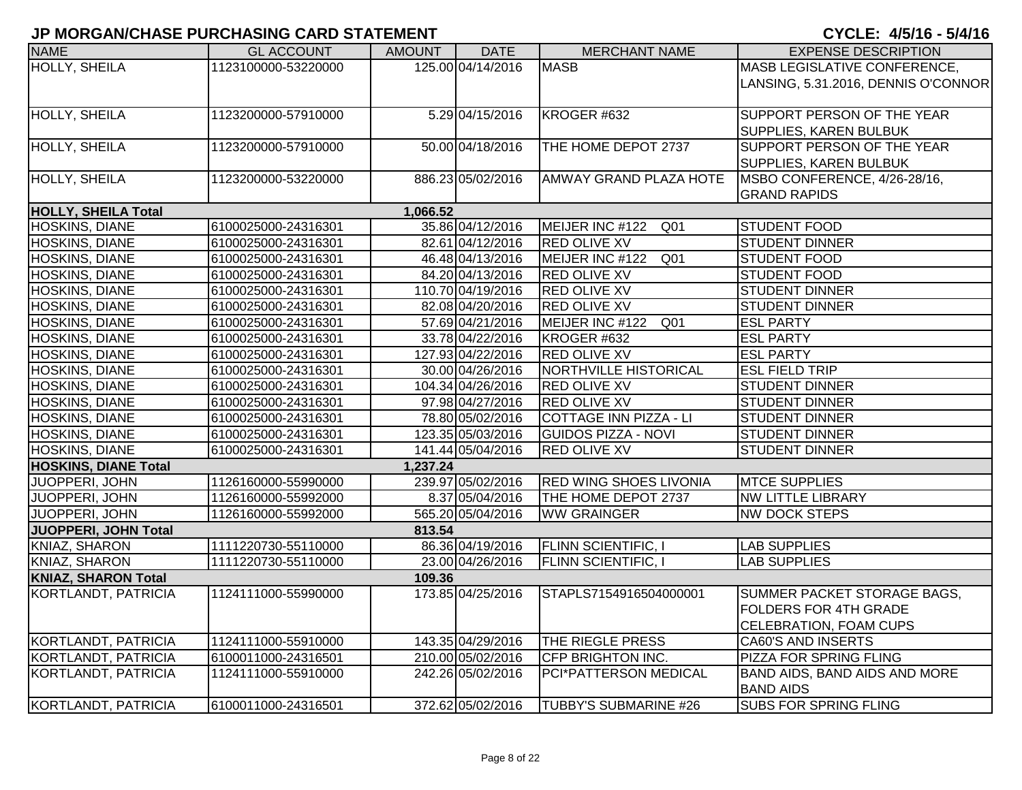| <b>NAME</b>                 | <b>GL ACCOUNT</b>   | <b>AMOUNT</b> | <b>DATE</b>       | <b>MERCHANT NAME</b>          | <b>EXPENSE DESCRIPTION</b>           |
|-----------------------------|---------------------|---------------|-------------------|-------------------------------|--------------------------------------|
| HOLLY, SHEILA               | 1123100000-53220000 |               | 125.00 04/14/2016 | <b>MASB</b>                   | MASB LEGISLATIVE CONFERENCE,         |
|                             |                     |               |                   |                               | LANSING, 5.31.2016, DENNIS O'CONNOR  |
|                             |                     |               |                   |                               |                                      |
| HOLLY, SHEILA               | 1123200000-57910000 |               | 5.29 04/15/2016   | KROGER #632                   | SUPPORT PERSON OF THE YEAR           |
|                             |                     |               |                   |                               | <b>SUPPLIES, KAREN BULBUK</b>        |
| <b>HOLLY, SHEILA</b>        | 1123200000-57910000 |               | 50.00 04/18/2016  | THE HOME DEPOT 2737           | SUPPORT PERSON OF THE YEAR           |
|                             |                     |               |                   |                               | SUPPLIES, KAREN BULBUK               |
| HOLLY, SHEILA               | 1123200000-53220000 |               | 886.23 05/02/2016 | <b>AMWAY GRAND PLAZA HOTE</b> | MSBO CONFERENCE, 4/26-28/16,         |
|                             |                     |               |                   |                               | <b>GRAND RAPIDS</b>                  |
| <b>HOLLY, SHEILA Total</b>  |                     | 1,066.52      |                   |                               |                                      |
| <b>HOSKINS, DIANE</b>       | 6100025000-24316301 |               | 35.86 04/12/2016  | MEIJER INC #122 Q01           | <b>STUDENT FOOD</b>                  |
| <b>HOSKINS, DIANE</b>       | 6100025000-24316301 |               | 82.61 04/12/2016  | <b>RED OLIVE XV</b>           | <b>STUDENT DINNER</b>                |
| HOSKINS, DIANE              | 6100025000-24316301 |               | 46.48 04/13/2016  | MEIJER INC #122 Q01           | <b>STUDENT FOOD</b>                  |
| HOSKINS, DIANE              | 6100025000-24316301 |               | 84.20 04/13/2016  | <b>RED OLIVE XV</b>           | <b>STUDENT FOOD</b>                  |
| <b>HOSKINS, DIANE</b>       | 6100025000-24316301 |               | 110.70 04/19/2016 | <b>RED OLIVE XV</b>           | <b>STUDENT DINNER</b>                |
| HOSKINS, DIANE              | 6100025000-24316301 |               | 82.08 04/20/2016  | <b>RED OLIVE XV</b>           | <b>STUDENT DINNER</b>                |
| <b>HOSKINS, DIANE</b>       | 6100025000-24316301 |               | 57.69 04/21/2016  | MEIJER INC #122 Q01           | <b>ESL PARTY</b>                     |
| HOSKINS, DIANE              | 6100025000-24316301 |               | 33.78 04/22/2016  | KROGER #632                   | <b>ESL PARTY</b>                     |
| HOSKINS, DIANE              | 6100025000-24316301 |               | 127.93 04/22/2016 | <b>RED OLIVE XV</b>           | <b>ESL PARTY</b>                     |
| HOSKINS, DIANE              | 6100025000-24316301 |               | 30.00 04/26/2016  | <b>NORTHVILLE HISTORICAL</b>  | <b>ESL FIELD TRIP</b>                |
| <b>HOSKINS, DIANE</b>       | 6100025000-24316301 |               | 104.34 04/26/2016 | <b>RED OLIVE XV</b>           | <b>STUDENT DINNER</b>                |
| <b>HOSKINS, DIANE</b>       | 6100025000-24316301 |               | 97.98 04/27/2016  | <b>RED OLIVE XV</b>           | <b>STUDENT DINNER</b>                |
| HOSKINS, DIANE              | 6100025000-24316301 |               | 78.80 05/02/2016  | COTTAGE INN PIZZA - LI        | <b>STUDENT DINNER</b>                |
| HOSKINS, DIANE              | 6100025000-24316301 |               | 123.35 05/03/2016 | <b>GUIDOS PIZZA - NOVI</b>    | <b>STUDENT DINNER</b>                |
| <b>HOSKINS, DIANE</b>       | 6100025000-24316301 |               | 141.44 05/04/2016 | <b>RED OLIVE XV</b>           | <b>STUDENT DINNER</b>                |
| <b>HOSKINS, DIANE Total</b> |                     | 1,237.24      |                   |                               |                                      |
| JUOPPERI, JOHN              | 1126160000-55990000 |               | 239.97 05/02/2016 | <b>RED WING SHOES LIVONIA</b> | <b>MTCE SUPPLIES</b>                 |
| JUOPPERI, JOHN              | 1126160000-55992000 |               | 8.37 05/04/2016   | THE HOME DEPOT 2737           | NW LITTLE LIBRARY                    |
| JUOPPERI, JOHN              | 1126160000-55992000 |               | 565.20 05/04/2016 | <b>WW GRAINGER</b>            | <b>NW DOCK STEPS</b>                 |
| JUOPPERI, JOHN Total        |                     | 813.54        |                   |                               |                                      |
| KNIAZ, SHARON               | 1111220730-55110000 |               | 86.36 04/19/2016  | <b>FLINN SCIENTIFIC, I</b>    | <b>LAB SUPPLIES</b>                  |
| KNIAZ, SHARON               | 1111220730-55110000 |               | 23.00 04/26/2016  | <b>FLINN SCIENTIFIC, I</b>    | <b>LAB SUPPLIES</b>                  |
| <b>KNIAZ, SHARON Total</b>  |                     | 109.36        |                   |                               |                                      |
| KORTLANDT, PATRICIA         | 1124111000-55990000 |               | 173.85 04/25/2016 | STAPLS7154916504000001        | SUMMER PACKET STORAGE BAGS,          |
|                             |                     |               |                   |                               | <b>FOLDERS FOR 4TH GRADE</b>         |
|                             |                     |               |                   |                               | CELEBRATION, FOAM CUPS               |
| KORTLANDT, PATRICIA         | 1124111000-55910000 |               | 143.35 04/29/2016 | THE RIEGLE PRESS              | CA60'S AND INSERTS                   |
| KORTLANDT, PATRICIA         | 6100011000-24316501 |               | 210.00 05/02/2016 | <b>CFP BRIGHTON INC.</b>      | PIZZA FOR SPRING FLING               |
| KORTLANDT, PATRICIA         | 1124111000-55910000 |               | 242.26 05/02/2016 | PCI*PATTERSON MEDICAL         | <b>BAND AIDS, BAND AIDS AND MORE</b> |
|                             |                     |               |                   |                               | <b>BAND AIDS</b>                     |
| KORTLANDT, PATRICIA         | 6100011000-24316501 |               | 372.62 05/02/2016 | <b>TUBBY'S SUBMARINE #26</b>  | <b>SUBS FOR SPRING FLING</b>         |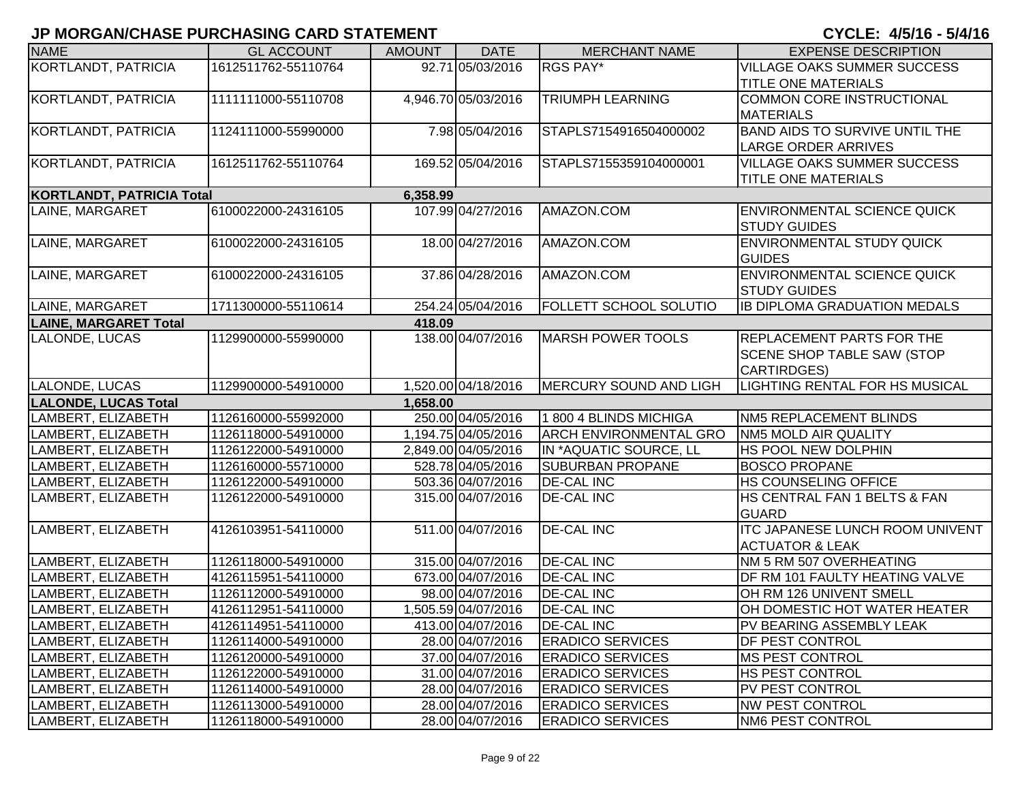| <b>NAME</b>                      | <b>GL ACCOUNT</b>   | <b>AMOUNT</b> | <b>DATE</b>         | <b>MERCHANT NAME</b>          | <b>EXPENSE DESCRIPTION</b>             |
|----------------------------------|---------------------|---------------|---------------------|-------------------------------|----------------------------------------|
| <b>KORTLANDT, PATRICIA</b>       | 1612511762-55110764 |               | 92.71 05/03/2016    | RGS PAY*                      | <b>VILLAGE OAKS SUMMER SUCCESS</b>     |
|                                  |                     |               |                     |                               | <b>TITLE ONE MATERIALS</b>             |
| KORTLANDT, PATRICIA              | 1111111000-55110708 |               | 4,946.70 05/03/2016 | <b>TRIUMPH LEARNING</b>       | COMMON CORE INSTRUCTIONAL              |
|                                  |                     |               |                     |                               | <b>MATERIALS</b>                       |
| KORTLANDT, PATRICIA              | 1124111000-55990000 |               | 7.98 05/04/2016     | STAPLS7154916504000002        | <b>BAND AIDS TO SURVIVE UNTIL THE</b>  |
|                                  |                     |               |                     |                               | <b>LARGE ORDER ARRIVES</b>             |
| KORTLANDT, PATRICIA              | 1612511762-55110764 |               | 169.52 05/04/2016   | STAPLS7155359104000001        | <b>VILLAGE OAKS SUMMER SUCCESS</b>     |
|                                  |                     |               |                     |                               | <b>TITLE ONE MATERIALS</b>             |
| <b>KORTLANDT, PATRICIA Total</b> |                     | 6,358.99      |                     |                               |                                        |
| LAINE, MARGARET                  | 6100022000-24316105 |               | 107.99 04/27/2016   | AMAZON.COM                    | <b>ENVIRONMENTAL SCIENCE QUICK</b>     |
|                                  |                     |               |                     |                               | <b>STUDY GUIDES</b>                    |
| LAINE, MARGARET                  | 6100022000-24316105 |               | 18.00 04/27/2016    | AMAZON.COM                    | <b>ENVIRONMENTAL STUDY QUICK</b>       |
|                                  |                     |               |                     |                               | <b>GUIDES</b>                          |
| LAINE, MARGARET                  | 6100022000-24316105 |               | 37.86 04/28/2016    | AMAZON.COM                    | <b>ENVIRONMENTAL SCIENCE QUICK</b>     |
|                                  |                     |               |                     |                               | <b>STUDY GUIDES</b>                    |
| LAINE, MARGARET                  | 1711300000-55110614 |               | 254.24 05/04/2016   | FOLLETT SCHOOL SOLUTIO        | <b>IB DIPLOMA GRADUATION MEDALS</b>    |
| <b>LAINE, MARGARET Total</b>     |                     | 418.09        |                     |                               |                                        |
| LALONDE, LUCAS                   | 1129900000-55990000 |               | 138.00 04/07/2016   | <b>MARSH POWER TOOLS</b>      | <b>REPLACEMENT PARTS FOR THE</b>       |
|                                  |                     |               |                     |                               | <b>SCENE SHOP TABLE SAW (STOP</b>      |
|                                  |                     |               |                     |                               | CARTIRDGES)                            |
| LALONDE, LUCAS                   | 1129900000-54910000 |               | 1,520.00 04/18/2016 | MERCURY SOUND AND LIGH        | <b>LIGHTING RENTAL FOR HS MUSICAL</b>  |
| <b>LALONDE, LUCAS Total</b>      |                     | 1,658.00      |                     |                               |                                        |
| LAMBERT, ELIZABETH               | 1126160000-55992000 |               | 250.00 04/05/2016   | 1800 4 BLINDS MICHIGA         | NM5 REPLACEMENT BLINDS                 |
| LAMBERT, ELIZABETH               | 1126118000-54910000 |               | 1,194.75 04/05/2016 | <b>ARCH ENVIRONMENTAL GRO</b> | NM5 MOLD AIR QUALITY                   |
| LAMBERT, ELIZABETH               | 1126122000-54910000 |               | 2,849.00 04/05/2016 | IN *AQUATIC SOURCE, LL        | HS POOL NEW DOLPHIN                    |
| LAMBERT, ELIZABETH               | 1126160000-55710000 |               | 528.78 04/05/2016   | <b>SUBURBAN PROPANE</b>       | <b>BOSCO PROPANE</b>                   |
| LAMBERT, ELIZABETH               | 1126122000-54910000 |               | 503.36 04/07/2016   | <b>DE-CAL INC</b>             | <b>HS COUNSELING OFFICE</b>            |
| LAMBERT, ELIZABETH               | 1126122000-54910000 |               | 315.00 04/07/2016   | <b>DE-CAL INC</b>             | HS CENTRAL FAN 1 BELTS & FAN           |
|                                  |                     |               |                     |                               | <b>GUARD</b>                           |
| LAMBERT, ELIZABETH               | 4126103951-54110000 |               | 511.00 04/07/2016   | <b>DE-CAL INC</b>             | <b>ITC JAPANESE LUNCH ROOM UNIVENT</b> |
|                                  |                     |               |                     |                               | <b>ACTUATOR &amp; LEAK</b>             |
| LAMBERT, ELIZABETH               | 1126118000-54910000 |               | 315.00 04/07/2016   | <b>DE-CAL INC</b>             | NM 5 RM 507 OVERHEATING                |
| LAMBERT, ELIZABETH               | 4126115951-54110000 |               | 673.00 04/07/2016   | <b>DE-CAL INC</b>             | DF RM 101 FAULTY HEATING VALVE         |
| LAMBERT, ELIZABETH               | 1126112000-54910000 |               | 98.00 04/07/2016    | <b>DE-CAL INC</b>             | OH RM 126 UNIVENT SMELL                |
| LAMBERT, ELIZABETH               | 4126112951-54110000 |               | 1,505.59 04/07/2016 | <b>DE-CAL INC</b>             | OH DOMESTIC HOT WATER HEATER           |
| LAMBERT, ELIZABETH               | 4126114951-54110000 |               | 413.00 04/07/2016   | <b>DE-CAL INC</b>             | <b>PV BEARING ASSEMBLY LEAK</b>        |
| LAMBERT, ELIZABETH               | 1126114000-54910000 |               | 28.00 04/07/2016    | <b>ERADICO SERVICES</b>       | <b>DF PEST CONTROL</b>                 |
| LAMBERT, ELIZABETH               | 1126120000-54910000 |               | 37.00 04/07/2016    | <b>ERADICO SERVICES</b>       | <b>MS PEST CONTROL</b>                 |
| LAMBERT, ELIZABETH               | 1126122000-54910000 |               | 31.00 04/07/2016    | <b>ERADICO SERVICES</b>       | <b>HS PEST CONTROL</b>                 |
| LAMBERT, ELIZABETH               | 1126114000-54910000 |               | 28.00 04/07/2016    | <b>ERADICO SERVICES</b>       | PV PEST CONTROL                        |
| LAMBERT, ELIZABETH               | 1126113000-54910000 |               | 28.00 04/07/2016    | <b>ERADICO SERVICES</b>       | <b>NW PEST CONTROL</b>                 |
| LAMBERT, ELIZABETH               | 1126118000-54910000 |               | 28.00 04/07/2016    | <b>ERADICO SERVICES</b>       | <b>NM6 PEST CONTROL</b>                |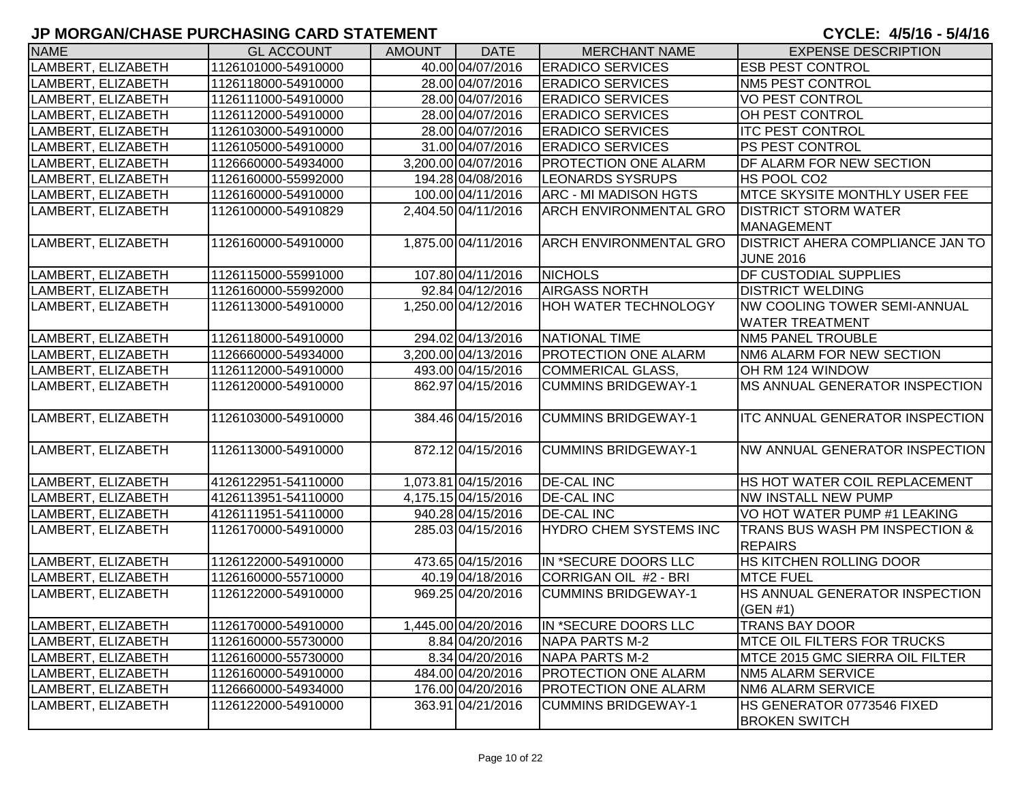| <b>NAME</b>        | <b>GL ACCOUNT</b>   | <b>AMOUNT</b> | <b>DATE</b>         | <b>MERCHANT NAME</b>          | <b>EXPENSE DESCRIPTION</b>              |
|--------------------|---------------------|---------------|---------------------|-------------------------------|-----------------------------------------|
| LAMBERT, ELIZABETH | 1126101000-54910000 |               | 40.00 04/07/2016    | <b>ERADICO SERVICES</b>       | <b>ESB PEST CONTROL</b>                 |
| LAMBERT, ELIZABETH | 1126118000-54910000 |               | 28.00 04/07/2016    | <b>ERADICO SERVICES</b>       | <b>NM5 PEST CONTROL</b>                 |
| LAMBERT, ELIZABETH | 1126111000-54910000 |               | 28.00 04/07/2016    | <b>ERADICO SERVICES</b>       | <b>VO PEST CONTROL</b>                  |
| LAMBERT, ELIZABETH | 1126112000-54910000 |               | 28.00 04/07/2016    | <b>ERADICO SERVICES</b>       | OH PEST CONTROL                         |
| LAMBERT, ELIZABETH | 1126103000-54910000 |               | 28.00 04/07/2016    | <b>ERADICO SERVICES</b>       | <b>ITC PEST CONTROL</b>                 |
| LAMBERT, ELIZABETH | 1126105000-54910000 |               | 31.00 04/07/2016    | <b>ERADICO SERVICES</b>       | <b>PS PEST CONTROL</b>                  |
| LAMBERT, ELIZABETH | 1126660000-54934000 |               | 3,200.00 04/07/2016 | <b>PROTECTION ONE ALARM</b>   | DF ALARM FOR NEW SECTION                |
| LAMBERT, ELIZABETH | 1126160000-55992000 |               | 194.28 04/08/2016   | <b>LEONARDS SYSRUPS</b>       | HS POOL CO2                             |
| LAMBERT, ELIZABETH | 1126160000-54910000 |               | 100.00 04/11/2016   | <b>ARC - MI MADISON HGTS</b>  | <b>MTCE SKYSITE MONTHLY USER FEE</b>    |
| LAMBERT, ELIZABETH | 1126100000-54910829 |               | 2,404.50 04/11/2016 | <b>ARCH ENVIRONMENTAL GRO</b> | <b>DISTRICT STORM WATER</b>             |
|                    |                     |               |                     |                               | <b>MANAGEMENT</b>                       |
| LAMBERT, ELIZABETH | 1126160000-54910000 |               | 1,875.00 04/11/2016 | <b>ARCH ENVIRONMENTAL GRO</b> | <b>DISTRICT AHERA COMPLIANCE JAN TO</b> |
|                    |                     |               |                     |                               | <b>JUNE 2016</b>                        |
| LAMBERT, ELIZABETH | 1126115000-55991000 |               | 107.80 04/11/2016   | <b>NICHOLS</b>                | <b>DF CUSTODIAL SUPPLIES</b>            |
| LAMBERT, ELIZABETH | 1126160000-55992000 |               | 92.84 04/12/2016    | <b>AIRGASS NORTH</b>          | <b>DISTRICT WELDING</b>                 |
| LAMBERT, ELIZABETH | 1126113000-54910000 |               | 1,250.00 04/12/2016 | <b>HOH WATER TECHNOLOGY</b>   | <b>NW COOLING TOWER SEMI-ANNUAL</b>     |
|                    |                     |               |                     |                               | <b>WATER TREATMENT</b>                  |
| LAMBERT, ELIZABETH | 1126118000-54910000 |               | 294.02 04/13/2016   | NATIONAL TIME                 | <b>NM5 PANEL TROUBLE</b>                |
| LAMBERT, ELIZABETH | 1126660000-54934000 |               | 3,200.00 04/13/2016 | <b>PROTECTION ONE ALARM</b>   | NM6 ALARM FOR NEW SECTION               |
| LAMBERT, ELIZABETH | 1126112000-54910000 |               | 493.00 04/15/2016   | COMMERICAL GLASS,             | OH RM 124 WINDOW                        |
| LAMBERT, ELIZABETH | 1126120000-54910000 |               | 862.97 04/15/2016   | <b>CUMMINS BRIDGEWAY-1</b>    | MS ANNUAL GENERATOR INSPECTION          |
|                    |                     |               |                     |                               |                                         |
| LAMBERT, ELIZABETH | 1126103000-54910000 |               | 384.46 04/15/2016   | <b>CUMMINS BRIDGEWAY-1</b>    | <b>ITC ANNUAL GENERATOR INSPECTION</b>  |
|                    |                     |               |                     |                               |                                         |
| LAMBERT, ELIZABETH | 1126113000-54910000 |               | 872.12 04/15/2016   | <b>CUMMINS BRIDGEWAY-1</b>    | NW ANNUAL GENERATOR INSPECTION          |
|                    |                     |               |                     |                               |                                         |
| LAMBERT, ELIZABETH | 4126122951-54110000 |               | 1,073.81 04/15/2016 | <b>DE-CAL INC</b>             | HS HOT WATER COIL REPLACEMENT           |
| LAMBERT, ELIZABETH | 4126113951-54110000 |               | 4,175.15 04/15/2016 | <b>DE-CAL INC</b>             | <b>NW INSTALL NEW PUMP</b>              |
| LAMBERT, ELIZABETH | 4126111951-54110000 |               | 940.28 04/15/2016   | <b>DE-CAL INC</b>             | VO HOT WATER PUMP #1 LEAKING            |
| LAMBERT, ELIZABETH | 1126170000-54910000 |               | 285.03 04/15/2016   | <b>HYDRO CHEM SYSTEMS INC</b> | TRANS BUS WASH PM INSPECTION &          |
|                    |                     |               |                     |                               | <b>REPAIRS</b>                          |
| LAMBERT, ELIZABETH | 1126122000-54910000 |               | 473.65 04/15/2016   | IN *SECURE DOORS LLC          | HS KITCHEN ROLLING DOOR                 |
| LAMBERT, ELIZABETH | 1126160000-55710000 |               | 40.1904/18/2016     | CORRIGAN OIL #2 - BRI         | <b>MTCE FUEL</b>                        |
| LAMBERT, ELIZABETH | 1126122000-54910000 |               | 969.25 04/20/2016   | <b>CUMMINS BRIDGEWAY-1</b>    | HS ANNUAL GENERATOR INSPECTION          |
|                    |                     |               |                     |                               | (GEN #1)                                |
| LAMBERT, ELIZABETH | 1126170000-54910000 |               | 1,445.00 04/20/2016 | IN *SECURE DOORS LLC          | <b>TRANS BAY DOOR</b>                   |
| LAMBERT, ELIZABETH | 1126160000-55730000 |               | 8.84 04/20/2016     | NAPA PARTS M-2                | MTCE OIL FILTERS FOR TRUCKS             |
| LAMBERT, ELIZABETH | 1126160000-55730000 |               | 8.34 04/20/2016     | NAPA PARTS M-2                | MTCE 2015 GMC SIERRA OIL FILTER         |
| LAMBERT, ELIZABETH | 1126160000-54910000 |               | 484.00 04/20/2016   | <b>PROTECTION ONE ALARM</b>   | <b>NM5 ALARM SERVICE</b>                |
| LAMBERT, ELIZABETH | 1126660000-54934000 |               | 176.00 04/20/2016   | <b>PROTECTION ONE ALARM</b>   | <b>NM6 ALARM SERVICE</b>                |
| LAMBERT, ELIZABETH | 1126122000-54910000 |               | 363.91 04/21/2016   | <b>CUMMINS BRIDGEWAY-1</b>    | HS GENERATOR 0773546 FIXED              |
|                    |                     |               |                     |                               | <b>BROKEN SWITCH</b>                    |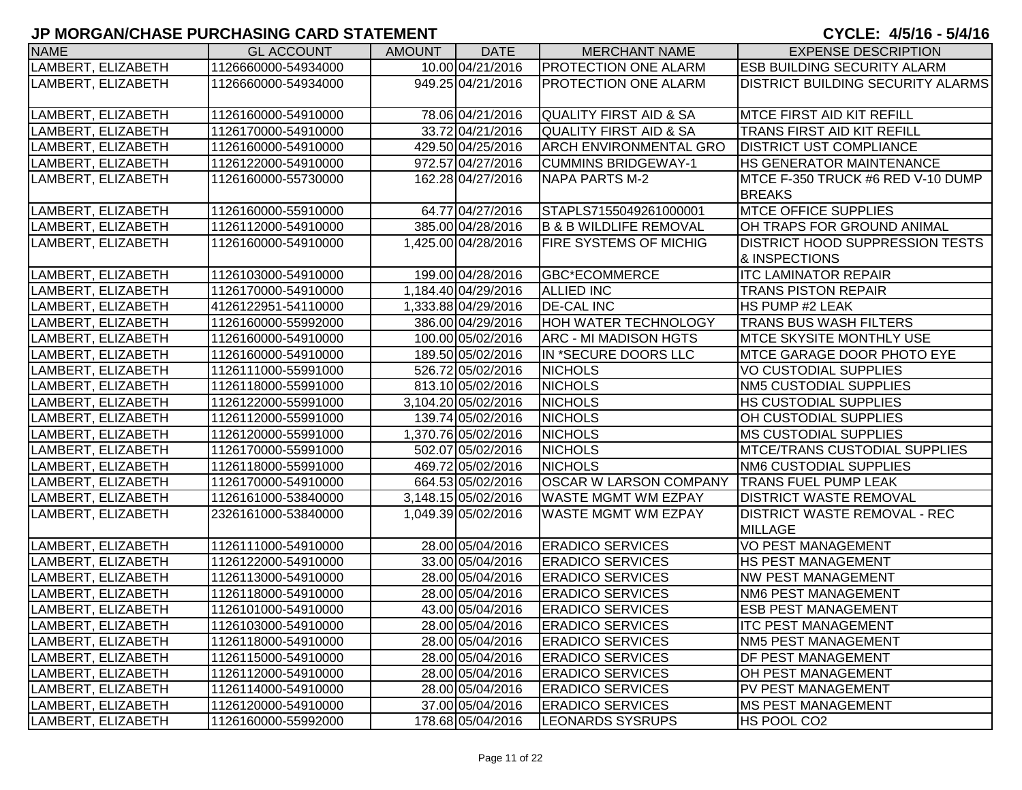| <b>NAME</b>        | <b>GL ACCOUNT</b>   | <b>AMOUNT</b> | <b>DATE</b>         | <b>MERCHANT NAME</b>              | <b>EXPENSE DESCRIPTION</b>               |
|--------------------|---------------------|---------------|---------------------|-----------------------------------|------------------------------------------|
| LAMBERT, ELIZABETH | 1126660000-54934000 |               | 10.00 04/21/2016    | <b>PROTECTION ONE ALARM</b>       | <b>ESB BUILDING SECURITY ALARM</b>       |
| LAMBERT, ELIZABETH | 1126660000-54934000 |               | 949.25 04/21/2016   | <b>PROTECTION ONE ALARM</b>       | <b>DISTRICT BUILDING SECURITY ALARMS</b> |
|                    |                     |               |                     |                                   |                                          |
| LAMBERT, ELIZABETH | 1126160000-54910000 |               | 78.06 04/21/2016    | QUALITY FIRST AID & SA            | <b>MTCE FIRST AID KIT REFILL</b>         |
| LAMBERT, ELIZABETH | 1126170000-54910000 |               | 33.72 04/21/2016    | QUALITY FIRST AID & SA            | TRANS FIRST AID KIT REFILL               |
| LAMBERT, ELIZABETH | 1126160000-54910000 |               | 429.50 04/25/2016   | <b>ARCH ENVIRONMENTAL GRO</b>     | <b>DISTRICT UST COMPLIANCE</b>           |
| LAMBERT, ELIZABETH | 1126122000-54910000 |               | 972.57 04/27/2016   | <b>CUMMINS BRIDGEWAY-1</b>        | HS GENERATOR MAINTENANCE                 |
| LAMBERT, ELIZABETH | 1126160000-55730000 |               | 162.28 04/27/2016   | NAPA PARTS M-2                    | MTCE F-350 TRUCK #6 RED V-10 DUMP        |
|                    |                     |               |                     |                                   | <b>BREAKS</b>                            |
| LAMBERT, ELIZABETH | 1126160000-55910000 |               | 64.77 04/27/2016    | STAPLS7155049261000001            | <b>MTCE OFFICE SUPPLIES</b>              |
| LAMBERT, ELIZABETH | 1126112000-54910000 |               | 385.00 04/28/2016   | <b>B &amp; B WILDLIFE REMOVAL</b> | OH TRAPS FOR GROUND ANIMAL               |
| LAMBERT, ELIZABETH | 1126160000-54910000 |               | 1,425.00 04/28/2016 | <b>FIRE SYSTEMS OF MICHIG</b>     | DISTRICT HOOD SUPPRESSION TESTS          |
|                    |                     |               |                     |                                   | & INSPECTIONS                            |
| LAMBERT, ELIZABETH | 1126103000-54910000 |               | 199.00 04/28/2016   | GBC*ECOMMERCE                     | <b>ITC LAMINATOR REPAIR</b>              |
| LAMBERT, ELIZABETH | 1126170000-54910000 |               | 1,184.40 04/29/2016 | <b>ALLIED INC</b>                 | <b>TRANS PISTON REPAIR</b>               |
| LAMBERT, ELIZABETH | 4126122951-54110000 |               | 1,333.88 04/29/2016 | <b>DE-CAL INC</b>                 | HS PUMP #2 LEAK                          |
| LAMBERT, ELIZABETH | 1126160000-55992000 |               | 386.00 04/29/2016   | <b>HOH WATER TECHNOLOGY</b>       | <b>TRANS BUS WASH FILTERS</b>            |
| LAMBERT, ELIZABETH | 1126160000-54910000 |               | 100.00 05/02/2016   | <b>ARC - MI MADISON HGTS</b>      | <b>MTCE SKYSITE MONTHLY USE</b>          |
| LAMBERT, ELIZABETH | 1126160000-54910000 |               | 189.50 05/02/2016   | IN *SECURE DOORS LLC              | <b>IMTCE GARAGE DOOR PHOTO EYE</b>       |
| LAMBERT, ELIZABETH | 1126111000-55991000 |               | 526.72 05/02/2016   | <b>NICHOLS</b>                    | <b>VO CUSTODIAL SUPPLIES</b>             |
| LAMBERT, ELIZABETH | 1126118000-55991000 |               | 813.10 05/02/2016   | <b>NICHOLS</b>                    | <b>NM5 CUSTODIAL SUPPLIES</b>            |
| LAMBERT, ELIZABETH | 1126122000-55991000 |               | 3,104.20 05/02/2016 | <b>NICHOLS</b>                    | <b>HS CUSTODIAL SUPPLIES</b>             |
| LAMBERT, ELIZABETH | 1126112000-55991000 |               | 139.74 05/02/2016   | <b>NICHOLS</b>                    | OH CUSTODIAL SUPPLIES                    |
| LAMBERT, ELIZABETH | 1126120000-55991000 |               | 1,370.76 05/02/2016 | <b>NICHOLS</b>                    | <b>MS CUSTODIAL SUPPLIES</b>             |
| LAMBERT, ELIZABETH | 1126170000-55991000 |               | 502.07 05/02/2016   | <b>NICHOLS</b>                    | <b>MTCE/TRANS CUSTODIAL SUPPLIES</b>     |
| LAMBERT, ELIZABETH | 1126118000-55991000 |               | 469.72 05/02/2016   | <b>NICHOLS</b>                    | <b>NM6 CUSTODIAL SUPPLIES</b>            |
| LAMBERT, ELIZABETH | 1126170000-54910000 |               | 664.53 05/02/2016   | <b>OSCAR W LARSON COMPANY</b>     | <b>TRANS FUEL PUMP LEAK</b>              |
| LAMBERT, ELIZABETH | 1126161000-53840000 |               | 3,148.15 05/02/2016 | <b>WASTE MGMT WM EZPAY</b>        | <b>DISTRICT WASTE REMOVAL</b>            |
| LAMBERT, ELIZABETH | 2326161000-53840000 |               | 1,049.39 05/02/2016 | <b>WASTE MGMT WM EZPAY</b>        | <b>DISTRICT WASTE REMOVAL - REC</b>      |
|                    |                     |               |                     |                                   | <b>MILLAGE</b>                           |
| LAMBERT, ELIZABETH | 1126111000-54910000 |               | 28.00 05/04/2016    | <b>ERADICO SERVICES</b>           | VO PEST MANAGEMENT                       |
| LAMBERT, ELIZABETH | 1126122000-54910000 |               | 33.00 05/04/2016    | <b>ERADICO SERVICES</b>           | HS PEST MANAGEMENT                       |
| LAMBERT, ELIZABETH | 1126113000-54910000 |               | 28.00 05/04/2016    | <b>ERADICO SERVICES</b>           | <b>NW PEST MANAGEMENT</b>                |
| LAMBERT, ELIZABETH | 1126118000-54910000 |               | 28.00 05/04/2016    | <b>ERADICO SERVICES</b>           | NM6 PEST MANAGEMENT                      |
| LAMBERT, ELIZABETH | 1126101000-54910000 |               | 43.00 05/04/2016    | <b>ERADICO SERVICES</b>           | <b>ESB PEST MANAGEMENT</b>               |
| LAMBERT, ELIZABETH | 1126103000-54910000 |               | 28.00 05/04/2016    | <b>ERADICO SERVICES</b>           | <b>ITC PEST MANAGEMENT</b>               |
| LAMBERT, ELIZABETH | 1126118000-54910000 |               | 28.00 05/04/2016    | <b>ERADICO SERVICES</b>           | NM5 PEST MANAGEMENT                      |
| LAMBERT, ELIZABETH | 1126115000-54910000 |               | 28.00 05/04/2016    | <b>ERADICO SERVICES</b>           | DF PEST MANAGEMENT                       |
| LAMBERT, ELIZABETH | 1126112000-54910000 |               | 28.00 05/04/2016    | <b>ERADICO SERVICES</b>           | OH PEST MANAGEMENT                       |
| LAMBERT, ELIZABETH | 1126114000-54910000 |               | 28.00 05/04/2016    | <b>ERADICO SERVICES</b>           | PV PEST MANAGEMENT                       |
| LAMBERT, ELIZABETH | 1126120000-54910000 |               | 37.00 05/04/2016    | <b>ERADICO SERVICES</b>           | <b>MS PEST MANAGEMENT</b>                |
| LAMBERT, ELIZABETH | 1126160000-55992000 |               | 178.68 05/04/2016   | <b>LEONARDS SYSRUPS</b>           | HS POOL CO2                              |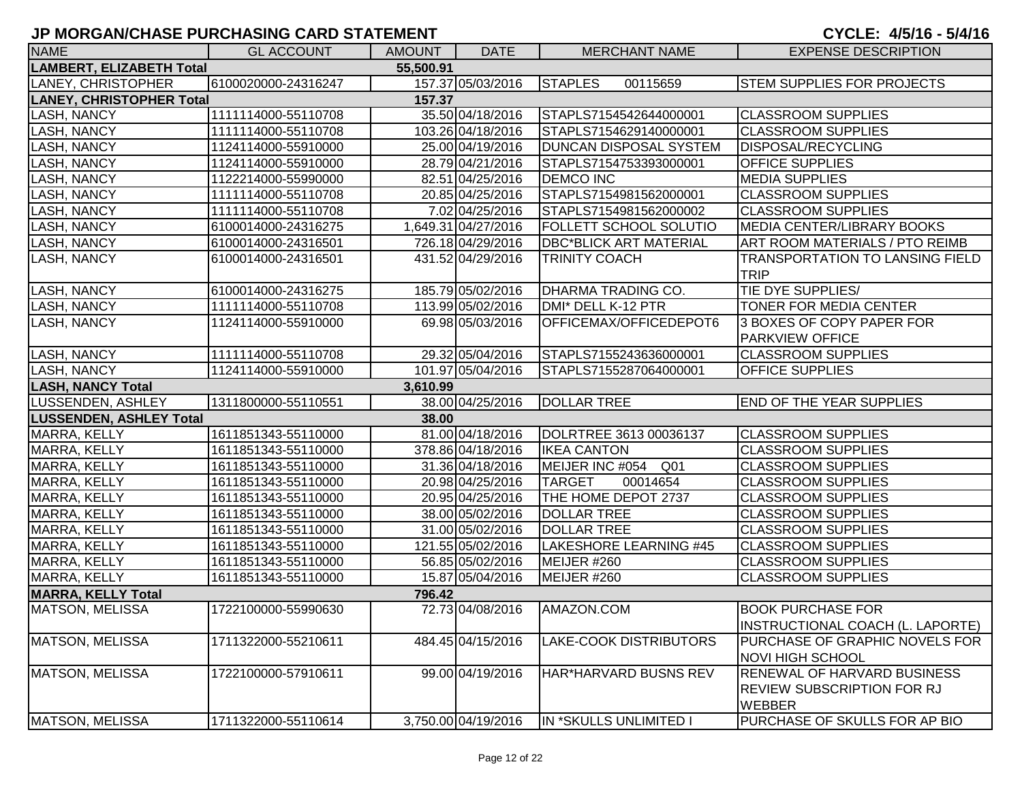| <b>NAME</b>                                  | <b>GL ACCOUNT</b>   | <b>AMOUNT</b> | <b>DATE</b>         | <b>MERCHANT NAME</b>               | <b>EXPENSE DESCRIPTION</b>             |  |  |  |
|----------------------------------------------|---------------------|---------------|---------------------|------------------------------------|----------------------------------------|--|--|--|
| <b>LAMBERT, ELIZABETH Total</b><br>55,500.91 |                     |               |                     |                                    |                                        |  |  |  |
| LANEY, CHRISTOPHER                           | 6100020000-24316247 |               | 157.37 05/03/2016   | <b>STAPLES</b><br>00115659         | <b>STEM SUPPLIES FOR PROJECTS</b>      |  |  |  |
| <b>LANEY, CHRISTOPHER Total</b>              |                     | 157.37        |                     |                                    |                                        |  |  |  |
| <b>LASH, NANCY</b>                           | 1111114000-55110708 |               | 35.50 04/18/2016    | STAPLS7154542644000001             | <b>CLASSROOM SUPPLIES</b>              |  |  |  |
| <b>LASH, NANCY</b>                           | 1111114000-55110708 |               | 103.26 04/18/2016   | STAPLS7154629140000001             | <b>CLASSROOM SUPPLIES</b>              |  |  |  |
| <b>LASH, NANCY</b>                           | 1124114000-55910000 |               | 25.00 04/19/2016    | <b>DUNCAN DISPOSAL SYSTEM</b>      | <b>DISPOSAL/RECYCLING</b>              |  |  |  |
| <b>LASH, NANCY</b>                           | 1124114000-55910000 |               | 28.79 04/21/2016    | STAPLS7154753393000001             | <b>OFFICE SUPPLIES</b>                 |  |  |  |
| <b>LASH, NANCY</b>                           | 1122214000-55990000 |               | 82.51 04/25/2016    | <b>DEMCO INC</b>                   | <b>MEDIA SUPPLIES</b>                  |  |  |  |
| <b>LASH, NANCY</b>                           | 1111114000-55110708 |               | 20.85 04/25/2016    | STAPLS7154981562000001             | <b>CLASSROOM SUPPLIES</b>              |  |  |  |
| <b>LASH, NANCY</b>                           | 1111114000-55110708 |               | 7.02 04/25/2016     | STAPLS7154981562000002             | <b>CLASSROOM SUPPLIES</b>              |  |  |  |
| <b>LASH, NANCY</b>                           | 6100014000-24316275 |               | 1,649.31 04/27/2016 | <b>FOLLETT SCHOOL SOLUTIO</b>      | MEDIA CENTER/LIBRARY BOOKS             |  |  |  |
| <b>LASH, NANCY</b>                           | 6100014000-24316501 |               | 726.18 04/29/2016   | <b>DBC*BLICK ART MATERIAL</b>      | <b>ART ROOM MATERIALS / PTO REIMB</b>  |  |  |  |
| LASH, NANCY                                  | 6100014000-24316501 |               | 431.52 04/29/2016   | <b>TRINITY COACH</b>               | <b>TRANSPORTATION TO LANSING FIELD</b> |  |  |  |
|                                              |                     |               |                     |                                    | <b>TRIP</b>                            |  |  |  |
| <b>LASH, NANCY</b>                           | 6100014000-24316275 |               | 185.79 05/02/2016   | <b>DHARMA TRADING CO.</b>          | TIE DYE SUPPLIES/                      |  |  |  |
| <b>LASH, NANCY</b>                           | 1111114000-55110708 |               | 113.99 05/02/2016   | DMI* DELL K-12 PTR                 | TONER FOR MEDIA CENTER                 |  |  |  |
| LASH, NANCY                                  | 1124114000-55910000 |               | 69.98 05/03/2016    | OFFICEMAX/OFFICEDEPOT6             | 3 BOXES OF COPY PAPER FOR              |  |  |  |
|                                              |                     |               |                     |                                    | <b>PARKVIEW OFFICE</b>                 |  |  |  |
| <b>LASH, NANCY</b>                           | 1111114000-55110708 |               | 29.32 05/04/2016    | STAPLS7155243636000001             | <b>CLASSROOM SUPPLIES</b>              |  |  |  |
| <b>LASH, NANCY</b>                           | 1124114000-55910000 |               | 101.97 05/04/2016   | STAPLS7155287064000001             | <b>OFFICE SUPPLIES</b>                 |  |  |  |
| <b>LASH, NANCY Total</b>                     |                     | 3,610.99      |                     |                                    |                                        |  |  |  |
| LUSSENDEN, ASHLEY                            | 1311800000-55110551 |               | 38.00 04/25/2016    | <b>DOLLAR TREE</b>                 | <b>END OF THE YEAR SUPPLIES</b>        |  |  |  |
| <b>LUSSENDEN, ASHLEY Total</b>               |                     | 38.00         |                     |                                    |                                        |  |  |  |
| MARRA, KELLY                                 | 1611851343-55110000 |               | 81.00 04/18/2016    | DOLRTREE 3613 00036137             | <b>CLASSROOM SUPPLIES</b>              |  |  |  |
| MARRA, KELLY                                 | 1611851343-55110000 |               | 378.86 04/18/2016   | <b>IKEA CANTON</b>                 | <b>CLASSROOM SUPPLIES</b>              |  |  |  |
| MARRA, KELLY                                 | 1611851343-55110000 |               | 31.36 04/18/2016    | MEIJER INC #054<br>Q <sub>01</sub> | <b>CLASSROOM SUPPLIES</b>              |  |  |  |
| MARRA, KELLY                                 | 1611851343-55110000 |               | 20.98 04/25/2016    | <b>TARGET</b><br>00014654          | <b>CLASSROOM SUPPLIES</b>              |  |  |  |
| MARRA, KELLY                                 | 1611851343-55110000 |               | 20.95 04/25/2016    | THE HOME DEPOT 2737                | <b>CLASSROOM SUPPLIES</b>              |  |  |  |
| MARRA, KELLY                                 | 1611851343-55110000 |               | 38.00 05/02/2016    | <b>DOLLAR TREE</b>                 | <b>CLASSROOM SUPPLIES</b>              |  |  |  |
| MARRA, KELLY                                 | 1611851343-55110000 |               | 31.00 05/02/2016    | <b>DOLLAR TREE</b>                 | <b>CLASSROOM SUPPLIES</b>              |  |  |  |
| MARRA, KELLY                                 | 1611851343-55110000 |               | 121.55 05/02/2016   | <b>LAKESHORE LEARNING #45</b>      | <b>CLASSROOM SUPPLIES</b>              |  |  |  |
| MARRA, KELLY                                 | 1611851343-55110000 |               | 56.85 05/02/2016    | MEIJER #260                        | <b>CLASSROOM SUPPLIES</b>              |  |  |  |
| MARRA, KELLY                                 | 1611851343-55110000 |               | 15.87 05/04/2016    | MEIJER #260                        | <b>CLASSROOM SUPPLIES</b>              |  |  |  |
| <b>MARRA, KELLY Total</b>                    |                     | 796.42        |                     |                                    |                                        |  |  |  |
| MATSON, MELISSA                              | 1722100000-55990630 |               | 72.73 04/08/2016    | AMAZON.COM                         | <b>BOOK PURCHASE FOR</b>               |  |  |  |
|                                              |                     |               |                     |                                    | INSTRUCTIONAL COACH (L. LAPORTE)       |  |  |  |
| <b>MATSON, MELISSA</b>                       | 1711322000-55210611 |               | 484.45 04/15/2016   | LAKE-COOK DISTRIBUTORS             | PURCHASE OF GRAPHIC NOVELS FOR         |  |  |  |
|                                              |                     |               |                     |                                    | <b>NOVI HIGH SCHOOL</b>                |  |  |  |
| MATSON, MELISSA                              | 1722100000-57910611 |               | 99.00 04/19/2016    | HAR*HARVARD BUSNS REV              | <b>RENEWAL OF HARVARD BUSINESS</b>     |  |  |  |
|                                              |                     |               |                     |                                    | <b>REVIEW SUBSCRIPTION FOR RJ</b>      |  |  |  |
|                                              |                     |               |                     |                                    | <b>WEBBER</b>                          |  |  |  |
| <b>MATSON, MELISSA</b>                       | 1711322000-55110614 |               | 3,750.00 04/19/2016 | IN *SKULLS UNLIMITED I             | PURCHASE OF SKULLS FOR AP BIO          |  |  |  |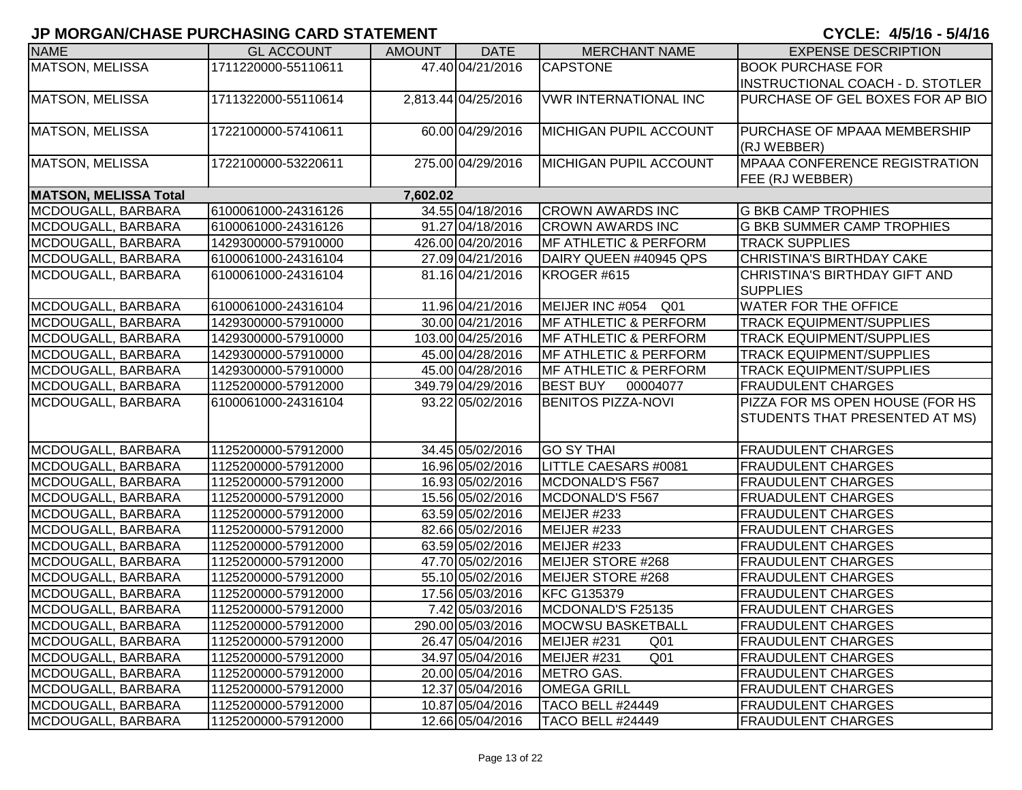| <b>NAME</b>                  | <b>GL ACCOUNT</b>   | <b>AMOUNT</b> | <b>DATE</b>         | <b>MERCHANT NAME</b>               | <b>EXPENSE DESCRIPTION</b>                                        |
|------------------------------|---------------------|---------------|---------------------|------------------------------------|-------------------------------------------------------------------|
| MATSON, MELISSA              | 1711220000-55110611 |               | 47.40 04/21/2016    | <b>CAPSTONE</b>                    | <b>BOOK PURCHASE FOR</b>                                          |
|                              |                     |               |                     |                                    | INSTRUCTIONAL COACH - D. STOTLER                                  |
| <b>MATSON, MELISSA</b>       | 1711322000-55110614 |               | 2,813.44 04/25/2016 | <b>VWR INTERNATIONAL INC</b>       | PURCHASE OF GEL BOXES FOR AP BIO                                  |
| <b>MATSON, MELISSA</b>       | 1722100000-57410611 |               | 60.00 04/29/2016    | <b>MICHIGAN PUPIL ACCOUNT</b>      | PURCHASE OF MPAAA MEMBERSHIP<br>(RJ WEBBER)                       |
| <b>MATSON, MELISSA</b>       | 1722100000-53220611 |               | 275.00 04/29/2016   | <b>MICHIGAN PUPIL ACCOUNT</b>      | <b>MPAAA CONFERENCE REGISTRATION</b><br>FEE (RJ WEBBER)           |
| <b>MATSON, MELISSA Total</b> |                     | 7,602.02      |                     |                                    |                                                                   |
| MCDOUGALL, BARBARA           | 6100061000-24316126 |               | 34.55 04/18/2016    | <b>CROWN AWARDS INC</b>            | <b>G BKB CAMP TROPHIES</b>                                        |
| MCDOUGALL, BARBARA           | 6100061000-24316126 |               | 91.27 04/18/2016    | <b>CROWN AWARDS INC</b>            | <b>G BKB SUMMER CAMP TROPHIES</b>                                 |
| MCDOUGALL, BARBARA           | 1429300000-57910000 |               | 426.00 04/20/2016   | <b>IMF ATHLETIC &amp; PERFORM</b>  | <b>TRACK SUPPLIES</b>                                             |
| MCDOUGALL, BARBARA           | 6100061000-24316104 |               | 27.09 04/21/2016    | DAIRY QUEEN #40945 QPS             | <b>CHRISTINA'S BIRTHDAY CAKE</b>                                  |
| MCDOUGALL, BARBARA           | 6100061000-24316104 |               | 81.16 04/21/2016    | KROGER #615                        | CHRISTINA'S BIRTHDAY GIFT AND<br><b>SUPPLIES</b>                  |
| MCDOUGALL, BARBARA           | 6100061000-24316104 |               | 11.96 04/21/2016    | MEIJER INC #054<br>Q <sub>01</sub> | <b>WATER FOR THE OFFICE</b>                                       |
| MCDOUGALL, BARBARA           | 1429300000-57910000 |               | 30.00 04/21/2016    | <b>IMF ATHLETIC &amp; PERFORM</b>  | <b>TRACK EQUIPMENT/SUPPLIES</b>                                   |
| MCDOUGALL, BARBARA           | 1429300000-57910000 |               | 103.00 04/25/2016   | <b>MF ATHLETIC &amp; PERFORM</b>   | <b>TRACK EQUIPMENT/SUPPLIES</b>                                   |
| MCDOUGALL, BARBARA           | 1429300000-57910000 |               | 45.00 04/28/2016    | <b>MF ATHLETIC &amp; PERFORM</b>   | <b>TRACK EQUIPMENT/SUPPLIES</b>                                   |
| MCDOUGALL, BARBARA           | 1429300000-57910000 |               | 45.00 04/28/2016    | <b>IMF ATHLETIC &amp; PERFORM</b>  | <b>TRACK EQUIPMENT/SUPPLIES</b>                                   |
| MCDOUGALL, BARBARA           | 1125200000-57912000 |               | 349.79 04/29/2016   | <b>BEST BUY</b><br>00004077        | <b>FRAUDULENT CHARGES</b>                                         |
| MCDOUGALL, BARBARA           | 6100061000-24316104 |               | 93.22 05/02/2016    | <b>BENITOS PIZZA-NOVI</b>          | PIZZA FOR MS OPEN HOUSE (FOR HS<br>STUDENTS THAT PRESENTED AT MS) |
| MCDOUGALL, BARBARA           | 1125200000-57912000 |               | 34.45 05/02/2016    | <b>GO SY THAI</b>                  | <b>FRAUDULENT CHARGES</b>                                         |
| MCDOUGALL, BARBARA           | 1125200000-57912000 |               | 16.96 05/02/2016    | <b>LITTLE CAESARS #0081</b>        | <b>FRAUDULENT CHARGES</b>                                         |
| MCDOUGALL, BARBARA           | 1125200000-57912000 |               | 16.93 05/02/2016    | MCDONALD'S F567                    | <b>FRAUDULENT CHARGES</b>                                         |
| MCDOUGALL, BARBARA           | 1125200000-57912000 |               | 15.56 05/02/2016    | MCDONALD'S F567                    | <b>FRUADULENT CHARGES</b>                                         |
| MCDOUGALL, BARBARA           | 1125200000-57912000 |               | 63.59 05/02/2016    | MEIJER #233                        | <b>FRAUDULENT CHARGES</b>                                         |
| MCDOUGALL, BARBARA           | 1125200000-57912000 |               | 82.66 05/02/2016    | MEIJER #233                        | <b>FRAUDULENT CHARGES</b>                                         |
| MCDOUGALL, BARBARA           | 1125200000-57912000 |               | 63.59 05/02/2016    | MEIJER #233                        | <b>FRAUDULENT CHARGES</b>                                         |
| MCDOUGALL, BARBARA           | 1125200000-57912000 |               | 47.70 05/02/2016    | MEIJER STORE #268                  | <b>FRAUDULENT CHARGES</b>                                         |
| MCDOUGALL, BARBARA           | 1125200000-57912000 |               | 55.10 05/02/2016    | MEIJER STORE #268                  | <b>FRAUDULENT CHARGES</b>                                         |
| MCDOUGALL, BARBARA           | 1125200000-57912000 |               | 17.56 05/03/2016    | <b>KFC G135379</b>                 | <b>FRAUDULENT CHARGES</b>                                         |
| MCDOUGALL, BARBARA           | 1125200000-57912000 |               | 7.42 05/03/2016     | MCDONALD'S F25135                  | <b>FRAUDULENT CHARGES</b>                                         |
| MCDOUGALL, BARBARA           | 1125200000-57912000 |               | 290.00 05/03/2016   | <b>MOCWSU BASKETBALL</b>           | <b>FRAUDULENT CHARGES</b>                                         |
| MCDOUGALL, BARBARA           | 1125200000-57912000 |               | 26.47 05/04/2016    | MEIJER #231<br>Q <sub>01</sub>     | <b>FRAUDULENT CHARGES</b>                                         |
| MCDOUGALL, BARBARA           | 1125200000-57912000 |               | 34.97 05/04/2016    | Q <sub>01</sub><br>MEIJER #231     | <b>FRAUDULENT CHARGES</b>                                         |
| MCDOUGALL, BARBARA           | 1125200000-57912000 |               | 20.00 05/04/2016    | METRO GAS.                         | <b>FRAUDULENT CHARGES</b>                                         |
| MCDOUGALL, BARBARA           | 1125200000-57912000 |               | 12.37 05/04/2016    | <b>OMEGA GRILL</b>                 | <b>FRAUDULENT CHARGES</b>                                         |
| MCDOUGALL, BARBARA           | 1125200000-57912000 |               | 10.87 05/04/2016    | <b>TACO BELL #24449</b>            | <b>FRAUDULENT CHARGES</b>                                         |
| MCDOUGALL, BARBARA           | 1125200000-57912000 |               | 12.66 05/04/2016    | <b>TACO BELL #24449</b>            | <b>FRAUDULENT CHARGES</b>                                         |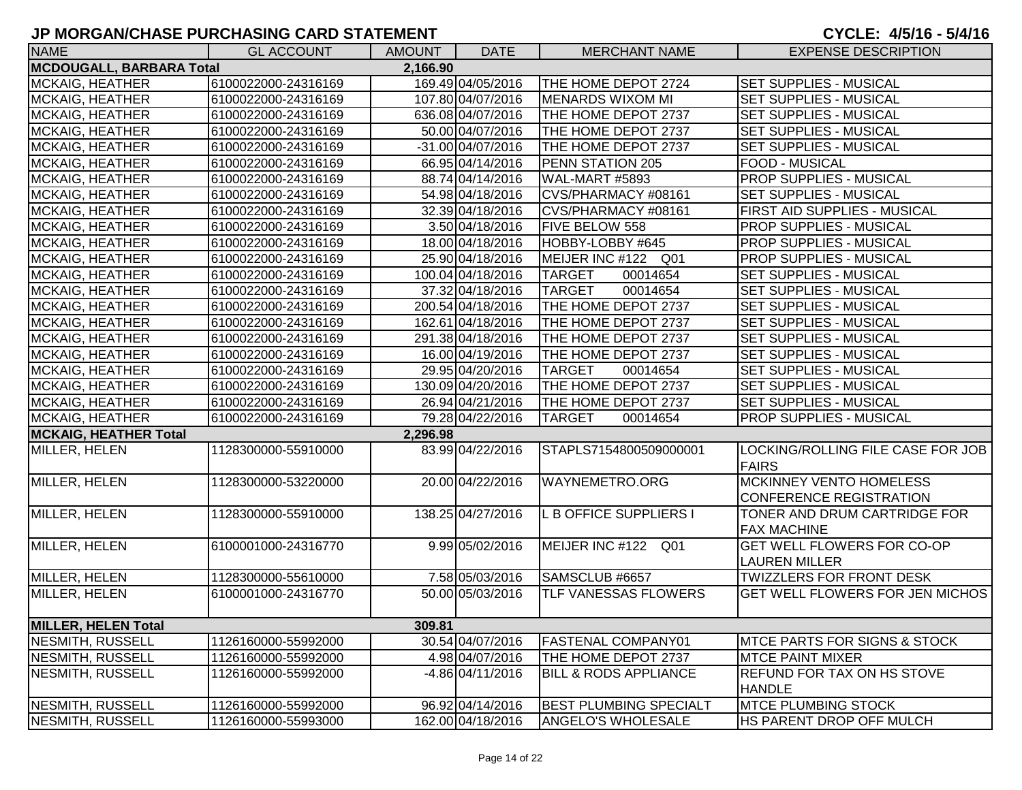| <b>NAME</b>                                 | <b>GL ACCOUNT</b>   | <b>AMOUNT</b> | <b>DATE</b>         | <b>MERCHANT NAME</b>             | <b>EXPENSE DESCRIPTION</b>                                |  |  |  |
|---------------------------------------------|---------------------|---------------|---------------------|----------------------------------|-----------------------------------------------------------|--|--|--|
| <b>MCDOUGALL, BARBARA Total</b><br>2,166.90 |                     |               |                     |                                  |                                                           |  |  |  |
| <b>MCKAIG, HEATHER</b>                      | 6100022000-24316169 |               | 169.49 04/05/2016   | THE HOME DEPOT 2724              | <b>SET SUPPLIES - MUSICAL</b>                             |  |  |  |
| <b>MCKAIG, HEATHER</b>                      | 6100022000-24316169 |               | 107.80 04/07/2016   | MENARDS WIXOM MI                 | <b>SET SUPPLIES - MUSICAL</b>                             |  |  |  |
| <b>MCKAIG, HEATHER</b>                      | 6100022000-24316169 |               | 636.08 04/07/2016   | THE HOME DEPOT 2737              | <b>SET SUPPLIES - MUSICAL</b>                             |  |  |  |
| <b>MCKAIG, HEATHER</b>                      | 6100022000-24316169 |               | 50.00 04/07/2016    | THE HOME DEPOT 2737              | <b>SET SUPPLIES - MUSICAL</b>                             |  |  |  |
| <b>MCKAIG, HEATHER</b>                      | 6100022000-24316169 |               | $-31.00$ 04/07/2016 | THE HOME DEPOT 2737              | <b>SET SUPPLIES - MUSICAL</b>                             |  |  |  |
| <b>MCKAIG, HEATHER</b>                      | 6100022000-24316169 |               | 66.95 04/14/2016    | PENN STATION 205                 | FOOD - MUSICAL                                            |  |  |  |
| <b>MCKAIG, HEATHER</b>                      | 6100022000-24316169 |               | 88.74 04/14/2016    | WAL-MART #5893                   | <b>PROP SUPPLIES - MUSICAL</b>                            |  |  |  |
| <b>MCKAIG, HEATHER</b>                      | 6100022000-24316169 |               | 54.98 04/18/2016    | CVS/PHARMACY #08161              | SET SUPPLIES - MUSICAL                                    |  |  |  |
| <b>MCKAIG, HEATHER</b>                      | 6100022000-24316169 |               | 32.39 04/18/2016    | CVS/PHARMACY #08161              | FIRST AID SUPPLIES - MUSICAL                              |  |  |  |
| <b>MCKAIG, HEATHER</b>                      | 6100022000-24316169 |               | 3.50 04/18/2016     | <b>FIVE BELOW 558</b>            | <b>PROP SUPPLIES - MUSICAL</b>                            |  |  |  |
| <b>MCKAIG, HEATHER</b>                      | 6100022000-24316169 |               | 18.00 04/18/2016    | HOBBY-LOBBY #645                 | <b>PROP SUPPLIES - MUSICAL</b>                            |  |  |  |
| <b>MCKAIG, HEATHER</b>                      | 6100022000-24316169 |               | 25.90 04/18/2016    | MEIJER INC #122 Q01              | <b>PROP SUPPLIES - MUSICAL</b>                            |  |  |  |
| <b>MCKAIG, HEATHER</b>                      | 6100022000-24316169 |               | 100.04 04/18/2016   | 00014654<br><b>TARGET</b>        | SET SUPPLIES - MUSICAL                                    |  |  |  |
| <b>MCKAIG, HEATHER</b>                      | 6100022000-24316169 |               | 37.32 04/18/2016    | <b>TARGET</b><br>00014654        | SET SUPPLIES - MUSICAL                                    |  |  |  |
| <b>MCKAIG, HEATHER</b>                      | 6100022000-24316169 |               | 200.54 04/18/2016   | THE HOME DEPOT 2737              | SET SUPPLIES - MUSICAL                                    |  |  |  |
| <b>MCKAIG, HEATHER</b>                      | 6100022000-24316169 |               | 162.61 04/18/2016   | THE HOME DEPOT 2737              | SET SUPPLIES - MUSICAL                                    |  |  |  |
| <b>MCKAIG, HEATHER</b>                      | 6100022000-24316169 |               | 291.38 04/18/2016   | THE HOME DEPOT 2737              | <b>SET SUPPLIES - MUSICAL</b>                             |  |  |  |
| <b>MCKAIG, HEATHER</b>                      | 6100022000-24316169 |               | 16.00 04/19/2016    | THE HOME DEPOT 2737              | SET SUPPLIES - MUSICAL                                    |  |  |  |
| <b>MCKAIG, HEATHER</b>                      | 6100022000-24316169 |               | 29.95 04/20/2016    | <b>TARGET</b><br>00014654        | SET SUPPLIES - MUSICAL                                    |  |  |  |
| <b>MCKAIG, HEATHER</b>                      | 6100022000-24316169 |               | 130.09 04/20/2016   | THE HOME DEPOT 2737              | <b>SET SUPPLIES - MUSICAL</b>                             |  |  |  |
| <b>MCKAIG, HEATHER</b>                      | 6100022000-24316169 |               | 26.94 04/21/2016    | THE HOME DEPOT 2737              | <b>SET SUPPLIES - MUSICAL</b>                             |  |  |  |
| <b>MCKAIG, HEATHER</b>                      | 6100022000-24316169 |               | 79.28 04/22/2016    | <b>TARGET</b><br>00014654        | <b>PROP SUPPLIES - MUSICAL</b>                            |  |  |  |
| <b>MCKAIG, HEATHER Total</b>                |                     | 2,296.98      |                     |                                  |                                                           |  |  |  |
| MILLER, HELEN                               | 1128300000-55910000 |               | 83.99 04/22/2016    | STAPLS7154800509000001           | LOCKING/ROLLING FILE CASE FOR JOB<br><b>FAIRS</b>         |  |  |  |
| MILLER, HELEN                               | 1128300000-53220000 |               | 20.00 04/22/2016    | WAYNEMETRO.ORG                   | MCKINNEY VENTO HOMELESS<br><b>CONFERENCE REGISTRATION</b> |  |  |  |
| MILLER, HELEN                               | 1128300000-55910000 |               | 138.25 04/27/2016   | L B OFFICE SUPPLIERS I           | TONER AND DRUM CARTRIDGE FOR<br><b>FAX MACHINE</b>        |  |  |  |
| MILLER, HELEN                               | 6100001000-24316770 |               | 9.99 05/02/2016     | MEIJER INC #122 Q01              | <b>GET WELL FLOWERS FOR CO-OP</b><br><b>LAUREN MILLER</b> |  |  |  |
| MILLER, HELEN                               | 1128300000-55610000 |               | 7.58 05/03/2016     | SAMSCLUB #6657                   | <b>TWIZZLERS FOR FRONT DESK</b>                           |  |  |  |
| MILLER, HELEN                               | 6100001000-24316770 |               | 50.00 05/03/2016    | TLF VANESSAS FLOWERS             | <b>GET WELL FLOWERS FOR JEN MICHOS</b>                    |  |  |  |
| <b>MILLER, HELEN Total</b>                  |                     | 309.81        |                     |                                  |                                                           |  |  |  |
| NESMITH, RUSSELL                            | 1126160000-55992000 |               | 30.54 04/07/2016    | <b>FASTENAL COMPANY01</b>        | IMTCE PARTS FOR SIGNS & STOCK                             |  |  |  |
| NESMITH, RUSSELL                            | 1126160000-55992000 |               | 4.98 04/07/2016     | THE HOME DEPOT 2737              | <b>MTCE PAINT MIXER</b>                                   |  |  |  |
| NESMITH, RUSSELL                            | 1126160000-55992000 |               | -4.86 04/11/2016    | <b>BILL &amp; RODS APPLIANCE</b> | REFUND FOR TAX ON HS STOVE<br><b>HANDLE</b>               |  |  |  |
| NESMITH, RUSSELL                            | 1126160000-55992000 |               | 96.92 04/14/2016    | <b>BEST PLUMBING SPECIALT</b>    | <b>MTCE PLUMBING STOCK</b>                                |  |  |  |
| <b>NESMITH, RUSSELL</b>                     | 1126160000-55993000 |               | 162.00 04/18/2016   | <b>ANGELO'S WHOLESALE</b>        | <b>HS PARENT DROP OFF MULCH</b>                           |  |  |  |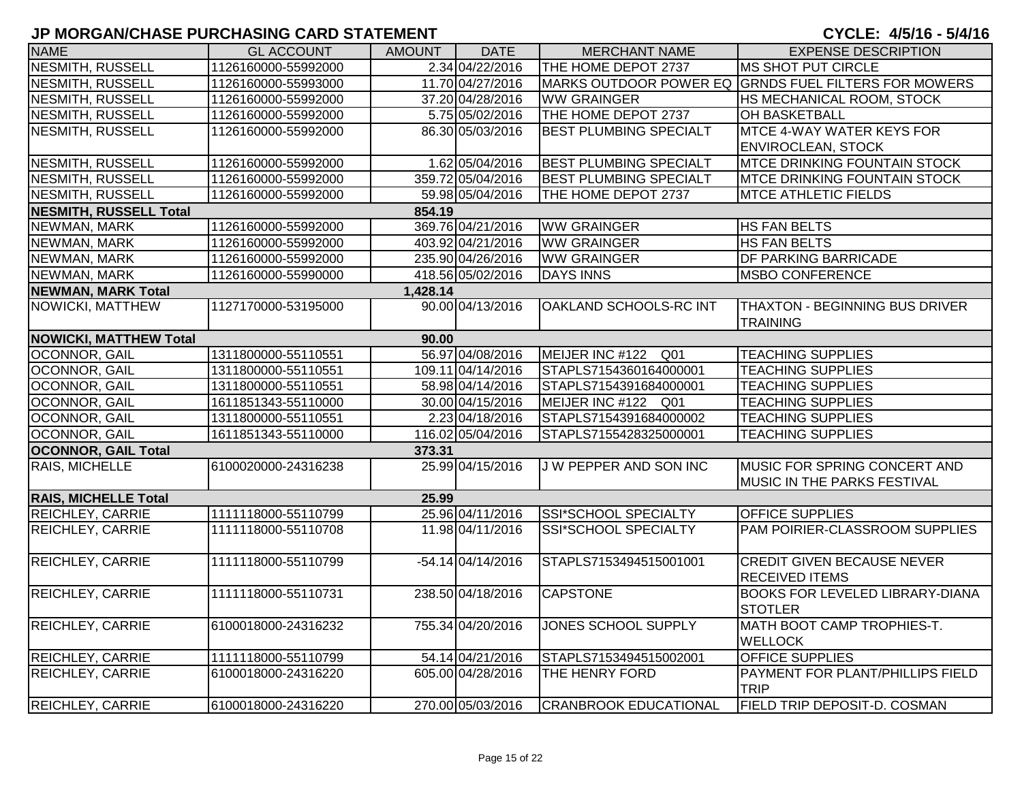| <b>NAME</b>                   | <b>GL ACCOUNT</b>   | <b>AMOUNT</b> | <b>DATE</b>         | <b>MERCHANT NAME</b>          | <b>EXPENSE DESCRIPTION</b>                           |
|-------------------------------|---------------------|---------------|---------------------|-------------------------------|------------------------------------------------------|
| NESMITH, RUSSELL              | 1126160000-55992000 |               | 2.34 04/22/2016     | THE HOME DEPOT 2737           | MS SHOT PUT CIRCLE                                   |
| NESMITH, RUSSELL              | 1126160000-55993000 |               | 11.70 04/27/2016    |                               | MARKS OUTDOOR POWER EQ GRNDS FUEL FILTERS FOR MOWERS |
| NESMITH, RUSSELL              | 1126160000-55992000 |               | 37.20 04/28/2016    | <b>WW GRAINGER</b>            | HS MECHANICAL ROOM, STOCK                            |
| NESMITH, RUSSELL              | 1126160000-55992000 |               | 5.75 05/02/2016     | THE HOME DEPOT 2737           | OH BASKETBALL                                        |
| NESMITH, RUSSELL              | 1126160000-55992000 |               | 86.30 05/03/2016    | <b>BEST PLUMBING SPECIALT</b> | MTCE 4-WAY WATER KEYS FOR                            |
|                               |                     |               |                     |                               | <b>ENVIROCLEAN, STOCK</b>                            |
| <b>NESMITH, RUSSELL</b>       | 1126160000-55992000 |               | 1.62 05/04/2016     | <b>BEST PLUMBING SPECIALT</b> | <b>MTCE DRINKING FOUNTAIN STOCK</b>                  |
| NESMITH, RUSSELL              | 1126160000-55992000 |               | 359.72 05/04/2016   | <b>BEST PLUMBING SPECIALT</b> | <b>MTCE DRINKING FOUNTAIN STOCK</b>                  |
| NESMITH, RUSSELL              | 1126160000-55992000 |               | 59.98 05/04/2016    | THE HOME DEPOT 2737           | <b>MTCE ATHLETIC FIELDS</b>                          |
| <b>NESMITH, RUSSELL Total</b> |                     | 854.19        |                     |                               |                                                      |
| NEWMAN, MARK                  | 1126160000-55992000 |               | 369.76 04/21/2016   | <b>WW GRAINGER</b>            | <b>HS FAN BELTS</b>                                  |
| NEWMAN, MARK                  | 1126160000-55992000 |               | 403.92 04/21/2016   | <b>WW GRAINGER</b>            | <b>HS FAN BELTS</b>                                  |
| NEWMAN, MARK                  | 1126160000-55992000 |               | 235.90 04/26/2016   | <b>WW GRAINGER</b>            | DF PARKING BARRICADE                                 |
| NEWMAN, MARK                  | 1126160000-55990000 |               | 418.56 05/02/2016   | <b>DAYS INNS</b>              | <b>MSBO CONFERENCE</b>                               |
| <b>NEWMAN, MARK Total</b>     |                     | 1,428.14      |                     |                               |                                                      |
| NOWICKI, MATTHEW              | 1127170000-53195000 |               | 90.00 04/13/2016    | OAKLAND SCHOOLS-RC INT        | THAXTON - BEGINNING BUS DRIVER                       |
|                               |                     |               |                     |                               | <b>TRAINING</b>                                      |
| <b>NOWICKI, MATTHEW Total</b> |                     | 90.00         |                     |                               |                                                      |
| OCONNOR, GAIL                 | 1311800000-55110551 |               | 56.97 04/08/2016    | MEIJER INC #122 Q01           | <b>TEACHING SUPPLIES</b>                             |
| <b>OCONNOR, GAIL</b>          | 1311800000-55110551 |               | 109.11 04/14/2016   | STAPLS7154360164000001        | <b>TEACHING SUPPLIES</b>                             |
| OCONNOR, GAIL                 | 1311800000-55110551 |               | 58.98 04/14/2016    | STAPLS7154391684000001        | <b>TEACHING SUPPLIES</b>                             |
| OCONNOR, GAIL                 | 1611851343-55110000 |               | 30.00 04/15/2016    | MEIJER INC #122 Q01           | <b>TEACHING SUPPLIES</b>                             |
| OCONNOR, GAIL                 | 1311800000-55110551 |               | 2.23 04/18/2016     | STAPLS7154391684000002        | <b>TEACHING SUPPLIES</b>                             |
| OCONNOR, GAIL                 | 1611851343-55110000 |               | 116.02 05/04/2016   | STAPLS7155428325000001        | <b>TEACHING SUPPLIES</b>                             |
| <b>OCONNOR, GAIL Total</b>    |                     | 373.31        |                     |                               |                                                      |
| RAIS, MICHELLE                | 6100020000-24316238 |               | 25.99 04/15/2016    | <b>JW PEPPER AND SON INC</b>  | MUSIC FOR SPRING CONCERT AND                         |
|                               |                     |               |                     |                               | <b>MUSIC IN THE PARKS FESTIVAL</b>                   |
| <b>RAIS, MICHELLE Total</b>   |                     | 25.99         |                     |                               |                                                      |
| <b>REICHLEY, CARRIE</b>       | 1111118000-55110799 |               | 25.96 04/11/2016    | SSI*SCHOOL SPECIALTY          | <b>OFFICE SUPPLIES</b>                               |
| <b>REICHLEY, CARRIE</b>       | 1111118000-55110708 |               | 11.98 04/11/2016    | SSI*SCHOOL SPECIALTY          | PAM POIRIER-CLASSROOM SUPPLIES                       |
| <b>REICHLEY, CARRIE</b>       | 1111118000-55110799 |               | $-54.14 04/14/2016$ | STAPLS7153494515001001        | <b>CREDIT GIVEN BECAUSE NEVER</b>                    |
|                               |                     |               |                     |                               | <b>RECEIVED ITEMS</b>                                |
| <b>REICHLEY, CARRIE</b>       | 1111118000-55110731 |               | 238.50 04/18/2016   | <b>CAPSTONE</b>               | <b>BOOKS FOR LEVELED LIBRARY-DIANA</b>               |
|                               |                     |               |                     |                               | <b>STOTLER</b>                                       |
| <b>REICHLEY, CARRIE</b>       | 6100018000-24316232 |               | 755.34 04/20/2016   | JONES SCHOOL SUPPLY           | MATH BOOT CAMP TROPHIES-T.                           |
|                               |                     |               |                     |                               | <b>WELLOCK</b>                                       |
| <b>REICHLEY, CARRIE</b>       | 1111118000-55110799 |               | 54.14 04/21/2016    | STAPLS7153494515002001        | <b>OFFICE SUPPLIES</b>                               |
| REICHLEY, CARRIE              | 6100018000-24316220 |               | 605.00 04/28/2016   | THE HENRY FORD                | PAYMENT FOR PLANT/PHILLIPS FIELD                     |
|                               |                     |               |                     |                               | TRIP                                                 |
| <b>REICHLEY, CARRIE</b>       | 6100018000-24316220 |               | 270.00 05/03/2016   | CRANBROOK EDUCATIONAL         | FIELD TRIP DEPOSIT-D. COSMAN                         |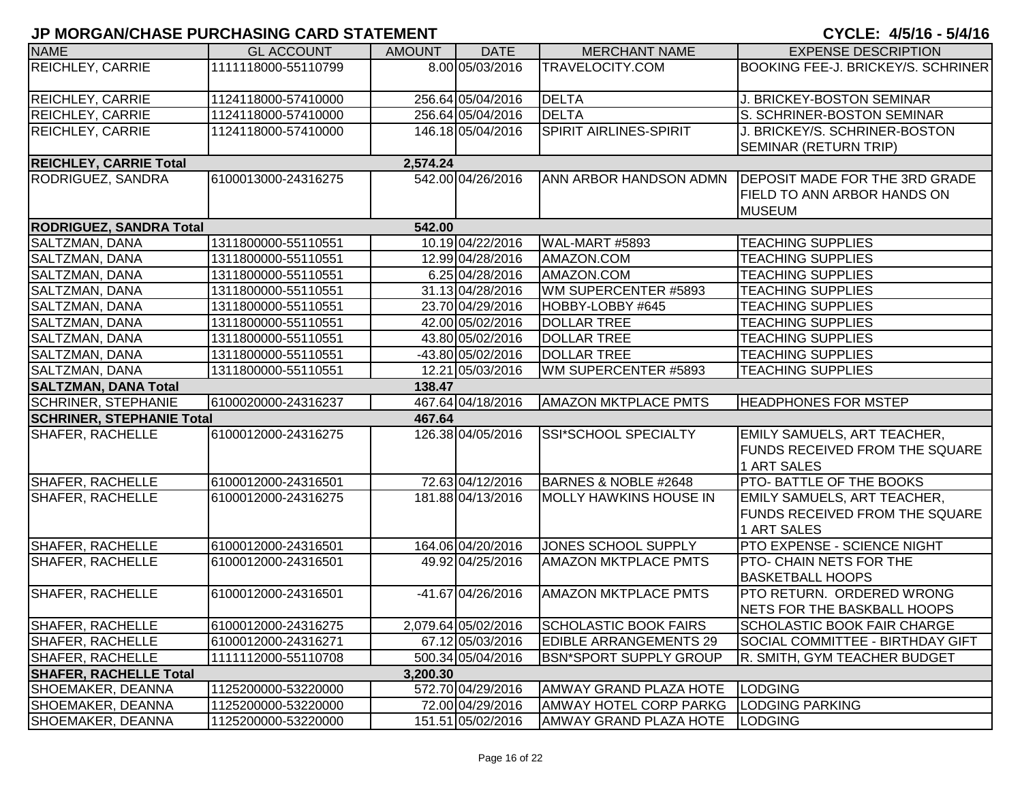| <b>NAME</b>                      | <b>GL ACCOUNT</b>   | <b>AMOUNT</b> | <b>DATE</b>         | <b>MERCHANT NAME</b>             | <b>EXPENSE DESCRIPTION</b>                |
|----------------------------------|---------------------|---------------|---------------------|----------------------------------|-------------------------------------------|
| REICHLEY, CARRIE                 | 1111118000-55110799 |               | 8.00 05/03/2016     | <b>TRAVELOCITY.COM</b>           | <b>BOOKING FEE-J. BRICKEY/S. SCHRINER</b> |
|                                  |                     |               |                     |                                  |                                           |
| <b>REICHLEY, CARRIE</b>          | 1124118000-57410000 |               | 256.64 05/04/2016   | <b>DELTA</b>                     | J. BRICKEY-BOSTON SEMINAR                 |
| <b>REICHLEY, CARRIE</b>          | 1124118000-57410000 |               | 256.64 05/04/2016   | <b>DELTA</b>                     | S. SCHRINER-BOSTON SEMINAR                |
| <b>REICHLEY, CARRIE</b>          | 1124118000-57410000 |               | 146.18 05/04/2016   | SPIRIT AIRLINES-SPIRIT           | J. BRICKEY/S. SCHRINER-BOSTON             |
|                                  |                     |               |                     |                                  | SEMINAR (RETURN TRIP)                     |
| <b>REICHLEY, CARRIE Total</b>    |                     | 2,574.24      |                     |                                  |                                           |
| RODRIGUEZ, SANDRA                | 6100013000-24316275 |               | 542.00 04/26/2016   | ANN ARBOR HANDSON ADMN           | <b>DEPOSIT MADE FOR THE 3RD GRADE</b>     |
|                                  |                     |               |                     |                                  | FIELD TO ANN ARBOR HANDS ON               |
|                                  |                     |               |                     |                                  | <b>MUSEUM</b>                             |
| <b>RODRIGUEZ, SANDRA Total</b>   |                     | 542.00        |                     |                                  |                                           |
| <b>SALTZMAN, DANA</b>            | 1311800000-55110551 |               | 10.19 04/22/2016    | WAL-MART #5893                   | <b>TEACHING SUPPLIES</b>                  |
| SALTZMAN, DANA                   | 1311800000-55110551 |               | 12.99 04/28/2016    | AMAZON.COM                       | <b>TEACHING SUPPLIES</b>                  |
| SALTZMAN, DANA                   | 1311800000-55110551 |               | 6.25 04/28/2016     | AMAZON.COM                       | <b>TEACHING SUPPLIES</b>                  |
| SALTZMAN, DANA                   | 1311800000-55110551 |               | 31.13 04/28/2016    | WM SUPERCENTER #5893             | <b>TEACHING SUPPLIES</b>                  |
| <b>SALTZMAN, DANA</b>            | 1311800000-55110551 |               | 23.70 04/29/2016    | HOBBY-LOBBY #645                 | <b>TEACHING SUPPLIES</b>                  |
| SALTZMAN, DANA                   | 1311800000-55110551 |               | 42.00 05/02/2016    | <b>DOLLAR TREE</b>               | <b>TEACHING SUPPLIES</b>                  |
| SALTZMAN, DANA                   | 1311800000-55110551 |               | 43.80 05/02/2016    | <b>DOLLAR TREE</b>               | <b>TEACHING SUPPLIES</b>                  |
| SALTZMAN, DANA                   | 1311800000-55110551 |               | -43.80 05/02/2016   | <b>DOLLAR TREE</b>               | <b>TEACHING SUPPLIES</b>                  |
| <b>SALTZMAN, DANA</b>            | 1311800000-55110551 |               | 12.21 05/03/2016    | WM SUPERCENTER #5893             | <b>TEACHING SUPPLIES</b>                  |
| <b>SALTZMAN, DANA Total</b>      |                     | 138.47        |                     |                                  |                                           |
| <b>SCHRINER, STEPHANIE</b>       | 6100020000-24316237 |               | 467.64 04/18/2016   | <b>AMAZON MKTPLACE PMTS</b>      | <b>HEADPHONES FOR MSTEP</b>               |
| <b>SCHRINER, STEPHANIE Total</b> |                     | 467.64        |                     |                                  |                                           |
| <b>SHAFER, RACHELLE</b>          | 6100012000-24316275 |               | 126.38 04/05/2016   | SSI*SCHOOL SPECIALTY             | EMILY SAMUELS, ART TEACHER,               |
|                                  |                     |               |                     |                                  | FUNDS RECEIVED FROM THE SQUARE            |
|                                  |                     |               |                     |                                  | 1 ART SALES                               |
| <b>SHAFER, RACHELLE</b>          | 6100012000-24316501 |               | 72.63 04/12/2016    | BARNES & NOBLE #2648             | PTO-BATTLE OF THE BOOKS                   |
| <b>SHAFER, RACHELLE</b>          | 6100012000-24316275 |               | 181.88 04/13/2016   | <b>MOLLY HAWKINS HOUSE IN</b>    | EMILY SAMUELS, ART TEACHER,               |
|                                  |                     |               |                     |                                  | <b>FUNDS RECEIVED FROM THE SQUARE</b>     |
|                                  |                     |               |                     |                                  | 1 ART SALES                               |
| <b>SHAFER, RACHELLE</b>          | 6100012000-24316501 |               | 164.06 04/20/2016   | JONES SCHOOL SUPPLY              | PTO EXPENSE - SCIENCE NIGHT               |
| <b>SHAFER, RACHELLE</b>          | 6100012000-24316501 |               | 49.92 04/25/2016    | <b>AMAZON MKTPLACE PMTS</b>      | <b>PTO- CHAIN NETS FOR THE</b>            |
|                                  |                     |               |                     |                                  | <b>BASKETBALL HOOPS</b>                   |
| <b>SHAFER, RACHELLE</b>          | 6100012000-24316501 |               | -41.67 04/26/2016   | <b>AMAZON MKTPLACE PMTS</b>      | <b>PTO RETURN. ORDERED WRONG</b>          |
|                                  |                     |               |                     |                                  | NETS FOR THE BASKBALL HOOPS               |
| <b>SHAFER, RACHELLE</b>          | 6100012000-24316275 |               | 2,079.64 05/02/2016 | <b>SCHOLASTIC BOOK FAIRS</b>     | <b>SCHOLASTIC BOOK FAIR CHARGE</b>        |
| <b>SHAFER, RACHELLE</b>          | 6100012000-24316271 |               | 67.12 05/03/2016    | <b>EDIBLE ARRANGEMENTS 29</b>    | SOCIAL COMMITTEE - BIRTHDAY GIFT          |
| <b>SHAFER, RACHELLE</b>          | 1111112000-55110708 |               | 500.34 05/04/2016   | <b>BSN*SPORT SUPPLY GROUP</b>    | R. SMITH, GYM TEACHER BUDGET              |
| <b>SHAFER, RACHELLE Total</b>    |                     | 3,200.30      |                     |                                  |                                           |
| SHOEMAKER, DEANNA                | 1125200000-53220000 |               | 572.70 04/29/2016   | AMWAY GRAND PLAZA HOTE           | <b>LODGING</b>                            |
| SHOEMAKER, DEANNA                | 1125200000-53220000 |               | 72.00 04/29/2016    | <b>AMWAY HOTEL CORP PARKG</b>    | <b>LODGING PARKING</b>                    |
| SHOEMAKER, DEANNA                | 1125200000-53220000 |               | 151.51 05/02/2016   | AMWAY GRAND PLAZA HOTE   LODGING |                                           |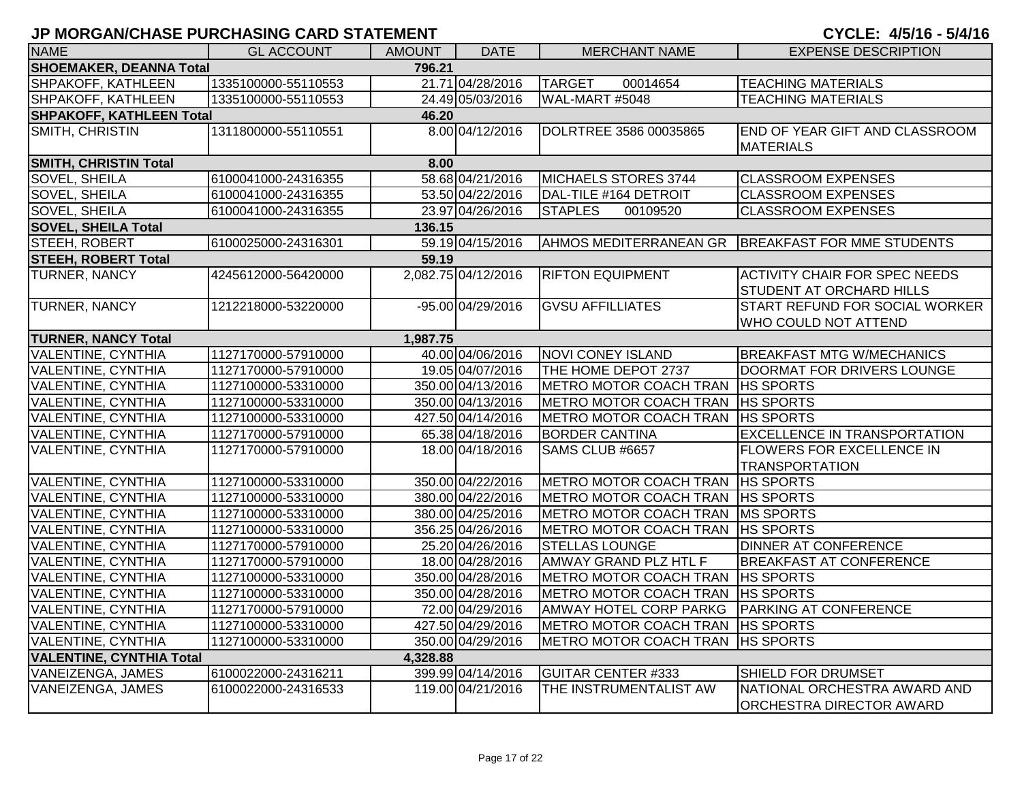|  |  |  | CYCLE: 4/5/16 - 5/4/16 |  |  |  |  |  |
|--|--|--|------------------------|--|--|--|--|--|
|--|--|--|------------------------|--|--|--|--|--|

| <b>NAME</b>                     | <b>GL ACCOUNT</b>   | <b>AMOUNT</b> | <b>DATE</b>         | <b>MERCHANT NAME</b>               | <b>EXPENSE DESCRIPTION</b>                                              |
|---------------------------------|---------------------|---------------|---------------------|------------------------------------|-------------------------------------------------------------------------|
| <b>SHOEMAKER, DEANNA Total</b>  |                     | 796.21        |                     |                                    |                                                                         |
| SHPAKOFF, KATHLEEN              | 1335100000-55110553 |               | 21.71 04/28/2016    | <b>TARGET</b><br>00014654          | <b>TEACHING MATERIALS</b>                                               |
| SHPAKOFF, KATHLEEN              | 1335100000-55110553 |               | 24.49 05/03/2016    | WAL-MART #5048                     | <b>TEACHING MATERIALS</b>                                               |
| <b>SHPAKOFF, KATHLEEN Total</b> |                     | 46.20         |                     |                                    |                                                                         |
| SMITH, CHRISTIN                 | 1311800000-55110551 |               | 8.00 04/12/2016     | DOLRTREE 3586 00035865             | <b>END OF YEAR GIFT AND CLASSROOM</b><br><b>MATERIALS</b>               |
| <b>SMITH, CHRISTIN Total</b>    |                     | 8.00          |                     |                                    |                                                                         |
| SOVEL, SHEILA                   | 6100041000-24316355 |               | 58.68 04/21/2016    | MICHAELS STORES 3744               | <b>CLASSROOM EXPENSES</b>                                               |
| SOVEL, SHEILA                   | 6100041000-24316355 |               | 53.50 04/22/2016    | DAL-TILE #164 DETROIT              | <b>CLASSROOM EXPENSES</b>                                               |
| SOVEL, SHEILA                   | 6100041000-24316355 |               | 23.97 04/26/2016    | <b>STAPLES</b><br>00109520         | <b>CLASSROOM EXPENSES</b>                                               |
| <b>SOVEL, SHEILA Total</b>      |                     | 136.15        |                     |                                    |                                                                         |
| STEEH, ROBERT                   | 6100025000-24316301 |               | 59.19 04/15/2016    |                                    | AHMOS MEDITERRANEAN GR   BREAKFAST FOR MME STUDENTS                     |
| <b>STEEH, ROBERT Total</b>      |                     | 59.19         |                     |                                    |                                                                         |
| TURNER, NANCY                   | 4245612000-56420000 |               | 2,082.75 04/12/2016 | <b>RIFTON EQUIPMENT</b>            | <b>ACTIVITY CHAIR FOR SPEC NEEDS</b><br><b>STUDENT AT ORCHARD HILLS</b> |
| <b>TURNER, NANCY</b>            | 1212218000-53220000 |               | -95.00 04/29/2016   | <b>GVSU AFFILLIATES</b>            | START REFUND FOR SOCIAL WORKER<br><b>WHO COULD NOT ATTEND</b>           |
| <b>TURNER, NANCY Total</b>      |                     | 1,987.75      |                     |                                    |                                                                         |
| VALENTINE, CYNTHIA              | 1127170000-57910000 |               | 40.00 04/06/2016    | <b>NOVI CONEY ISLAND</b>           | <b>BREAKFAST MTG W/MECHANICS</b>                                        |
| <b>VALENTINE, CYNTHIA</b>       | 1127170000-57910000 |               | 19.05 04/07/2016    | THE HOME DEPOT 2737                | DOORMAT FOR DRIVERS LOUNGE                                              |
| VALENTINE, CYNTHIA              | 1127100000-53310000 |               | 350.00 04/13/2016   | METRO MOTOR COACH TRAN   HS SPORTS |                                                                         |
| VALENTINE, CYNTHIA              | 1127100000-53310000 |               | 350.00 04/13/2016   | METRO MOTOR COACH TRAN   HS SPORTS |                                                                         |
| VALENTINE, CYNTHIA              | 1127100000-53310000 |               | 427.50 04/14/2016   | METRO MOTOR COACH TRAN   HS SPORTS |                                                                         |
| <b>VALENTINE, CYNTHIA</b>       | 1127170000-57910000 |               | 65.38 04/18/2016    | <b>BORDER CANTINA</b>              | <b>EXCELLENCE IN TRANSPORTATION</b>                                     |
| VALENTINE, CYNTHIA              | 1127170000-57910000 |               | 18.00 04/18/2016    | SAMS CLUB #6657                    | <b>FLOWERS FOR EXCELLENCE IN</b><br><b>TRANSPORTATION</b>               |
| VALENTINE, CYNTHIA              | 1127100000-53310000 |               | 350.00 04/22/2016   | METRO MOTOR COACH TRAN   HS SPORTS |                                                                         |
| VALENTINE, CYNTHIA              | 1127100000-53310000 |               | 380.00 04/22/2016   | METRO MOTOR COACH TRAN   HS SPORTS |                                                                         |
| VALENTINE, CYNTHIA              | 1127100000-53310000 |               | 380.00 04/25/2016   | METRO MOTOR COACH TRAN   MS SPORTS |                                                                         |
| VALENTINE, CYNTHIA              | 1127100000-53310000 |               | 356.25 04/26/2016   | METRO MOTOR COACH TRAN   HS SPORTS |                                                                         |
| VALENTINE, CYNTHIA              | 1127170000-57910000 |               | 25.20 04/26/2016    | <b>STELLAS LOUNGE</b>              | <b>DINNER AT CONFERENCE</b>                                             |
| VALENTINE, CYNTHIA              | 1127170000-57910000 |               | 18.00 04/28/2016    | AMWAY GRAND PLZ HTL F              | <b>BREAKFAST AT CONFERENCE</b>                                          |
| VALENTINE, CYNTHIA              | 1127100000-53310000 |               | 350.00 04/28/2016   | METRO MOTOR COACH TRAN   HS SPORTS |                                                                         |
| <b>VALENTINE, CYNTHIA</b>       | 1127100000-53310000 |               | 350.00 04/28/2016   | METRO MOTOR COACH TRAN   HS SPORTS |                                                                         |
| <b>VALENTINE, CYNTHIA</b>       | 1127170000-57910000 |               | 72.00 04/29/2016    | <b>AMWAY HOTEL CORP PARKG</b>      | <b>PARKING AT CONFERENCE</b>                                            |
| <b>VALENTINE, CYNTHIA</b>       | 1127100000-53310000 |               | 427.50 04/29/2016   | METRO MOTOR COACH TRAN   HS SPORTS |                                                                         |
| <b>VALENTINE, CYNTHIA</b>       | 1127100000-53310000 |               | 350.00 04/29/2016   | METRO MOTOR COACH TRAN   HS SPORTS |                                                                         |
| <b>VALENTINE, CYNTHIA Total</b> |                     | 4,328.88      |                     |                                    |                                                                         |
| VANEIZENGA, JAMES               | 6100022000-24316211 |               | 399.99 04/14/2016   | <b>GUITAR CENTER #333</b>          | SHIELD FOR DRUMSET                                                      |
| VANEIZENGA, JAMES               | 6100022000-24316533 |               | 119.00 04/21/2016   | THE INSTRUMENTALIST AW             | NATIONAL ORCHESTRA AWARD AND<br>ORCHESTRA DIRECTOR AWARD                |
|                                 |                     |               |                     |                                    |                                                                         |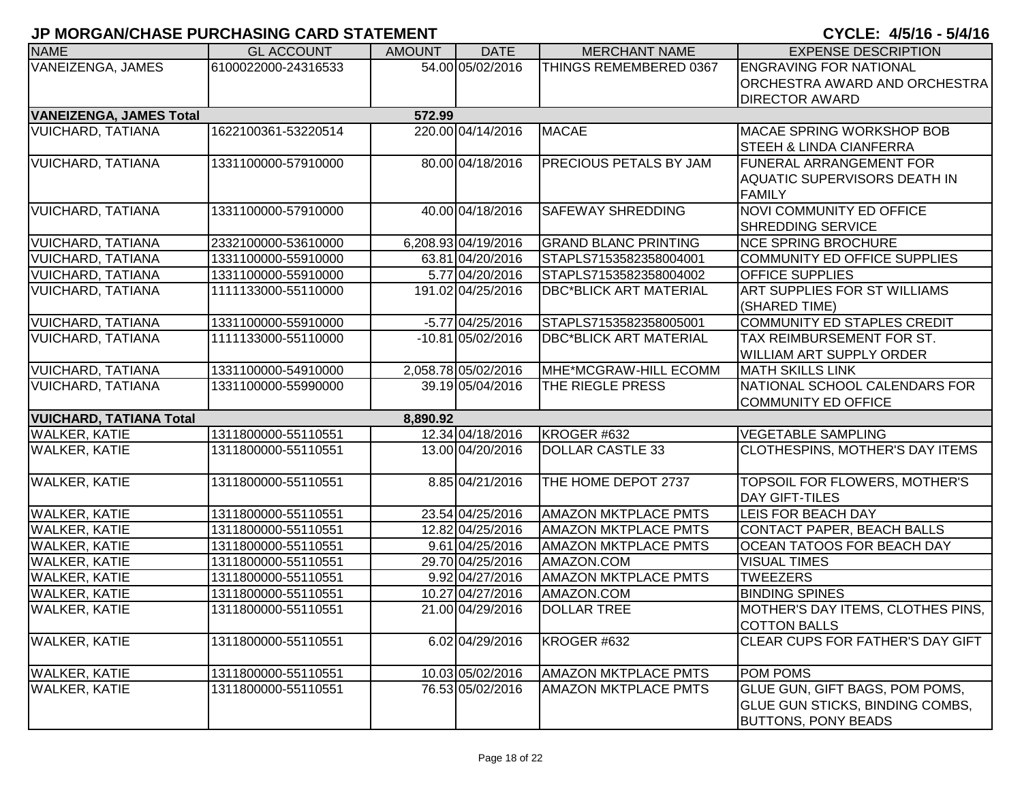| <b>NAME</b>                    | <b>GL ACCOUNT</b>   | <b>AMOUNT</b> | <b>DATE</b>         | <b>MERCHANT NAME</b>          | <b>EXPENSE DESCRIPTION</b>             |
|--------------------------------|---------------------|---------------|---------------------|-------------------------------|----------------------------------------|
| VANEIZENGA, JAMES              | 6100022000-24316533 |               | 54.00 05/02/2016    | THINGS REMEMBERED 0367        | <b>ENGRAVING FOR NATIONAL</b>          |
|                                |                     |               |                     |                               | <b>ORCHESTRA AWARD AND ORCHESTRA</b>   |
|                                |                     |               |                     |                               | <b>DIRECTOR AWARD</b>                  |
| <b>VANEIZENGA, JAMES Total</b> |                     | 572.99        |                     |                               |                                        |
| <b>VUICHARD, TATIANA</b>       | 1622100361-53220514 |               | 220.00 04/14/2016   | <b>MACAE</b>                  | MACAE SPRING WORKSHOP BOB              |
|                                |                     |               |                     |                               | <b>STEEH &amp; LINDA CIANFERRA</b>     |
| <b>VUICHARD, TATIANA</b>       | 1331100000-57910000 |               | 80.00 04/18/2016    | <b>PRECIOUS PETALS BY JAM</b> | <b>FUNERAL ARRANGEMENT FOR</b>         |
|                                |                     |               |                     |                               | <b>AQUATIC SUPERVISORS DEATH IN</b>    |
|                                |                     |               |                     |                               | <b>FAMILY</b>                          |
| <b>VUICHARD, TATIANA</b>       | 1331100000-57910000 |               | 40.00 04/18/2016    | <b>SAFEWAY SHREDDING</b>      | <b>NOVI COMMUNITY ED OFFICE</b>        |
|                                |                     |               |                     |                               | <b>SHREDDING SERVICE</b>               |
| <b>VUICHARD, TATIANA</b>       | 2332100000-53610000 |               | 6,208.93 04/19/2016 | <b>GRAND BLANC PRINTING</b>   | <b>NCE SPRING BROCHURE</b>             |
| <b>VUICHARD, TATIANA</b>       | 1331100000-55910000 |               | 63.81 04/20/2016    | STAPLS7153582358004001        | COMMUNITY ED OFFICE SUPPLIES           |
| <b>VUICHARD, TATIANA</b>       | 1331100000-55910000 |               | 5.77 04/20/2016     | STAPLS7153582358004002        | <b>OFFICE SUPPLIES</b>                 |
| <b>VUICHARD, TATIANA</b>       | 1111133000-55110000 |               | 191.02 04/25/2016   | <b>DBC*BLICK ART MATERIAL</b> | <b>ART SUPPLIES FOR ST WILLIAMS</b>    |
|                                |                     |               |                     |                               | (SHARED TIME)                          |
| <b>VUICHARD, TATIANA</b>       | 1331100000-55910000 |               | $-5.77$ 04/25/2016  | STAPLS7153582358005001        | COMMUNITY ED STAPLES CREDIT            |
| <b>VUICHARD, TATIANA</b>       | 1111133000-55110000 |               | $-10.81$ 05/02/2016 | <b>DBC*BLICK ART MATERIAL</b> | TAX REIMBURSEMENT FOR ST.              |
|                                |                     |               |                     |                               | <b>WILLIAM ART SUPPLY ORDER</b>        |
| <b>VUICHARD, TATIANA</b>       | 1331100000-54910000 |               | 2,058.78 05/02/2016 | MHE*MCGRAW-HILL ECOMM         | <b>MATH SKILLS LINK</b>                |
| <b>VUICHARD, TATIANA</b>       | 1331100000-55990000 |               | 39.19 05/04/2016    | THE RIEGLE PRESS              | NATIONAL SCHOOL CALENDARS FOR          |
|                                |                     |               |                     |                               | <b>COMMUNITY ED OFFICE</b>             |
| <b>VUICHARD, TATIANA Total</b> |                     | 8,890.92      |                     |                               |                                        |
| <b>WALKER, KATIE</b>           | 1311800000-55110551 |               | 12.34 04/18/2016    | KROGER #632                   | <b>VEGETABLE SAMPLING</b>              |
| <b>WALKER, KATIE</b>           | 1311800000-55110551 |               | 13.00 04/20/2016    | <b>DOLLAR CASTLE 33</b>       | CLOTHESPINS, MOTHER'S DAY ITEMS        |
| <b>WALKER, KATIE</b>           | 1311800000-55110551 |               | 8.85 04/21/2016     | THE HOME DEPOT 2737           | TOPSOIL FOR FLOWERS, MOTHER'S          |
|                                |                     |               |                     |                               | <b>DAY GIFT-TILES</b>                  |
| <b>WALKER, KATIE</b>           | 1311800000-55110551 |               | 23.54 04/25/2016    | <b>AMAZON MKTPLACE PMTS</b>   | LEIS FOR BEACH DAY                     |
| <b>WALKER, KATIE</b>           | 1311800000-55110551 |               | 12.82 04/25/2016    | <b>AMAZON MKTPLACE PMTS</b>   | CONTACT PAPER, BEACH BALLS             |
| <b>WALKER, KATIE</b>           | 1311800000-55110551 |               | 9.61 04/25/2016     | <b>AMAZON MKTPLACE PMTS</b>   | <b>OCEAN TATOOS FOR BEACH DAY</b>      |
| <b>WALKER, KATIE</b>           | 1311800000-55110551 |               | 29.70 04/25/2016    | AMAZON.COM                    | <b>VISUAL TIMES</b>                    |
| <b>WALKER, KATIE</b>           | 1311800000-55110551 |               | 9.92 04/27/2016     | <b>AMAZON MKTPLACE PMTS</b>   | <b>TWEEZERS</b>                        |
| <b>WALKER, KATIE</b>           | 1311800000-55110551 |               | 10.27 04/27/2016    | AMAZON.COM                    | <b>BINDING SPINES</b>                  |
| <b>WALKER, KATIE</b>           | 1311800000-55110551 |               | 21.00 04/29/2016    | <b>DOLLAR TREE</b>            | MOTHER'S DAY ITEMS, CLOTHES PINS,      |
|                                |                     |               |                     |                               | <b>COTTON BALLS</b>                    |
| <b>WALKER, KATIE</b>           | 1311800000-55110551 |               | 6.02 04/29/2016     | KROGER #632                   | CLEAR CUPS FOR FATHER'S DAY GIFT       |
| <b>WALKER, KATIE</b>           | 1311800000-55110551 |               | 10.03 05/02/2016    | <b>AMAZON MKTPLACE PMTS</b>   | <b>POM POMS</b>                        |
| <b>WALKER, KATIE</b>           | 1311800000-55110551 |               | 76.53 05/02/2016    | <b>AMAZON MKTPLACE PMTS</b>   | GLUE GUN, GIFT BAGS, POM POMS,         |
|                                |                     |               |                     |                               | <b>GLUE GUN STICKS, BINDING COMBS,</b> |
|                                |                     |               |                     |                               | <b>BUTTONS, PONY BEADS</b>             |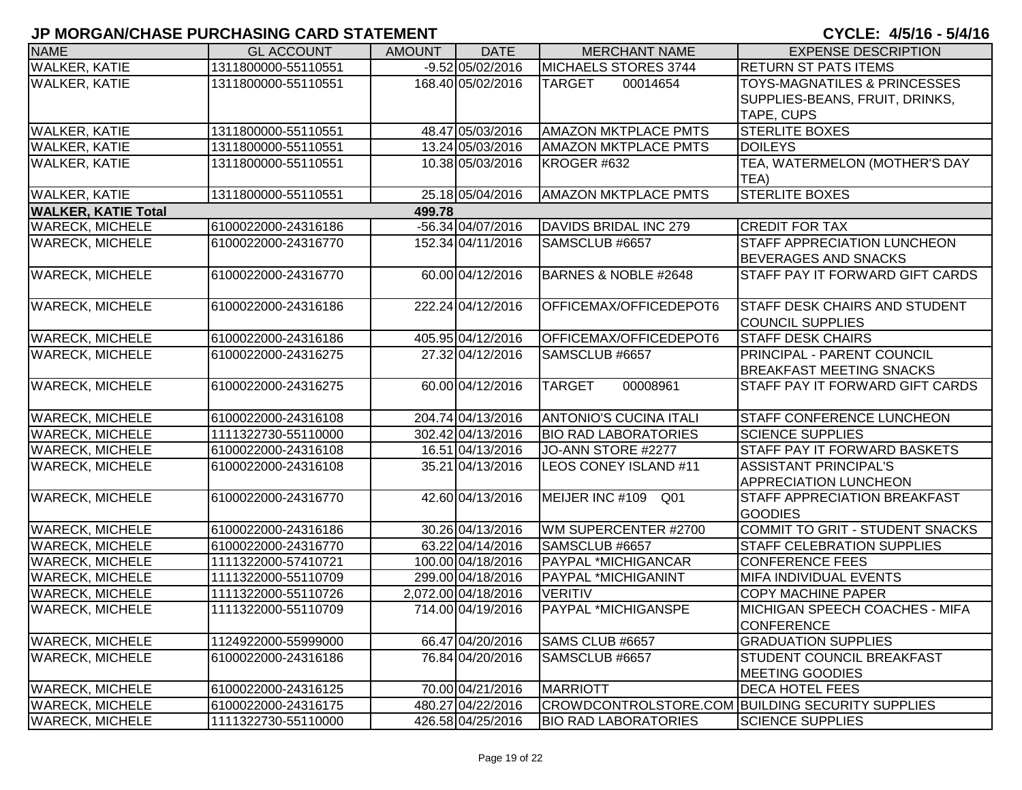| <b>NAME</b>                | <b>GL ACCOUNT</b>   | <b>AMOUNT</b> | <b>DATE</b>         | <b>MERCHANT NAME</b>          | <b>EXPENSE DESCRIPTION</b>                                           |
|----------------------------|---------------------|---------------|---------------------|-------------------------------|----------------------------------------------------------------------|
| WALKER, KATIE              | 1311800000-55110551 |               | $-9.52$ 05/02/2016  | MICHAELS STORES 3744          | <b>RETURN ST PATS ITEMS</b>                                          |
| <b>WALKER, KATIE</b>       | 1311800000-55110551 |               | 168.40 05/02/2016   | <b>TARGET</b><br>00014654     | <b>TOYS-MAGNATILES &amp; PRINCESSES</b>                              |
|                            |                     |               |                     |                               | SUPPLIES-BEANS, FRUIT, DRINKS,                                       |
|                            |                     |               |                     |                               | TAPE, CUPS                                                           |
| <b>WALKER, KATIE</b>       | 1311800000-55110551 |               | 48.47 05/03/2016    | <b>AMAZON MKTPLACE PMTS</b>   | <b>STERLITE BOXES</b>                                                |
| <b>WALKER, KATIE</b>       | 1311800000-55110551 |               | 13.24 05/03/2016    | <b>AMAZON MKTPLACE PMTS</b>   | <b>DOILEYS</b>                                                       |
| <b>WALKER, KATIE</b>       | 1311800000-55110551 |               | 10.38 05/03/2016    | KROGER #632                   | TEA, WATERMELON (MOTHER'S DAY<br>TEA)                                |
| <b>WALKER, KATIE</b>       | 1311800000-55110551 |               | 25.18 05/04/2016    | <b>AMAZON MKTPLACE PMTS</b>   | <b>STERLITE BOXES</b>                                                |
| <b>WALKER, KATIE Total</b> |                     | 499.78        |                     |                               |                                                                      |
| <b>WARECK, MICHELE</b>     | 6100022000-24316186 |               | $-56.34 04/07/2016$ | DAVIDS BRIDAL INC 279         | <b>CREDIT FOR TAX</b>                                                |
| <b>WARECK, MICHELE</b>     | 6100022000-24316770 |               | 152.34 04/11/2016   | SAMSCLUB #6657                | STAFF APPRECIATION LUNCHEON<br><b>BEVERAGES AND SNACKS</b>           |
| <b>WARECK, MICHELE</b>     | 6100022000-24316770 |               | 60.00 04/12/2016    | BARNES & NOBLE #2648          | STAFF PAY IT FORWARD GIFT CARDS                                      |
| <b>WARECK, MICHELE</b>     | 6100022000-24316186 |               | 222.24 04/12/2016   | OFFICEMAX/OFFICEDEPOT6        | <b>STAFF DESK CHAIRS AND STUDENT</b><br><b>COUNCIL SUPPLIES</b>      |
| <b>WARECK, MICHELE</b>     | 6100022000-24316186 |               | 405.95 04/12/2016   | OFFICEMAX/OFFICEDEPOT6        | <b>STAFF DESK CHAIRS</b>                                             |
| <b>WARECK, MICHELE</b>     | 6100022000-24316275 |               | 27.32 04/12/2016    | SAMSCLUB #6657                | <b>PRINCIPAL - PARENT COUNCIL</b><br><b>BREAKFAST MEETING SNACKS</b> |
| <b>WARECK, MICHELE</b>     | 6100022000-24316275 |               | 60.00 04/12/2016    | <b>TARGET</b><br>00008961     | <b>STAFF PAY IT FORWARD GIFT CARDS</b>                               |
| <b>WARECK, MICHELE</b>     | 6100022000-24316108 |               | 204.74 04/13/2016   | <b>ANTONIO'S CUCINA ITALI</b> | <b>STAFF CONFERENCE LUNCHEON</b>                                     |
| <b>WARECK, MICHELE</b>     | 1111322730-55110000 |               | 302.42 04/13/2016   | <b>BIO RAD LABORATORIES</b>   | <b>SCIENCE SUPPLIES</b>                                              |
| <b>WARECK, MICHELE</b>     | 6100022000-24316108 |               | 16.51 04/13/2016    | JO-ANN STORE #2277            | <b>STAFF PAY IT FORWARD BASKETS</b>                                  |
| <b>WARECK, MICHELE</b>     | 6100022000-24316108 |               | 35.21 04/13/2016    | LEOS CONEY ISLAND #11         | <b>ASSISTANT PRINCIPAL'S</b><br><b>APPRECIATION LUNCHEON</b>         |
| <b>WARECK, MICHELE</b>     | 6100022000-24316770 |               | 42.60 04/13/2016    | MEIJER INC #109<br>Q01        | STAFF APPRECIATION BREAKFAST<br><b>GOODIES</b>                       |
| <b>WARECK, MICHELE</b>     | 6100022000-24316186 |               | 30.26 04/13/2016    | WM SUPERCENTER #2700          | COMMIT TO GRIT - STUDENT SNACKS                                      |
| <b>WARECK, MICHELE</b>     | 6100022000-24316770 |               | 63.22 04/14/2016    | SAMSCLUB #6657                | <b>STAFF CELEBRATION SUPPLIES</b>                                    |
| <b>WARECK, MICHELE</b>     | 1111322000-57410721 |               | 100.00 04/18/2016   | <b>PAYPAL *MICHIGANCAR</b>    | <b>CONFERENCE FEES</b>                                               |
| <b>WARECK, MICHELE</b>     | 1111322000-55110709 |               | 299.00 04/18/2016   | PAYPAL *MICHIGANINT           | MIFA INDIVIDUAL EVENTS                                               |
| <b>WARECK, MICHELE</b>     | 1111322000-55110726 |               | 2,072.00 04/18/2016 | <b>VERITIV</b>                | <b>COPY MACHINE PAPER</b>                                            |
| <b>WARECK, MICHELE</b>     | 1111322000-55110709 |               | 714.00 04/19/2016   | <b>PAYPAL *MICHIGANSPE</b>    | MICHIGAN SPEECH COACHES - MIFA<br><b>CONFERENCE</b>                  |
| <b>WARECK, MICHELE</b>     | 1124922000-55999000 |               | 66.47 04/20/2016    | SAMS CLUB #6657               | <b>GRADUATION SUPPLIES</b>                                           |
| <b>WARECK, MICHELE</b>     | 6100022000-24316186 |               | 76.84 04/20/2016    | SAMSCLUB #6657                | STUDENT COUNCIL BREAKFAST                                            |
|                            |                     |               |                     |                               | <b>MEETING GOODIES</b>                                               |
| <b>WARECK, MICHELE</b>     | 6100022000-24316125 |               | 70.00 04/21/2016    | <b>MARRIOTT</b>               | <b>DECA HOTEL FEES</b>                                               |
| <b>WARECK, MICHELE</b>     | 6100022000-24316175 |               | 480.27 04/22/2016   |                               | <b>CROWDCONTROLSTORE.COM BUILDING SECURITY SUPPLIES</b>              |
| <b>WARECK, MICHELE</b>     | 1111322730-55110000 |               | 426.58 04/25/2016   | <b>BIO RAD LABORATORIES</b>   | <b>SCIENCE SUPPLIES</b>                                              |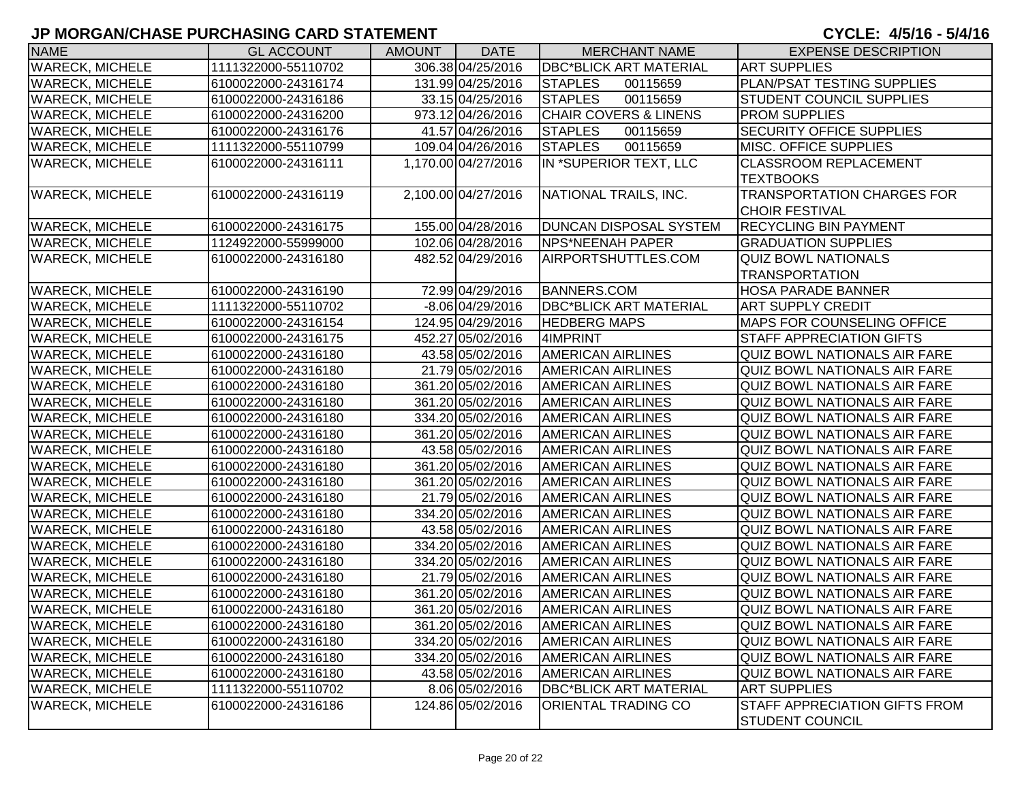| <b>NAME</b>            | <b>GL ACCOUNT</b>   | <b>AMOUNT</b> | <b>DATE</b>         | <b>MERCHANT NAME</b>             | <b>EXPENSE DESCRIPTION</b>                                     |
|------------------------|---------------------|---------------|---------------------|----------------------------------|----------------------------------------------------------------|
| <b>WARECK, MICHELE</b> | 1111322000-55110702 |               | 306.38 04/25/2016   | <b>DBC*BLICK ART MATERIAL</b>    | <b>ART SUPPLIES</b>                                            |
| <b>WARECK, MICHELE</b> | 6100022000-24316174 |               | 131.99 04/25/2016   | <b>STAPLES</b><br>00115659       | PLAN/PSAT TESTING SUPPLIES                                     |
| <b>WARECK, MICHELE</b> | 6100022000-24316186 |               | 33.15 04/25/2016    | <b>STAPLES</b><br>00115659       | <b>STUDENT COUNCIL SUPPLIES</b>                                |
| <b>WARECK, MICHELE</b> | 6100022000-24316200 |               | 973.12 04/26/2016   | <b>CHAIR COVERS &amp; LINENS</b> | <b>PROM SUPPLIES</b>                                           |
| <b>WARECK, MICHELE</b> | 6100022000-24316176 |               | 41.57 04/26/2016    | <b>STAPLES</b><br>00115659       | <b>SECURITY OFFICE SUPPLIES</b>                                |
| <b>WARECK, MICHELE</b> | 1111322000-55110799 |               | 109.04 04/26/2016   | <b>STAPLES</b><br>00115659       | <b>MISC. OFFICE SUPPLIES</b>                                   |
| <b>WARECK, MICHELE</b> | 6100022000-24316111 |               | 1,170.00 04/27/2016 | IN *SUPERIOR TEXT, LLC           | <b>CLASSROOM REPLACEMENT</b>                                   |
|                        |                     |               |                     |                                  | <b>TEXTBOOKS</b>                                               |
| <b>WARECK, MICHELE</b> | 6100022000-24316119 |               | 2,100.00 04/27/2016 | NATIONAL TRAILS, INC.            | <b>TRANSPORTATION CHARGES FOR</b>                              |
|                        |                     |               |                     |                                  | <b>CHOIR FESTIVAL</b>                                          |
| <b>WARECK, MICHELE</b> | 6100022000-24316175 |               | 155.00 04/28/2016   | <b>DUNCAN DISPOSAL SYSTEM</b>    | <b>RECYCLING BIN PAYMENT</b>                                   |
| <b>WARECK, MICHELE</b> | 1124922000-55999000 |               | 102.06 04/28/2016   | <b>NPS*NEENAH PAPER</b>          | <b>GRADUATION SUPPLIES</b>                                     |
| <b>WARECK, MICHELE</b> | 6100022000-24316180 |               | 482.52 04/29/2016   | AIRPORTSHUTTLES.COM              | <b>QUIZ BOWL NATIONALS</b>                                     |
|                        |                     |               |                     |                                  | <b>TRANSPORTATION</b>                                          |
| <b>WARECK, MICHELE</b> | 6100022000-24316190 |               | 72.99 04/29/2016    | <b>BANNERS.COM</b>               | <b>HOSA PARADE BANNER</b>                                      |
| <b>WARECK, MICHELE</b> | 1111322000-55110702 |               | $-8.06$ 04/29/2016  | <b>DBC*BLICK ART MATERIAL</b>    | <b>ART SUPPLY CREDIT</b>                                       |
| <b>WARECK, MICHELE</b> | 6100022000-24316154 |               | 124.95 04/29/2016   | <b>HEDBERG MAPS</b>              | <b>MAPS FOR COUNSELING OFFICE</b>                              |
| <b>WARECK, MICHELE</b> | 6100022000-24316175 |               | 452.27 05/02/2016   | 4IMPRINT                         | <b>STAFF APPRECIATION GIFTS</b>                                |
| <b>WARECK, MICHELE</b> | 6100022000-24316180 |               | 43.58 05/02/2016    | <b>AMERICAN AIRLINES</b>         | <b>QUIZ BOWL NATIONALS AIR FARE</b>                            |
| <b>WARECK, MICHELE</b> | 6100022000-24316180 |               | 21.79 05/02/2016    | <b>AMERICAN AIRLINES</b>         | <b>QUIZ BOWL NATIONALS AIR FARE</b>                            |
| <b>WARECK, MICHELE</b> | 6100022000-24316180 |               | 361.20 05/02/2016   | <b>AMERICAN AIRLINES</b>         | <b>QUIZ BOWL NATIONALS AIR FARE</b>                            |
| <b>WARECK, MICHELE</b> | 6100022000-24316180 |               | 361.20 05/02/2016   | <b>AMERICAN AIRLINES</b>         | <b>QUIZ BOWL NATIONALS AIR FARE</b>                            |
| <b>WARECK, MICHELE</b> | 6100022000-24316180 |               | 334.20 05/02/2016   | <b>AMERICAN AIRLINES</b>         | <b>QUIZ BOWL NATIONALS AIR FARE</b>                            |
| <b>WARECK, MICHELE</b> | 6100022000-24316180 |               | 361.20 05/02/2016   | <b>AMERICAN AIRLINES</b>         | <b>QUIZ BOWL NATIONALS AIR FARE</b>                            |
| <b>WARECK, MICHELE</b> | 6100022000-24316180 |               | 43.58 05/02/2016    | <b>AMERICAN AIRLINES</b>         | <b>QUIZ BOWL NATIONALS AIR FARE</b>                            |
| <b>WARECK, MICHELE</b> | 6100022000-24316180 |               | 361.20 05/02/2016   | <b>AMERICAN AIRLINES</b>         | <b>QUIZ BOWL NATIONALS AIR FARE</b>                            |
| <b>WARECK, MICHELE</b> | 6100022000-24316180 |               | 361.20 05/02/2016   | <b>AMERICAN AIRLINES</b>         | <b>QUIZ BOWL NATIONALS AIR FARE</b>                            |
| <b>WARECK, MICHELE</b> | 6100022000-24316180 |               | 21.79 05/02/2016    | <b>AMERICAN AIRLINES</b>         | <b>QUIZ BOWL NATIONALS AIR FARE</b>                            |
| <b>WARECK, MICHELE</b> | 6100022000-24316180 |               | 334.20 05/02/2016   | <b>AMERICAN AIRLINES</b>         | <b>QUIZ BOWL NATIONALS AIR FARE</b>                            |
| <b>WARECK, MICHELE</b> | 6100022000-24316180 |               | 43.58 05/02/2016    | <b>AMERICAN AIRLINES</b>         | <b>QUIZ BOWL NATIONALS AIR FARE</b>                            |
| <b>WARECK, MICHELE</b> | 6100022000-24316180 |               | 334.20 05/02/2016   | <b>AMERICAN AIRLINES</b>         | <b>QUIZ BOWL NATIONALS AIR FARE</b>                            |
| <b>WARECK, MICHELE</b> | 6100022000-24316180 |               | 334.20 05/02/2016   | <b>AMERICAN AIRLINES</b>         | <b>QUIZ BOWL NATIONALS AIR FARE</b>                            |
| <b>WARECK, MICHELE</b> | 6100022000-24316180 |               | 21.79 05/02/2016    | <b>AMERICAN AIRLINES</b>         | <b>QUIZ BOWL NATIONALS AIR FARE</b>                            |
| <b>WARECK, MICHELE</b> | 6100022000-24316180 |               | 361.20 05/02/2016   | <b>AMERICAN AIRLINES</b>         | <b>QUIZ BOWL NATIONALS AIR FARE</b>                            |
| <b>WARECK, MICHELE</b> | 6100022000-24316180 |               | 361.20 05/02/2016   | <b>AMERICAN AIRLINES</b>         | <b>QUIZ BOWL NATIONALS AIR FARE</b>                            |
| <b>WARECK, MICHELE</b> | 6100022000-24316180 |               | 361.20 05/02/2016   | <b>AMERICAN AIRLINES</b>         | QUIZ BOWL NATIONALS AIR FARE                                   |
| <b>WARECK, MICHELE</b> | 6100022000-24316180 |               | 334.20 05/02/2016   | <b>AMERICAN AIRLINES</b>         | <b>QUIZ BOWL NATIONALS AIR FARE</b>                            |
| <b>WARECK, MICHELE</b> | 6100022000-24316180 |               | 334.20 05/02/2016   | <b>AMERICAN AIRLINES</b>         | <b>QUIZ BOWL NATIONALS AIR FARE</b>                            |
| <b>WARECK, MICHELE</b> | 6100022000-24316180 |               | 43.58 05/02/2016    | <b>AMERICAN AIRLINES</b>         | <b>QUIZ BOWL NATIONALS AIR FARE</b>                            |
| <b>WARECK, MICHELE</b> | 1111322000-55110702 |               | 8.06 05/02/2016     | <b>DBC*BLICK ART MATERIAL</b>    | <b>ART SUPPLIES</b>                                            |
| <b>WARECK, MICHELE</b> | 6100022000-24316186 |               | 124.86 05/02/2016   | ORIENTAL TRADING CO              | <b>STAFF APPRECIATION GIFTS FROM</b><br><b>STUDENT COUNCIL</b> |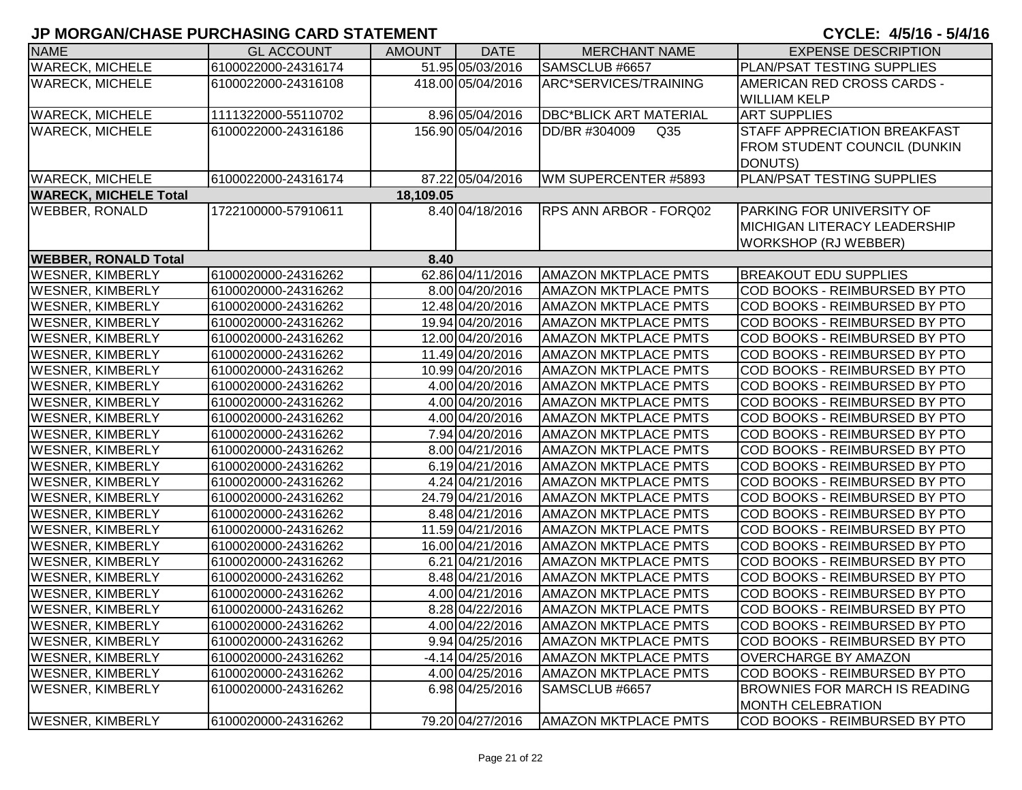| <b>NAME</b>                  | <b>GL ACCOUNT</b>   | <b>AMOUNT</b> | <b>DATE</b>        | <b>MERCHANT NAME</b>             | <b>EXPENSE DESCRIPTION</b>                 |
|------------------------------|---------------------|---------------|--------------------|----------------------------------|--------------------------------------------|
| <b>WARECK, MICHELE</b>       | 6100022000-24316174 |               | 51.95 05/03/2016   | SAMSCLUB #6657                   | PLAN/PSAT TESTING SUPPLIES                 |
| <b>WARECK, MICHELE</b>       | 6100022000-24316108 |               | 418.00 05/04/2016  | ARC*SERVICES/TRAINING            | AMERICAN RED CROSS CARDS -                 |
| <b>WARECK, MICHELE</b>       | 1111322000-55110702 |               | 8.96 05/04/2016    | <b>DBC*BLICK ART MATERIAL</b>    | <b>WILLIAM KELP</b><br><b>ART SUPPLIES</b> |
| <b>WARECK, MICHELE</b>       | 6100022000-24316186 |               | 156.90 05/04/2016  | Q <sub>35</sub><br>DD/BR #304009 | <b>STAFF APPRECIATION BREAKFAST</b>        |
|                              |                     |               |                    |                                  | FROM STUDENT COUNCIL (DUNKIN               |
|                              |                     |               |                    |                                  | DONUTS)                                    |
| <b>WARECK, MICHELE</b>       | 6100022000-24316174 |               | 87.22 05/04/2016   | WM SUPERCENTER #5893             | PLAN/PSAT TESTING SUPPLIES                 |
| <b>WARECK, MICHELE Total</b> |                     | 18,109.05     |                    |                                  |                                            |
| <b>WEBBER, RONALD</b>        | 1722100000-57910611 |               | 8.40 04/18/2016    | <b>RPS ANN ARBOR - FORQ02</b>    | <b>PARKING FOR UNIVERSITY OF</b>           |
|                              |                     |               |                    |                                  | <b>MICHIGAN LITERACY LEADERSHIP</b>        |
|                              |                     |               |                    |                                  | <b>WORKSHOP (RJ WEBBER)</b>                |
| <b>WEBBER, RONALD Total</b>  |                     | 8.40          |                    |                                  |                                            |
| <b>WESNER, KIMBERLY</b>      | 6100020000-24316262 |               | 62.86 04/11/2016   | <b>AMAZON MKTPLACE PMTS</b>      | <b>BREAKOUT EDU SUPPLIES</b>               |
| <b>WESNER, KIMBERLY</b>      | 6100020000-24316262 |               | 8.00 04/20/2016    | <b>AMAZON MKTPLACE PMTS</b>      | COD BOOKS - REIMBURSED BY PTO              |
| <b>WESNER, KIMBERLY</b>      | 6100020000-24316262 |               | 12.48 04/20/2016   | <b>AMAZON MKTPLACE PMTS</b>      | COD BOOKS - REIMBURSED BY PTO              |
| <b>WESNER, KIMBERLY</b>      | 6100020000-24316262 |               | 19.94 04/20/2016   | <b>AMAZON MKTPLACE PMTS</b>      | COD BOOKS - REIMBURSED BY PTO              |
| <b>WESNER, KIMBERLY</b>      | 6100020000-24316262 |               | 12.00 04/20/2016   | <b>AMAZON MKTPLACE PMTS</b>      | COD BOOKS - REIMBURSED BY PTO              |
| <b>WESNER, KIMBERLY</b>      | 6100020000-24316262 |               | 11.49 04/20/2016   | <b>AMAZON MKTPLACE PMTS</b>      | COD BOOKS - REIMBURSED BY PTO              |
| <b>WESNER, KIMBERLY</b>      | 6100020000-24316262 |               | 10.99 04/20/2016   | <b>AMAZON MKTPLACE PMTS</b>      | COD BOOKS - REIMBURSED BY PTO              |
| <b>WESNER, KIMBERLY</b>      | 6100020000-24316262 |               | 4.00 04/20/2016    | <b>AMAZON MKTPLACE PMTS</b>      | COD BOOKS - REIMBURSED BY PTO              |
| <b>WESNER, KIMBERLY</b>      | 6100020000-24316262 |               | 4.00 04/20/2016    | <b>AMAZON MKTPLACE PMTS</b>      | COD BOOKS - REIMBURSED BY PTO              |
| <b>WESNER, KIMBERLY</b>      | 6100020000-24316262 |               | 4.00 04/20/2016    | <b>AMAZON MKTPLACE PMTS</b>      | COD BOOKS - REIMBURSED BY PTO              |
| <b>WESNER, KIMBERLY</b>      | 6100020000-24316262 |               | 7.94 04/20/2016    | <b>AMAZON MKTPLACE PMTS</b>      | COD BOOKS - REIMBURSED BY PTO              |
| <b>WESNER, KIMBERLY</b>      | 6100020000-24316262 |               | 8.00 04/21/2016    | <b>AMAZON MKTPLACE PMTS</b>      | COD BOOKS - REIMBURSED BY PTO              |
| <b>WESNER, KIMBERLY</b>      | 6100020000-24316262 |               | 6.19 04/21/2016    | <b>AMAZON MKTPLACE PMTS</b>      | COD BOOKS - REIMBURSED BY PTO              |
| <b>WESNER, KIMBERLY</b>      | 6100020000-24316262 |               | 4.24 04/21/2016    | <b>AMAZON MKTPLACE PMTS</b>      | COD BOOKS - REIMBURSED BY PTO              |
| <b>WESNER, KIMBERLY</b>      | 6100020000-24316262 |               | 24.79 04/21/2016   | <b>AMAZON MKTPLACE PMTS</b>      | COD BOOKS - REIMBURSED BY PTO              |
| <b>WESNER, KIMBERLY</b>      | 6100020000-24316262 |               | 8.48 04/21/2016    | <b>AMAZON MKTPLACE PMTS</b>      | COD BOOKS - REIMBURSED BY PTO              |
| <b>WESNER, KIMBERLY</b>      | 6100020000-24316262 |               | 11.59 04/21/2016   | <b>AMAZON MKTPLACE PMTS</b>      | COD BOOKS - REIMBURSED BY PTO              |
| <b>WESNER, KIMBERLY</b>      | 6100020000-24316262 |               | 16.00 04/21/2016   | <b>AMAZON MKTPLACE PMTS</b>      | COD BOOKS - REIMBURSED BY PTO              |
| <b>WESNER, KIMBERLY</b>      | 6100020000-24316262 |               | 6.21 04/21/2016    | <b>AMAZON MKTPLACE PMTS</b>      | COD BOOKS - REIMBURSED BY PTO              |
| <b>WESNER, KIMBERLY</b>      | 6100020000-24316262 |               | 8.48 04/21/2016    | <b>AMAZON MKTPLACE PMTS</b>      | COD BOOKS - REIMBURSED BY PTO              |
| <b>WESNER, KIMBERLY</b>      | 6100020000-24316262 |               | 4.00 04/21/2016    | <b>AMAZON MKTPLACE PMTS</b>      | COD BOOKS - REIMBURSED BY PTO              |
| <b>WESNER, KIMBERLY</b>      | 6100020000-24316262 |               | 8.28 04/22/2016    | <b>AMAZON MKTPLACE PMTS</b>      | COD BOOKS - REIMBURSED BY PTO              |
| <b>WESNER, KIMBERLY</b>      | 6100020000-24316262 |               | 4.00 04/22/2016    | AMAZON MKTPLACE PMTS             | COD BOOKS - REIMBURSED BY PTO              |
| <b>WESNER, KIMBERLY</b>      | 6100020000-24316262 |               | 9.94 04/25/2016    | <b>AMAZON MKTPLACE PMTS</b>      | COD BOOKS - REIMBURSED BY PTO              |
| <b>WESNER, KIMBERLY</b>      | 6100020000-24316262 |               | $-4.14 04/25/2016$ | <b>AMAZON MKTPLACE PMTS</b>      | <b>OVERCHARGE BY AMAZON</b>                |
| <b>WESNER, KIMBERLY</b>      | 6100020000-24316262 |               | 4.00 04/25/2016    | <b>AMAZON MKTPLACE PMTS</b>      | COD BOOKS - REIMBURSED BY PTO              |
| <b>WESNER, KIMBERLY</b>      | 6100020000-24316262 |               | 6.98 04/25/2016    | SAMSCLUB #6657                   | <b>BROWNIES FOR MARCH IS READING</b>       |
|                              |                     |               |                    |                                  | <b>MONTH CELEBRATION</b>                   |
| <b>WESNER, KIMBERLY</b>      | 6100020000-24316262 |               | 79.20 04/27/2016   | <b>AMAZON MKTPLACE PMTS</b>      | COD BOOKS - REIMBURSED BY PTO              |